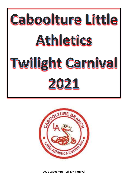

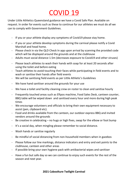## COVID 19

Under Little Athletics Queensland guidance we have a Covid Safe Plan. Available on request. In order for events such as these to continue for our athletes we must do all we can to comply with Government Guidelines.

- If you or your athlete display any symptoms of Covid19 please stay home.
- If you or your athlete develop symptoms during the carnival please notify a Covid Marshall and head home.
- Please check in via the QLD Check In app upon arrival by scanning the provided code which will be displayed around the grounds and at the clubhouse
- Adults must social distance 1.5m (decreases exposure to Covid19 and other viruses)
- Please teach athletes to wash their hands with soap for at least 20 seconds after using the toilet and before eating
- Teach athletes to avoid touching their faces while participating in field events and to wash or sanitise their hands after field events
- We will be sanitising field events as per Little Athletic's Guidelines
- We have hand sanitiser around the grounds for your use
- We have a toilet and facility cleaning crew on roster to clean and sanitise hourly
- Frequently touched areas such as Eftpos machine, Food Sales Desk, canteen counter, BBQ table will be wiped down and sanitised every hour and more during high peak times
- We encourage volunteers and officials to bring their own equipment necessary to assist (pen, clipboard etc).
- Food and drinks available from the canteen, our outdoor express BBQ and invited vendors around the grounds
- Be creative in celebrating no hugs or high fives, swap for the elbow or foot bump
- It's a social day, when mingling please remember to social distance.
- Wash hands or sanitise regularly
- Be mindful of social distancing from non-household members when in gazebos
- Please follow our line markings, distance indicators and entry and exit points to the clubhouse, canteen and other areas
- If possible bring your own hygiene pack with antibacterial wipes and sanitiser
- Have a fun but safe day so we can continue to enjoy such events for the rest of the season and next year.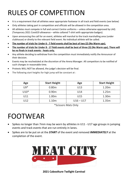## RULES OF COMPETITION

- It is a requirement that all athletes wear appropriate footwear in all track and field events (see below)
- Only athletes taking part in competition and officials will be allowed in the competition area.
- All athletes must compete in full and correct Centre uniforms unless otherwise approved by LAQ (Temporary 2021 Covid19 allowance – white collared T-shirt with appropriate badges).
- Upon announcing the call for an event, athletes will marshal to the track marshalling area (under clubhouse) or diretly to the relevant field event. No individual athlete will be called.
- **The number of trials for Under 6 - 7 field events shall be best of two (2) (No Warm ups).**
- **The number of trials for Under 8 - 17 field events shall be best of three (3) (No Warm ups). There will be no finals in track events - heats only.**
- Any athlete deciding to withdraw from the competition must immediately notify the Announcer of their decision.
- Events may be rescheduled at the discretion of the Arena Manager. All competitors to be notified of such changes in reasonable time.
- Protests WILL NOT be allowed, the judge's decision will be final.
- The following start heights for high jump will be constant at :

| Age    | <b>Start Height</b> | Age         | <b>Start Height</b> |
|--------|---------------------|-------------|---------------------|
| $U9*$  | 0.80 <sub>m</sub>   | U13         | 1.20m               |
| $U10*$ | 0.90 <sub>m</sub>   | U14         | 1.25m               |
| U11    | 1.00m               | U15         | 1.30 <sub>m</sub>   |
| U12    | 1.10m               | $U16 - U17$ | 1.35m               |

\*Scissors Mats Only

## FOOTWEAR

- Spikes no longer than 7mm may be worn by athletes in U11 U17 age groups in jumping events and track events that are run entirely in lanes.
- Spikes are to be put on at the *START* of the event and removed *IMMEDIATELY* at the completion of the event.

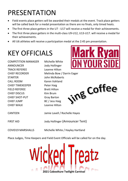## PRESENTATION

- Field events place getters will be awarded their medals at the event. Track place getters will be called back for a medal presentation as there are no finals, only timed heats.
- The first three place getters in the U7 U17 will receive a medal for their achievements.
- The first three place getters in the multi-class U9-U12, U13-U17. will receive a medal for their achievements.
- All U6 athletes will receive a participation medal at the 2:45 pm presentation.

## KEY OFFICIALS

COMPETITION MANAGER Michelle White ANNOUNCER Jody Hollinger TRACK REFEREE Leanne Hilton CHIEF RECORDER Melinda Bow / Darrin Eager STARTER John McRoberts CALL ROOM Karen Vohland CHIEF TIMEKEEPER Peter Haig FIELD REFEREE Brett Hilton CHIEF DISCUS Kim Brum CHIEF SHOT-PUT Gray Barton CHIEF JUMP BC / Jess Haig CHIEF WALK Leanne Hilton





CANTEEN Jamie Lavell / Rochelle Hayes

FIRST AID **Jody Hollinger (Announcer Tent)** 

COVID19 MARSHALLS Michelle White / Hayley Hartland

Place Judges, Time Keepers and Field Event Officials will be called for on the day.

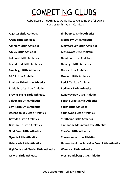# COMPETING CLUBS

Caboolture Little Athletics would like to welcome the following centres to this year's Carnival:

**Algester Little Athletics Jimboomba Little Athletics Arana Little Athletics Maroochy Little Athletics Ashmore Little Athletics Maryborough Little Athletics Aspley Little Athletics Mt Gravatt Little Athletics Balmoral Little Athletics Nambour Little Athletics Beaudesert Little Athletics Nanango Little Athletics Beenleigh Little Athletics Noosa Little Athletics Bli Bli Little Athletics Ormeau Little Athletics Bracken Ridge Little Athletics Redcliffe Little Athletics Bribie District Little Athletics Redlands Little Athletics Browns Plains Little Athletics Runaway Bay Little Athletics Caloundra Little Athletics South Burnett Little Athletics City North Little Athletics South Little Athletics Deception Bay Little Athletics Springwood Little Athletics Gayndah Little Athletics Strathpine Little Athletics Gold Coast Little Athletics The Gap Little Athletics Gympie Little Athletics Toowoomba Little Athletics Highfields and District Little Athletics Wamuran Little Athletics Ipswich Little Athletics West Bundaberg Little Athletics**

**Glasshouse Little Athletics Tamborine Mountain Little Athletics Helensvale Little Athletics University of the Sunshine Coast Little Athletics**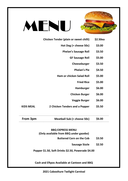

# MENU

- **Chicken Tender (plain or sweet chilli) \$2.50ea**
	- **Hot Dog (+ cheese 50c) \$3.00**
		- **Phelan's Sausage Roll \$3.50**
			- **GF Sausage Roll \$5.00**
				- **Cheeseburger \$3.50**
					- **Phelan's Pie \$4.50**
	- **Ham or chicken Salad Roll \$5.00**
		- **Fried Rice \$5.00**
		- **Hamburger \$6.00**
		- **Chicken Burger \$6.00**
		- **Veggie Burger \$6.00**

**KIDS MEAL 2 Chicken Tenders and a Popper \$5.50**

| From 3pm | Meatball Sub (+ cheese 50c) | \$6.00 |  |
|----------|-----------------------------|--------|--|
|----------|-----------------------------|--------|--|

#### **BBQ EXPRESS MENU (Only available from BBQ under gazebo)**

- - **Buttered Corn on the Cob \$3.50**
		- **Sausage Sizzle \$2.50**

**Popper \$1.50, Soft Drinks \$2.50, Powerade \$4.00**

**Cash and Eftpos Available at Canteen and BBQ**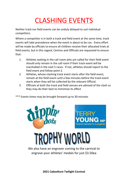## CLASHING EVENTS

Neither track nor field events can be unduly delayed to suit individual competitors

Where a competitor is in both a track and field event at the same time, track events will take precedence when the event is about to be run. Every effort will be made by officials to ensure all children receive their allocated trials at field events, but in this regard, Centres and Officials are requested to ensure that:

- 1. Athletes waiting in the call room who are called for their field event should only remain in the call room if their track event will be marshalled in the next 5 races. If not, athletes should report to the field event and follow point 2.
- 2. Athletes, whose clashing track event starts after the field event, remain at the field event until a few minutes before the track event starts when they will be collected by the relevant Official.
- 3. Officials at both the track and field venues are advised of the clash so they may do their best to mimimise its effect

\*\*\* Events times may be brought forward up to 30 minutes



We also have an engraver coming to the carnival to engrave your athletes' medals for just \$3.50ea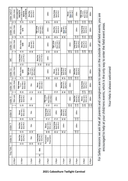| Under 14/17         | 1500m Walk              | U15-U16G & U14B<br>U14G 80/9/76<br>U15-U16B/U17<br>100/10/76<br>90/9/76 | Girls Pit 4<br>Boys Pit 3<br>Shot Put               |                                                     | 100m                                              | Long Jump<br>Boys Pit 3<br>Girls Pit 5              |                                        | Boys net 1<br>Girls net 2<br>Discus | 200m                                      | Boys mat 1<br>Girls Mat 2<br>High Jump<br>Flop Mats | 800m                 |
|---------------------|-------------------------|-------------------------------------------------------------------------|-----------------------------------------------------|-----------------------------------------------------|---------------------------------------------------|-----------------------------------------------------|----------------------------------------|-------------------------------------|-------------------------------------------|-----------------------------------------------------|----------------------|
|                     | $\mathbf{1}$<br>$^{12}$ | $20^{2}$                                                                | Lt<br>$\frac{3}{4}$                                 |                                                     | 58                                                | <b>88</b>                                           |                                        | 108<br>109                          | 116<br>117                                | 133<br>132                                          | 145<br>144           |
| Under <sub>13</sub> | 1500m Walk              | 80m Hurdles<br>9/76                                                     |                                                     | Boys mat 1<br>Girls Mat 2<br>High Jump<br>Flop Mats | 100m                                              | Girls Pit 4<br>Boys Pit 3<br>Shot Put               | Boxs net 1<br>Girls net 2<br>Discus    |                                     | 200m                                      | <b>Long Jump</b><br>Girls Pit 5<br>Boys Pit 3       | 800m                 |
|                     | თვ                      | 17 <sub>8</sub>                                                         |                                                     | 52<br>35                                            | <b>\$B</b>                                        | <b>SS</b> 58                                        | 옰<br>S <sub>3</sub>                    |                                     | 114<br>115                                | 130<br>131                                          | 143<br>142           |
| Under 12            | 1500m Walk              | 80m Hurdles<br>9/68                                                     | Boys net 1<br>Girls net 2<br>Discus                 |                                                     | 100m                                              | Boys mat 1<br>Girls Mat 2<br>High Jump<br>Flop Mats |                                        | 200m                                | Long Jump<br>Girls Pit 5<br>Boys Pit 3    | Boys Pit 3<br>Girls Pit 4<br>Shot Put               | 800m                 |
|                     | $\sim$ 00               | 45<br>16                                                                | 45<br>46                                            |                                                     | 23                                                | 25 53                                               |                                        | $\frac{106}{107}$                   | 122<br>123                                | $\frac{28}{129}$                                    | 141<br>$\frac{3}{4}$ |
| ЖC                  |                         | Long Jump<br>13-17 Pit 2<br>9-12 Pit 1                                  |                                                     | 13-17 Pit 4<br>9-12 Pit 3<br>Shot Put               | 100 <sub>m</sub>                                  |                                                     |                                        |                                     |                                           |                                                     |                      |
|                     |                         | 31<br>31                                                                |                                                     | <b>ដី ដី</b>                                        | ន ដ                                               |                                                     |                                        |                                     |                                           |                                                     |                      |
| Under 11            | 1100m Walk              | 80m Hurdles<br>9/60                                                     | Boys mat 1<br>Girls Mat 2<br>High Jump<br>Flop Mats |                                                     | 100m                                              | Boys net 1<br>Girls net 2<br>Discus                 | Long Jump<br>Boys Pit 3<br>Girls Pit 5 | 200m                                | Boys Pit 3<br>Girls Pit 4<br>Shot Put     |                                                     | 800m                 |
|                     | un uo                   | $\frac{m}{4}$                                                           | 43<br>$\frac{4}{3}$                                 |                                                     | <b>SS 50</b>                                      | 28                                                  | 96<br>57                               | 104<br>105                          | 120<br>121                                |                                                     | 139<br>138           |
| Under 10            | 1100m Walk              | Boys Mat 1<br>Girls Mat 2<br>High Jump<br>Scissor                       | 70m                                                 | Boys net 1<br>Girls net 2<br>Discus                 |                                                   | 100m                                                | Boys Pit 3<br>Girls Pit 4<br>Shot Put  | 200m                                |                                           | Long Jump<br>Boys Pit 1<br>Girls Pit 2              | 800m                 |
|                     | m <del>a</del>          | ಇ ಇ                                                                     | <b>45</b>                                           | 52<br>53                                            |                                                   | <b>PR</b>                                           | 25 25                                  | 102<br>103                          |                                           | 126<br>127                                          | 136<br>137           |
| Inder 9             | 700m walk               | Long Jump<br>Girls Pit 5<br>Boys Pit 3                                  | 70m                                                 |                                                     | Boys Mat 1<br>Girls Mat 2<br>High Jump<br>Scissor | 100m                                                |                                        | 200m                                | Boys Pit 1<br>Girls Pit 2<br>Shot Put     | Boys net 1<br>Girls net 2<br>Discus                 | 800m                 |
|                     | $H_{\rm N}$             | 27                                                                      | 유 <i>민</i>                                          |                                                     | $\frac{2}{7}$                                     | <b>SK</b>                                           |                                        | 300<br>101                          | 118<br>119                                | 124<br>125                                          | 134<br>135           |
| Under 8             |                         | Girls net 2<br>Boys net 1<br>Discus                                     | 70m                                                 |                                                     | Long Jump<br>Girls Pit 2<br>Boys Pit 1            | 100m                                                | Boys Pit 1<br>Girls Pit 2<br>Shot Put  |                                     | 200m                                      |                                                     |                      |
|                     |                         | 25                                                                      | $\frac{28}{16}$                                     |                                                     | R <sub>7</sub>                                    | <b>A 15</b>                                         | 54 53                                  |                                     | $\begin{array}{c} 112 \\ 113 \end{array}$ |                                                     |                      |
| Under 7             |                         | Girls Pit 4<br>Boys Pit 3<br>Shot Put                                   | 70m                                                 |                                                     | Boys net 1<br>Girls net 2<br>Discus               | dung Jumb<br>Girls Pit 2<br>Boys Pit 1              | 100m                                   |                                     | 200m                                      |                                                     |                      |
|                     |                         | 23,                                                                     | <b>26 26</b>                                        |                                                     | G9<br>3                                           | <b>85</b>                                           | ន ដ                                    |                                     | $\frac{110}{111}$                         |                                                     |                      |
| Under 6             |                         | Girls Pit 2<br>Boys Pit 1<br>Shot Put                                   | 70m                                                 | Long Jump<br>Boys Pit 1<br>Girls Pit 2              | Participation<br>Presentation<br>Medal            |                                                     |                                        |                                     |                                           |                                                     |                      |
|                     |                         | $\frac{21}{22}$                                                         | 55                                                  | <b>S 51</b>                                         |                                                   |                                                     |                                        |                                     |                                           |                                                     |                      |
| <b>Tiny Tots</b>    |                         |                                                                         |                                                     | 60m                                                 |                                                   |                                                     |                                        |                                     |                                           |                                                     |                      |
|                     |                         |                                                                         |                                                     | 49                                                  |                                                   |                                                     |                                        |                                     |                                           |                                                     |                      |
|                     | 12:00pm                 | 12:30 <sub>pm</sub>                                                     | 1:15 <sub>pm</sub>                                  | 2:00pm                                              | $2:45$ pm                                         | 3:30pm                                              | 4:15pm                                 | 5:00pm                              | 5:45pm                                    | 6:30pm                                              | 6:45pm               |

Your Help is always welcomed Your Help is always welcomed

For Safety reasons we ask that all parents and caregivers are to remain on the outside of all field events, you are For Safety reasons we ask that all parents and caregivers are to remain on the outside of all field events, you are encouraged to help at your child/rens events, which is the only way to enter the field event areas. encouraged to help at your child/rens events, which is the only way to enter the field event areas.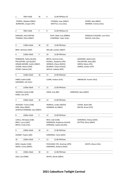| 1  | 700m Walk                                                                                                                          | M | 9  | 12:00 PM Race 01                                                                                                         |                                                                                             |
|----|------------------------------------------------------------------------------------------------------------------------------------|---|----|--------------------------------------------------------------------------------------------------------------------------|---------------------------------------------------------------------------------------------|
|    | TOWEEL, Malakai (DBAY)<br>BURROWS, Cooper (IPS)                                                                                    |   |    | THOMAS, Isaac (DBAY)<br>WHITTLE, Cruz (CAL)                                                                              | DURRE, Max (RBAY)<br>MENNER, Tommy (CAL)                                                    |
| 2  | 700m Walk                                                                                                                          | F | 9  | 12:00 PM Race 01                                                                                                         |                                                                                             |
|    | KANAGES, Asha (MTGR)<br>THOMAS, Olivia (DBAY)                                                                                      |   |    | RUFF, Miah-rose (MBRO)<br>CHAPMAN, Taylor (CAL)                                                                          | RONQUILLO BUENO, Lara (CAL)<br>NIEHUS, Indi (CAL)                                           |
| 3  | 1100m Walk                                                                                                                         | м | 10 | 12:00 PM Heat                                                                                                            |                                                                                             |
|    | BRAY, Nicholas (GAP)                                                                                                               |   |    | MILLAR, Lachlan (DBAY)                                                                                                   |                                                                                             |
| 4  | 1100m Walk                                                                                                                         | F | 10 | 12:00 PM Heat                                                                                                            |                                                                                             |
|    | ROBINSON, Tahlia (GLASS)<br>PALLENTINE, Lyla (GLASS)<br>ORGAN-MOORE, Caitlin (DBAY)<br>LEEDER, Aleena (SPR)<br>VICARY, Dakota (CN) |   |    | BRYCE, Gemma (CAL)<br>RUSSELL, Kaydence (IPS)<br>HERMUS, Eliana (NOOS)<br>MURRAY, Chloe (HVALE)<br>WELCH, Isabella (SPR) | GODDARD, Stella (CAL)<br>PALLENTINE, Ruby (BD)<br>GREEN, Macie (IPS)<br>HARRIS, Amber (STP) |
| 5  | 1100m Walk                                                                                                                         | M | 11 | 12:00 PM Heat                                                                                                            |                                                                                             |
|    | HINDS, Kaleb (CAB)<br>GODDARD, Jett (CAL)                                                                                          |   |    | CLARK, Hudson (CAL)                                                                                                      | SIBENALER, Hunter (ALG)                                                                     |
| 6  | 1100m Walk                                                                                                                         | F | 11 | 12:00 PM Heat                                                                                                            |                                                                                             |
|    | WASSON, Estella (CAB)<br>KABLE, Zoe (STP)                                                                                          |   |    | CREW, Evie (BD)                                                                                                          | HARRISON, Skye (DBAY)                                                                       |
| 7  | 1500m Walk                                                                                                                         | M | 12 | 12:00 PM Heat                                                                                                            |                                                                                             |
|    | JACKSON, Tristan (CAB)<br>KING, Riley (DBAY)<br>ACKFIELD KENNARD, Saul (DBAY)                                                      |   |    | HERMUS, Linden (NOOS)<br>GORMAN, Ky (DBAY)                                                                               | COOKE, Noah (AR)<br>MILLER, Brock (STP)                                                     |
| 8  | 1500m Walk                                                                                                                         | F | 12 | 12:00 PM Heat                                                                                                            |                                                                                             |
|    | LAVELL, Michaela (CAB)<br>BRAY, Laura (GAP)<br>BRYCE, Emily (CAL)                                                                  |   |    | RICH, Lilah (CAB)<br>ROBINSON, Stephanie (GLASS)<br>KERRIDGE, Sophie (GLASS)                                             | KORORIKO, Felicity (GDH)<br>RUTTEN, Olivia (DBAY)                                           |
| 9  | 1500m Walk                                                                                                                         | M | 13 | 12:00 PM Heat                                                                                                            |                                                                                             |
|    | GOSNEY, Payton (BD)                                                                                                                |   |    | KORORIKO, Tama (GDH)                                                                                                     |                                                                                             |
| 10 | 1500m Walk                                                                                                                         | F | 13 | 12:00 PM Heat                                                                                                            |                                                                                             |
|    | BOW, Hayden (CAB)<br>MEAD, Livinia (DBAY)                                                                                          |   |    | PICKVANCE-YEE, Destinee (SPR)<br>KORORIKO, Awhena (GDH)                                                                  | WHITE, Alison (CAL)                                                                         |
| 11 | 1500m Walk                                                                                                                         | M | 14 | 12:00 PM Heat                                                                                                            |                                                                                             |
|    | DALE, Kai (ORM)                                                                                                                    |   |    | WHITE, Micah (DBAY)                                                                                                      |                                                                                             |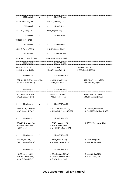| 11 | 1500m Walk                                                              | M | 15                                       | 12:00 PM Heat                                                             |                                                       |  |  |  |
|----|-------------------------------------------------------------------------|---|------------------------------------------|---------------------------------------------------------------------------|-------------------------------------------------------|--|--|--|
|    | LAVELL, Nicholas (CAB)                                                  |   |                                          | HIGHAM, Tristan (STP)                                                     |                                                       |  |  |  |
| 11 | 1500m Walk                                                              | М | 16                                       | 12:00 PM Heat                                                             |                                                       |  |  |  |
|    | KERRIDGE, Alex (GLASS)                                                  |   |                                          | LEECH, Eugene (BD)                                                        |                                                       |  |  |  |
| 11 | 1500m Walk                                                              | M | 17                                       | 12:00 PM Heat                                                             |                                                       |  |  |  |
|    | WASSON, Seth (CAB)                                                      |   |                                          |                                                                           |                                                       |  |  |  |
| 12 | 1500m Walk                                                              | F | 15                                       | 12:00 PM Heat                                                             |                                                       |  |  |  |
|    | MORRIS, Taylah (RBAY)                                                   |   |                                          | KING, Maddison (DBAY)                                                     |                                                       |  |  |  |
| 12 | 1500m Walk                                                              | F | 16                                       | 12:00 PM Heat                                                             |                                                       |  |  |  |
|    | SMULDERS, Schyler (DBAY)                                                |   |                                          | CHADWICK, Phoebe (BRK)                                                    |                                                       |  |  |  |
| 12 | 1500m Walk                                                              | F | 14                                       | 12:00 PM Heat                                                             |                                                       |  |  |  |
|    | WASSON, Ava (CAB)<br>PRESLAND, Skye (RCLF)                              |   |                                          | BRAY, Katie (GAP)<br>MOONEY, Abby (MBRO)                                  | WILLIAMS, Ava (DBAY)<br>MEAD, Natalie (DBAY)          |  |  |  |
| 13 | 80m Hurdles                                                             | М | 11                                       | 12:30 PM Race 01                                                          |                                                       |  |  |  |
|    | 1 RONQUILLO BUENO, Ruben (CAL)<br>2 WYNN, Austin (WBDG)                 |   | 3 HAND, SEAMUS (BD)<br>4 BUOL, Buol (BP) |                                                                           | 5 MUNDAY, Phoenix (BRK)<br>6 RICHMOND, TJ (BP)        |  |  |  |
| 13 | 80m Hurdles                                                             | M | 11                                       | 12:30 PM Race 02                                                          |                                                       |  |  |  |
|    | 1 WILLIAMS, Harry (HFD)<br>2 WILLIS, Zachary (SPR)                      |   |                                          | 3 PRESLEY, Zac (CAB)<br>4 MILLS, Teddy (BRK)                              | 5 GODDARD, Jett (CAL)<br>6 MOORE, Aiden (WAM)         |  |  |  |
| 13 | 80m Hurdles                                                             | М | 11                                       | 12:30 PM Race 03                                                          |                                                       |  |  |  |
|    | 1 SHERWOOD, Azra (ASP)<br>2 MAY, Cooper (HVALE)                         |   |                                          | 3 GIBBONS, Brax (GLASS)<br>4 KWARCIANYI, Izaac (GLASS)                    | 5 KAIGHIN, Brad (STHS)<br>6 TILLOTSON, William (NOOS) |  |  |  |
| 14 | 80m Hurdles                                                             | F | 11                                       | 12:30 PM Race 01                                                          |                                                       |  |  |  |
|    | 1 TAYLOR, Charlotte (CAB)<br>2 MALONE, Tayla (BP)<br>3 HUNTER, Mia (BP) |   |                                          | 4 PAEA, Houstand (IPS)<br>5 BYNGE, Amy (RBAY)<br>6 MCGEEHAN, Sophie (IPS) | 7 HARRISON, Jessica (DBAY)                            |  |  |  |
| 14 | 80m Hurdles                                                             | F | 11                                       | 12:30 PM Race 02                                                          |                                                       |  |  |  |
|    | 1 WOODS, KIKI (BD)<br>2 EVANS, Audrey (BALM)                            |   |                                          | 3 ISAAC, Olive (GYM)<br>4 ADAMS, Cheree (DBAY)                            | 5 KURZ, Ada (NGO)<br>6 NIEHUS, Lily (CAL)             |  |  |  |
| 15 | 80m Hurdles                                                             | M | 12                                       | 12:30 PM Race 01                                                          |                                                       |  |  |  |
|    | 1 JONES, Logan (DBAY)<br>2 HUGHES, Nayte (CAB)<br>3 IAKOPO, Zyon (RCLF) |   |                                          | 4 COLLINS, Cruz (BALM)<br>5 ONAGA, Jedidiah (STP)<br>6 O'DEA, Keaan (BRK) | 7 JACOBS, Lian (IPS)<br>8 ROSS, Tyler (CAB)           |  |  |  |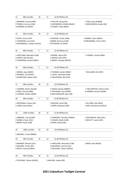| 15 | 80m Hurdles                                                                      | м | 12 | 12:30 PM Race 02                                                                       |                                                       |
|----|----------------------------------------------------------------------------------|---|----|----------------------------------------------------------------------------------------|-------------------------------------------------------|
|    | 1 NAAMAN, Youssef (SPR)<br>2 TOMASI, Cormac (CAB)<br>3 GORMAN, Ky (DBAY)         |   |    | 4 PHILLIPS, Doug (CN)<br>5 MCDIARMID, LOGAN (BALM)<br>6 CASSIDY, Koby (RBAY)           | 7 KIDD, Kupa (NAMB)<br>8 WOLFENDEN, Brodie (AR)       |
| 15 | 80m Hurdles                                                                      | м | 12 | 12:30 PM Race 03                                                                       |                                                       |
|    | 1 KEATS, Henry (STP)<br>2 CHAMPION, Levi (USC)<br>3 MCGARRIGLE, Cooper (HVALE)   |   |    | 4 JACKSON, Tristan (CAB)<br>5 BAKER, Bronson (CAB)<br>6 PETERSON, Eli (GYM)            | 7 BRAND, Chase (DBAY)<br>8 HINCKSMAN, Tristin (USC)   |
| 16 | 80m Hurdles                                                                      | F | 12 | 12:30 PM Race 01                                                                       |                                                       |
|    | 1 HARTLAND, Meredith (CAB)<br>2 GERITZ, Mia (GLASS)<br>3 VUNIWAQA, Amelia (DBAY) |   |    | 4 BIENKE, Olivia (IPS)<br>5 BOHEN, Ruby (IPS)<br>6 GRANT, Georgia (NOOS)               | 7 CONNELL, Rachel (BRK)                               |
| 16 | 80m Hurdles                                                                      | F | 12 | 12:30 PM Race 02                                                                       |                                                       |
|    | 1 MARSH, Ayva (DBAY)<br>2 MURRAY, Tia (HVALE)<br>3 ELKINGTON, Sophie (USC)       |   |    | 4 THOMAS, Caitlyn (DBAY)<br>5 LAVELL, Michaela (CAB)<br>6 VAN RYSSEN, Mia (USC)        | 7 WILLIAMS, Ella (HFD)                                |
| 17 | 80m Hurdles                                                                      | м | 13 | 12:30 PM Race 01                                                                       |                                                       |
|    | 1 COOMBS, Ruben (GLASS)<br>2 PEREZ, Samuel (BRK)<br>3 THOMAS, Haiden (DBAY)      |   |    | 4 CARIUS, Bayley (MBRO)<br>5 PATERSON, Coen (DBAY)<br>6 MOLLENHAUER, Ryan (SB)         | 7 VAN STRATEN, Ashton (USC)<br>8 HANSEN, Hamish (WAM) |
| 18 | 80m Hurdles                                                                      | F | 13 | 12:30 PM Race 01                                                                       |                                                       |
|    | 1 MCDONALD, Alyssa (GC)<br>2 JONES, Katie (REDL)                                 |   |    | 3 BOLDEN, Jenali (SB)<br>4 JONES, Makayla (CAB)                                        | 5 DE JONG, Mia (NGO)<br>6 MAY, Mackenzie (HVALE)      |
| 19 | 100m Hurdles                                                                     | м | 15 | 12:30 PM Race 01                                                                       |                                                       |
|    | 1 GIBBONS, Trae (GLASS)<br>2 DANIELS, Ryan (USC)<br>3 BARRY, Noah (CAB)          |   |    | 4 COWDROY, Geordie (TWBAC)<br>5 HUGHES, Bailin (CAB)<br>6 GWIN, Kaleb (JIM)            | 7 MCDONALD, Riley (CAL)<br>8 KELLETT, Jacob (USC)     |
| 19 | 100m Hurdles                                                                     | м | 16 | 12:30 PM Race 01                                                                       |                                                       |
|    | 1 MOONEY, Travis (MBRO)                                                          |   |    |                                                                                        |                                                       |
| 19 | 90m Hurdles                                                                      | M | 14 | 12:30 PM Race 01                                                                       |                                                       |
|    | 2 MENNER, Michael (CAL)<br>3 MALONE, Jordan (BP)<br>4 WHITE, Samuel (DBAY)       |   |    | 5 HARTLAND, Alexander (CAB)<br>6 KOLINISAU, Joshua (CAL)<br>7 PECKHAM, Taliesin (NOOS) | 8 BEER, Jake (NOOS)                                   |
| 19 | 90m Hurdles                                                                      | M | 14 | 12:30 PM Race 02                                                                       |                                                       |
|    | 1 PECKHAM, Taliesin (NOOS)                                                       |   |    | 2 MALONE, Jordan (BP)                                                                  |                                                       |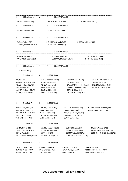| 19              | 100m Hurdles                                                                                                        | M | 17                                                                                                                                   | 12:30 PM Race 01                                                                           |                                                                                                                                                  |                                                                                              |
|-----------------|---------------------------------------------------------------------------------------------------------------------|---|--------------------------------------------------------------------------------------------------------------------------------------|--------------------------------------------------------------------------------------------|--------------------------------------------------------------------------------------------------------------------------------------------------|----------------------------------------------------------------------------------------------|
|                 | 2 SWIFT, Michael (CAB)                                                                                              |   |                                                                                                                                      | 3 BROWN, Kalum (TWBAC)                                                                     | 4 DOWNIE, Aidan (DBAY)                                                                                                                           |                                                                                              |
| 20              | 90m Hurdles                                                                                                         | F | 16                                                                                                                                   | 12:30 PM Race 01                                                                           |                                                                                                                                                  |                                                                                              |
|                 | 6 HILTON, Eboniee (CAB)                                                                                             |   |                                                                                                                                      | 7 TOFFUL, Amber (CAL)                                                                      |                                                                                                                                                  |                                                                                              |
| 20              | 90m Hurdles                                                                                                         | F | 15                                                                                                                                   | 12:30 PM Race 01                                                                           |                                                                                                                                                  |                                                                                              |
|                 | 1 RYALLS, Teikia (STP)<br>4 O'BRIEN, Makenzie (USC)                                                                 |   |                                                                                                                                      | 2 CHAMPION, India (USC)<br>5 POULTON, Amber (GC)                                           | 3 BROWN, Chloe (USC)                                                                                                                             |                                                                                              |
| 20              | 80m Hurdles                                                                                                         | F | 14                                                                                                                                   | 12:30 PM Race 01                                                                           |                                                                                                                                                  |                                                                                              |
|                 | 1 MAIZEY, Perla (STP)<br>2 KAPERNICK, Georgia (SB)                                                                  |   |                                                                                                                                      | 3 WASSON, Ava (CAB)<br>4 GORMAN, Madison (DBAY)                                            |                                                                                                                                                  | 5 WILLIAMS, Ava (DBAY)<br>6 TOFFUL, Isabel (CAL)                                             |
| 20              | 100m Hurdles                                                                                                        | F | 17                                                                                                                                   | 12:30 PM Race 01                                                                           |                                                                                                                                                  |                                                                                              |
|                 | 5 COX, Essie (DBAY)                                                                                                 |   |                                                                                                                                      |                                                                                            |                                                                                                                                                  |                                                                                              |
| 21              | Shot Put M                                                                                                          | 6 | 12:30 PM Heat                                                                                                                        |                                                                                            |                                                                                                                                                  |                                                                                              |
| LEE, Jack (IPS) | MULHERAN, Noah (CAB)<br>DOYLE, Zachary (GLASS)<br>XING, Max (ALG)<br>PALMER, Jackson (DBAY)<br>LATTER, Xavier (WAM) |   | DAVIS, Bennett (REDL)<br>JONES, Myles (REDL)<br>ASKEW, Nate (JIM)<br>RYAN, Faolán (AR)<br>CLUN, Achilles (CN)<br>WEST, Charlie (CAB) |                                                                                            | MURRAY, Kai (HVALE)<br>MALONE, Calvin (BP)<br>KWARCIANYI, Judah (GLASS)<br>SWEENEY, Connor (CAB)<br>OBRIEN, Dillon (GC)<br>NELSON, Stanley (USC) | ABERNETHY, Henry (CAB)<br>TIMMS, Jed (CAB)<br>STEVENS, William (CAB)<br>MUSTON, Archer (CAB) |
| 22              | Shot Put F                                                                                                          | 6 | 12:30 PM Heat                                                                                                                        |                                                                                            |                                                                                                                                                  |                                                                                              |
|                 | LEADBETTER, Evie (IPS)<br>FOREMAN, Evie (USC)<br>WISEWOULD, Ellkah (BD)<br>BOYD, Lucy (BALM)<br>VELDMAN, Mia (USC)  |   | KAIGHIN, Ailbe (STHS)<br>KIRKBY, Aria (USC)<br>BLAKE, Sarah (BRK)<br>TAYLOR, Amara (CAB)<br>ELLIS, Lachlan (ASH)                     | JACKSON, Tabitha (CAB)<br>DARRA, Sage (CAB)<br>GREGORY, Piper (BEEN)<br>CLARK, Layne (CAL) | MOULDS, Brooklyn (CAB)                                                                                                                           | HAGAN-GREEN, Aubrey (IPS)<br>HINCKSMAN, Lilliana (USC)                                       |
| 23              | Shot Put M                                                                                                          | 7 | 12:30 PM Heat                                                                                                                        |                                                                                            |                                                                                                                                                  |                                                                                              |
|                 | RICHMOND, RJ (BP)<br>VAN RYSSEN, Jesse (USC)<br>GRAHL, Austin (JIM)<br>ENTERMANN, Ryan (HVALE)                      |   | KRABBE, Joseph (REDL)<br>LATTER, Oliver (WAM)<br>RUFF, Eli (MBRO)<br>BRYANT, Carter (RCLF)                                           |                                                                                            | GOODRICH, Jake (SB)<br>WHITTLE, Nixon (CAL)<br>GORMAN, Bodhi (DBAY)<br>SCHWENKE, Solomona (STP)                                                  | BROWN, Archie (CAB)<br>AMOHANGA, Malachi (CAB)<br>GORDON- HUGHES, Rocci (CAB)                |
| 24              | Shot Put F                                                                                                          | 7 | 12:30 PM Heat                                                                                                                        |                                                                                            |                                                                                                                                                  |                                                                                              |
|                 | STICKLER, Holly (CAB)<br>NEWELL, Alexis (DBAY)<br>HUGHES, Asher (CAB)                                               |   | HOCKING, Eva (SPR)<br>HARE, Charlotte (CAB)<br>LIGHT, Ava (CAB)                                                                      | BOHEN, Violet (IPS)<br>HLAVATY, Peyton (BP)<br>GAUCI, Jorja (BD)                           |                                                                                                                                                  | CRAGG, Lila (ALG)<br>ABERNETHY, Charlee (DBAY)<br>MARCHETTI, Arielle (CAL)                   |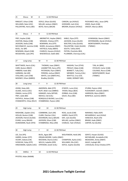| 25                                                                                                                                                                | <b>Discus</b> | м | 8  | 12:30 PM Heat                                                                                                                                                                    |               |                                                                                                                                                                                |                                                                                                                                        |
|-------------------------------------------------------------------------------------------------------------------------------------------------------------------|---------------|---|----|----------------------------------------------------------------------------------------------------------------------------------------------------------------------------------|---------------|--------------------------------------------------------------------------------------------------------------------------------------------------------------------------------|----------------------------------------------------------------------------------------------------------------------------------------|
| RINGUET, Ethan (CAB)<br>WILLIAMS, Nate (USC)<br>PALLENTINE, Henry (BD)                                                                                            |               |   |    | DOYLE, Ethan (GLASS)<br>MILLAR, Jackson (DBAY)<br>BOYD, Henry (BALM)                                                                                                             |               | CARSON, Jye (HVALE)<br>GODDARD, Jack (CAL)<br>BROWN, Braxton (HVALE)                                                                                                           | PICKVANCE-HALL, Jesse (SPR)<br>HINDS, Noah (CAB)<br>CREEDY, Marcas (BEA)                                                               |
| 26                                                                                                                                                                | <b>Discus</b> | F | 8  | 12:30 PM Heat                                                                                                                                                                    |               |                                                                                                                                                                                |                                                                                                                                        |
| FREY, Kaylee (CAB)<br>OGSTON, Malea (CAB)<br>JACKSON, Stella (CAB)<br>MCCONACHY, Jasmine (CAB)<br>BUOL, Yar (BP)<br>NEWMAN, Aliyah (CAB)<br>MCGEEHAN, Layla (IPS) |               |   |    | ABERNETHY, Haylee (DBAY)<br>WRAGGE, Chelsea (STP)<br>BOWMAN, Aria (STP)<br>WARD, Annastasia (DBAY)<br>HATFIELD, Ruby (RBAY)<br>CHARLES, Havana (HVALE)<br>WISEWOULD, Oaklii (BD) |               | KABLE, Elyza (STP)<br>JACKSON, Grace (GLASS<br>WALTERS, Erika (GLASS)<br>PALLENTINE, Violet (GLASS)<br>SOUTH, Tahlia (ASH)<br>PATON, Charlotte (BEA<br>PLUMMER, Chernaya (CAL) | VUNIWAQA, Naomi (DBAY)<br>ENTERMANN, Alyrah (HVALE)<br>MONTGOMERY, Penelope<br>(TWBAC)                                                 |
| 27                                                                                                                                                                | Long Jump     |   | м  | 9                                                                                                                                                                                | 12:30 PM Heat |                                                                                                                                                                                |                                                                                                                                        |
| <b>WHITTAKER, Harris (CAL)</b><br>CARR, Boston (RBAY)<br>HIBBERD, Kade (BD)<br>HARMAN, Zak (AR)<br>STALLARD, Liam (CAB)<br>MOONEY, Ethan (MBRO)                   |               |   |    | THOMAS, Isaac (DBAY)<br>LEADBETTER, Darcy (IPS)<br>PATERSON, Flynn (DBAY)<br>PEREIRA, Joshua (DBAY)<br>WHITE, Levi (DBAY) HILL,<br>Bradley (GLASS)                               |               | KAIGHIN, Tom (STHS)<br>PRESLEY, Blake (CAB)<br><b>BENNETT, Tully (CAL)</b><br>MENNER, Tommy (CAL)<br>WHITTLE, Cruz (CAL<br>HAND, DERMOT (BD)                                   | TJIN, Ari (BRK)<br>STICKLER, Carter (CAB)<br>COLENSO, Rocco (CAB)<br>MONTGOMERY, Noah<br>(TWBAC)                                       |
| 28                                                                                                                                                                | Long Jump     |   | F  | 9                                                                                                                                                                                | 12:30 PM Heat |                                                                                                                                                                                |                                                                                                                                        |
| JOHNS, Ruby (AR)<br>ALSAEE, Amira (USC)<br>ONAGA, Jonina (STP)<br>FREY, Jaide (BD)<br>FAITHFUL, Kelsee (CAB)<br>STANWORTH, Chloe (RCLF)                           |               |   |    | AMORSEN, Abbi (STP)<br>RUFF, Miah-rose (MBRO)<br>KANAGES, Asha (MTGR)<br>NIEHUS, Indi (CAL)<br>RONQUILLO BUENO, Lara (CAL)<br>STANBRIDGE, Peyton (JIM)                           |               | O'KEEFE, Lucia (CAL)<br>RYDER, Maya (BEA)<br>ZORBAS, Aria (CAB)<br>GAUCI, Rosa (BD)                                                                                            | STURM, Peyton (JIM)<br>PUSHKAREFF, Danielle (DBAY)<br>HARRISON, Myra (DBAY)<br>BONFIELD, Jasmine (DBAY)                                |
| 29                                                                                                                                                                | High Jump     |   | м  | 10                                                                                                                                                                               | 12:30 PM Heat |                                                                                                                                                                                |                                                                                                                                        |
| MASHOBE, Zayden (CAL)<br>HOLLAS, Boston (CAB)<br>JACKSON, Patrick (GLASS)<br>EVANS, Leroy (BALM)<br>DUNEMANN, Noah (HFD)                                          |               |   |    | COMBRINK, Zach (AR)<br>CLARK, Fletcher (CAL)<br>DICKINSON, Darcy (BALM)<br>JACKSON, Ethan (CAB)<br>STANBRIDGE, Riley (JIM)                                                       |               | ROSS, Jacob (CAB)<br>HARRIS, David (STP)<br>DAY, Jack (GLASS)<br>MILLAR, Lachlan (DBAY)<br>CHARLES, Tyler (HVALE)                                                              | NARANJO, Pablo (ASP)<br>MCGARRIGLE, Jack (HVALE<br>HANCOCK, Noah (CN)<br>BRAND, Kade (DBAY)<br>CARTER, Kai (GLASS)                     |
| 30                                                                                                                                                                | High Jump     |   | F  | 10                                                                                                                                                                               | 12:30 PM Heat |                                                                                                                                                                                |                                                                                                                                        |
| LEE, Zoe (IPS)<br>HARRIS, Amber (STP)<br>VICARY, Dakota (CN)<br>IVOSEVAC, Ruby (STP)<br>HINCKSMAN, Sabelle (USC)                                                  |               |   |    | BUOL, Agaw (BP)<br>ORGAN-MOORE, Caitlin (DBAY)<br>MCEWAN, Sharna (USC)<br>WELCH, Isabella (SPR)<br>STRYDOM, Zandri (CAL)                                                         |               | WOLFENDEN, Heidi (AR)<br>CHAMPION, Aysha (USC)<br>WILLIAMS, Ella (USC)<br>DOYLE, Sophie (GLASS)                                                                                | GERITZ, Harper (GLASS)<br>MCFARLANE, Annabelle (CN)<br>MEADOWS, Amity (DBAY)<br>GAUCI, Ivyleigh (BD<br>) DOUGLAS, Kirsty Chiedza (STP) |
| 31                                                                                                                                                                | AWDLJ         | F | 10 | 12:30 PM Heat                                                                                                                                                                    |               |                                                                                                                                                                                |                                                                                                                                        |
| PFISTER, Aidan (NAMB)                                                                                                                                             |               |   |    |                                                                                                                                                                                  |               |                                                                                                                                                                                |                                                                                                                                        |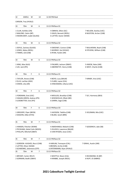| 32                                                                                        | AWDLJ                                                                                                    | М | 14 | 12:30 PM Heat                                                                                      |                                                    |  |  |
|-------------------------------------------------------------------------------------------|----------------------------------------------------------------------------------------------------------|---|----|----------------------------------------------------------------------------------------------------|----------------------------------------------------|--|--|
|                                                                                           | CARSON, Trey (HVALE)                                                                                     |   |    |                                                                                                    |                                                    |  |  |
| 33                                                                                        | 70 <sub>m</sub>                                                                                          | м | 6  | 13:15 PM Race 01                                                                                   |                                                    |  |  |
|                                                                                           | 1 CLUN, Achilles (CN)<br>2 MALONE, Calvin (BP)<br>3 KWARCIANYI, Judah (GLASS)                            |   |    | 4 OBRIEN, Dillon (GC)<br>5 DAVIS, Bennett (REDL)<br>6 LATTER, Xavier (WAM)                         | 7 NELSON, Stanley (USC)<br>8 MUSTON, Archer (CAB)  |  |  |
| 33                                                                                        | 70 <sub>m</sub>                                                                                          | м | 6  | 13:15 PM Race 02                                                                                   |                                                    |  |  |
|                                                                                           | 1 DOYLE, Zachary (GLASS)<br>2 JONES, Myles (REDL)<br>3 TIMMS, Jed (CAB)                                  |   |    | 4 SWEENEY, Connor (CAB)<br>5 MURRAY, Kai (HVALE)<br>6 RYAN, Faolán (AR)                            | 7 MULHERAN, Noah (CAB)<br>8 STEVENS, William (CAB) |  |  |
| 33                                                                                        | 70 <sub>m</sub>                                                                                          | м | 6  | 13:15 PM Race 03                                                                                   |                                                    |  |  |
|                                                                                           | 1 XING, Max (ALG)<br>2 LEE, Jack (IPS)                                                                   |   |    | 3 PALMER, Jackson (DBAY)<br>4 ABERNETHY, Henry (CAB)                                               | 5 ASKEW, Nate (JIM)<br>6 WEST, Charlie (CAB)       |  |  |
| 34                                                                                        | 70 <sub>m</sub>                                                                                          | F | 6  | 13:15 PM Race 01                                                                                   |                                                    |  |  |
| 1 TAYLOR, Amara (CAB)<br>2 ELLIS, Lachlan (ASH)<br>3 OWEN, Lilia (AR)                     |                                                                                                          |   |    | 4 BOYD, Lucy (BALM)<br>7 KIRKBY, Aria (USC)<br>5 CLARK, Layne (CAL)<br>6 HINCKSMAN, Lilliana (USC) |                                                    |  |  |
| 34                                                                                        | 70 <sub>m</sub>                                                                                          | F | 6  | 13:15 PM Race 02                                                                                   |                                                    |  |  |
|                                                                                           | 1 FOREMAN, Evie (USC)<br>2 HAGAN-GREEN, Aubrey (IPS)<br>3 LEADBETTER, Evie (IPS)                         |   |    | 4 MOULDS, Brooklyn (CAB)<br>5 WISEWOULD, Ellkah (BD)<br>6 DARRA, Sage (CAB)                        | 7 SLY, Harmony (BEA)                               |  |  |
| 34                                                                                        | 70 <sub>m</sub>                                                                                          | F | 6  | 13:15 PM Race 03                                                                                   |                                                    |  |  |
|                                                                                           | 1 GREGORY, Piper (BEEN)<br>2 KAIGHIN, Ailbe (STHS)                                                       |   |    | 3 JACKSON, Tabitha (CAB)<br>4 BLAKE, Sarah (BRK)                                                   | 5 VELDMAN, Mia (USC)                               |  |  |
| 35                                                                                        | 70m                                                                                                      | M | 7  | 13:15 PM Race 01                                                                                   |                                                    |  |  |
| 1 HANSEN, Fletcher (WAM)<br>2 PECKHAM, Zekiel Colin (NOOS)<br>3 PHILLIPS, Mitchell (DBAY) |                                                                                                          |   |    | 4 AMOHANGA, Malachi (CAB)<br>5 OLUOCH, Lawrence (BALM)<br>6 VAN RYSSEN, Jesse (USC)                | 7 GOODRICH, Jake (SB)                              |  |  |
| 35                                                                                        | 70m                                                                                                      | м | 7  | 13:15 PM Race 02                                                                                   |                                                    |  |  |
| 35                                                                                        | 1 GORDON- HUGHES, Rocci (CAB)<br>2 LATTER, Oliver (WAM)<br>3 SCHWENKE, Solomona (STP)<br>70 <sub>m</sub> | м | 7  | 4 HARLAN, Tremayne (CAL)<br>5 BROWN, Archie (CAB)<br>6 ENTERMANN, Ryan (HVALE)<br>13:15 PM Race 03 | 7 GRAHL, Austin (JIM)                              |  |  |
|                                                                                           | 1 BRYANT, Carter (RCLF)<br>2 GORMAN, Bodhi (DBAY)                                                        |   |    | 3 WHITTLE, Nixon (CAL)<br>5 RICHMOND, RJ (BP)<br>4 KRABBE, Joseph (REDL)<br>6 RUFF, Eli (MBRO)     |                                                    |  |  |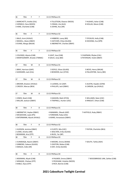| 36 | 70m                                                                                  | F  | 7 | 13:15 PM Race 01                                                                 |                                                      |
|----|--------------------------------------------------------------------------------------|----|---|----------------------------------------------------------------------------------|------------------------------------------------------|
|    | 1 MARCHETTI, Arielle (CAL)<br>2 HERMUS, Clara (NOOS)<br>3 HARE, Charlotte (CAB)      |    |   | 4 TILLOTSON, Eleanor (NOOS)<br>5 CRAGG, Lila (ALG)<br>6 JOHNS, Ava (AR)          | 7 HUGHES, Asher (CAB)<br>8 HOLLAS, Macie (CAB)       |
| 36 | 70m                                                                                  | F  | 7 | 13:15 PM Race 02                                                                 |                                                      |
|    | 1 BALO, Armi (HVALE)<br>2 NEWELL, Alexis (DBAY)<br>3 EVANS, Margo (BALM)             |    |   | 4 HIBBERD, Lacey (BD)<br>5 HATCHER, Chloe (GLASS)<br>6 ABERNETHY, Charlee (DBAY) | 7 STICKLER, Holly (CAB)<br>8 HOCKING, Eva (SPR)      |
| 36 | 70 <sub>m</sub>                                                                      | F  | 7 | 13:15 PM Race 03                                                                 |                                                      |
|    | 1 COLENSO, Alyssia (CAB)<br>2 MONTGOMERY, Brooke (TWBAC)                             |    |   | 3 LIGHT, Ava (CAB)<br>4 GAUCI, Jorja (BD)                                        | 5 CHAPMAN, Rhylee (CAL)<br>6 PATERSON, Violet (DBAY) |
| 37 | 70 <sub>m</sub>                                                                      | M  | 8 | 13:15 PM Race 01                                                                 |                                                      |
|    | 1 BRAY, Harrison (GAP)<br>2 GODDARD, Jack (CAL)                                      |    |   | 3 DOYLE, Ethan (GLASS)<br>4 BOWDEN, ken (STHS)                                   | 5 BOYD, Henry (BALM)<br>6 PALLENTINE, Henry (BD)     |
| 37 | 70m                                                                                  | M  | 8 | 13:15 PM Race 02                                                                 |                                                      |
|    | 1 BROWN, Braxton (HVALE)<br>2 CREEDY, Marcas (BEA)                                   |    |   | 3 LUDWIG, Ari (ASP)<br>4 PHILLIPS, Jack (DBAY)                                   | 5 AUSTIN, Hayden (GYM)<br>6 CARSON, Jye (HVALE)      |
| 37 | 70 <sub>m</sub>                                                                      | M  | 8 | 13:15 PM Race 03                                                                 |                                                      |
|    | 1 HINDS, Noah (CAB)<br>2 MILLAR, Jackson (DBAY)                                      |    |   | 3 KAIGHIN, Matt (STHS)<br>4 TRAPNELL, Hunter (USC)                               | 5 WILLIAMS, Nate (USC)<br>6 RINGUET, Ethan (CAB)     |
| 38 | 70 <sub>m</sub>                                                                      | F. | 8 | 13:15 PM Race 01                                                                 |                                                      |
|    | 1 ABERNETHY, Haylee (DBAY)<br>2 MCGEEHAN, Layla (IPS)<br>3 ENTERMANN, Alyrah (HVALE) |    |   | 4 MAMARIL, Olexah (ASP)<br>5 FOREMAN, Ruby (USC)<br>6 WARD, Annastasia (DBAY)    | 7 HATFIELD, Ruby (RBAY)                              |
| 38 | 70 <sub>m</sub>                                                                      | F  | 8 | 13:15 PM Race 02                                                                 |                                                      |
|    | 1 HUDSON, Jemima (DBAY)<br>2 LOWE, Amelia (JIM)<br>3 BOWMAN, Aria (STP)              |    |   | 4 CLOETE, Mia (USC)<br>5 WALTERS, Erika (GLASS)<br>6 BUOL, Yar (BP)              | 7 PATON, Charlotte (BEA)                             |
| 38 | 70 <sub>m</sub>                                                                      | F  | 8 | 13:15 PM Race 03                                                                 |                                                      |
|    | 1 VUNIWAQA, Naomi (DBAY)<br>2 GIBBONS, Caleece (GLASS)<br>3 SMALES, Indie (AR)       |    |   | 4 MOORE, Emma (WAM)<br>5 OGSTON, Malea (CAB)<br>6 DAY, Emily (GLASS)             | 7 SOUTH, Tahlia (ASH)                                |
| 38 | 70m                                                                                  | F  | 8 | 13:15 PM Race 04                                                                 |                                                      |
|    | 1 NEWMAN, Aliyah (CAB)<br>2 WRAGGE, Chelsea (STP)<br>3 KABLE, Elyza (STP)            |    |   | 4 PALMER, Emma (DBAY)<br>5 PECKHAM, Violette (NOOS)<br>6 RICH, Bonnie (CAB)      | 7 WOODBRIDGE LINK, Zahlee (CAB)                      |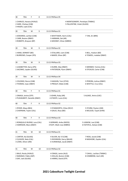| 38                                                                     | 70m                                                                          | F | 8  | 13:15 PM Race 05                                                                               |                                                    |  |  |  |
|------------------------------------------------------------------------|------------------------------------------------------------------------------|---|----|------------------------------------------------------------------------------------------------|----------------------------------------------------|--|--|--|
|                                                                        | 1 CHARLES, Havana (HVALE)<br>2 HARE, Chelsey (CAB)<br>3 HAGEN, Layla (CAL)   |   |    | 4 MONTGOMERY, Penelope (TWBAC)<br>5 PALLENTINE, Violet (GLASS)                                 |                                                    |  |  |  |
| 39                                                                     | 70 <sub>m</sub>                                                              | M | 9  | 13:15 PM Race 01                                                                               |                                                    |  |  |  |
|                                                                        | 1 EDWARDS, Lachlan (CAB)<br>2 CARR, Boston (RBAY)<br>3 ROBERTS, Brayson (BP) |   |    | 4 WHITTAKER, Harris (CAL)<br>7 TJIN, Ari (BRK)<br>5 HARMAN, Zak (AR)<br>6 MOONEY, Ethan (MBRO) |                                                    |  |  |  |
| 39                                                                     | 70m                                                                          | м | 9  | 13:15 PM Race 02                                                                               |                                                    |  |  |  |
|                                                                        | 1 HAND, DERMOT (BD)<br>2 BURROWS, Cooper (IPS)                               |   |    | 3 STALLARD, Liam (CAB)<br>4 BAKER, Ethan (BP)                                                  | 5 BELL, Hudson (BD)<br>6 TOWEEL, malakai (DBAY)    |  |  |  |
| 39                                                                     | 70 <sub>m</sub>                                                              | м | 9  | 13:15 PM Race 03                                                                               |                                                    |  |  |  |
| 1 LEADBETTER, Darcy (IPS)<br>2 JACENKO, Jayden (GLASS)                 |                                                                              |   |    | 3 DURRE, Max (RBAY)<br>4 PATERSON, Flynn (DBAY)                                                | 5 MENNER, Tommy (CAL)<br>6 STICKLER, Carter (CAB)  |  |  |  |
| 39                                                                     | 70m                                                                          | м | 9  | 13:15 PM Race 04                                                                               |                                                    |  |  |  |
| 1 COLENSO, Rocco (CAB)<br>2 THOMAS, Isaac (DBAY)                       |                                                                              |   |    | 3 KAIGHIN, Tom (STHS)<br>4 PRESLEY, Blake (CAB)                                                | 5 PEREIRA, Joshua (DBAY)<br>6 WHITTLE, Cruz (CAL)  |  |  |  |
| 40                                                                     | 70 <sub>m</sub>                                                              | F | 9  | 13:15 PM Race 01                                                                               |                                                    |  |  |  |
|                                                                        | 1 ONAGA, Jonina (STP)<br>2 PUSHKAREFF, Danielle (DBAY)                       |   |    | 3 JOHNS, Ruby (AR)<br>4 O'KEEFE, Lucia (CAL)                                                   | 5 ALSAEE, Amira (USC)                              |  |  |  |
| 40                                                                     | 70 <sub>m</sub>                                                              | F | 9  | 13:15 PM Race 02                                                                               |                                                    |  |  |  |
|                                                                        | 1 RYDER, Maya (BEA)<br>2 CHAPMAN, Taylor (CAL)                               |   |    | 3 STANWORTH, Chloe (RCLF)<br>4 GAUCI, Rosa (BD)                                                | 5 STURM, Peyton (JIM)<br>6 MCLEOD, Tayah (GYM)     |  |  |  |
| 40                                                                     | 70m                                                                          | F | 9  | 13:15 PM Race 03                                                                               |                                                    |  |  |  |
|                                                                        | 1 RONQUILLO BUENO, Lara (CAL)<br>2 HARRISON, Myra (DBAY)                     |   |    | 3 GERRARD, Anika (NOOS)<br>4 RUFF, Miah-rose (MBRO)                                            | 5 LIGNOW, Lexi (CAB)<br>6 FAITHFUL, Kelsee (CAB)   |  |  |  |
| 41                                                                     | 70 <sub>m</sub>                                                              | м | 10 | 13:15 PM Race 01                                                                               |                                                    |  |  |  |
| 1 CARTER, Kai (GLASS)<br>2 CLEAVER, Nate (CAL)<br>3 LOWE, Oliver (JIM) |                                                                              |   |    | 4 SILVER, Kal - El (CAB)<br>5 DICKINSON, Darcy (BALM)<br>6 VUNIWAQA, Jacob (DBAY)              | 7 ROSS, Jacob (CAB)<br>8 MASHOBE, Zayden (CAL)     |  |  |  |
| 41                                                                     | 70 <sub>m</sub>                                                              | м | 10 | 13:15 PM Race 02                                                                               |                                                    |  |  |  |
|                                                                        | 1 BALO, Rocky (HVALE)<br>2 NARANJO, Pablo (ASP)<br>3 DAY, Jack (GLASS)       |   |    | 4 CRAGG, Jamie (ALG)<br>5 HOLLAS, Boston (CAB)<br>6 HARRIS, David (STP)                        | 7 CAHILL, Lachlan (TWBAC)<br>8 COMBRINK, Zach (AR) |  |  |  |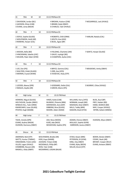| 41                                                                            | 70m                                                                                                                                               | M                                                         | 10                |                                                                                                | 13:15 PM Race 03                                                                                                   |                                                                                                                    |                                                                                                         |
|-------------------------------------------------------------------------------|---------------------------------------------------------------------------------------------------------------------------------------------------|-----------------------------------------------------------|-------------------|------------------------------------------------------------------------------------------------|--------------------------------------------------------------------------------------------------------------------|--------------------------------------------------------------------------------------------------------------------|---------------------------------------------------------------------------------------------------------|
|                                                                               | 1 DAVIDSON, Jordan (BLI)<br>2 JACKSON, Ethan (CAB)<br>3 EVANS, Leroy (BALM)                                                                       |                                                           |                   | 4 BROWN, Hudson (CAB)<br>5 BRAND, Kade (DBAY)<br>6 CHARLES, Tyler (HVALE)                      |                                                                                                                    |                                                                                                                    | 7 MCGARRIGLE, Jack (HVALE)                                                                              |
| 42                                                                            | 70m                                                                                                                                               | F                                                         | 10                |                                                                                                | 13:15 PM Race 01                                                                                                   |                                                                                                                    |                                                                                                         |
| 1 DOYLE, Sophie (GLASS)<br>2 WOLFENDEN, Heidi (AR)<br>3 RANKINE, Harper (CAL) |                                                                                                                                                   |                                                           |                   | 4 ROBERTS, Chilli (ORM)<br>5 SOUTH, Koa (ASH)<br>6 BUOL, Agaw (BP)                             |                                                                                                                    |                                                                                                                    | 7 HARLAN, Natalia (CAL)                                                                                 |
| 42                                                                            | 70m                                                                                                                                               | F                                                         | 10                |                                                                                                | 13:15 PM Race 02                                                                                                   |                                                                                                                    |                                                                                                         |
|                                                                               | 1 WOODS, Bella (BD)                                                                                                                               | 2 HINCKSMAN, Sabelle (USC)<br>3 WILSON, Piper Adair (GYM) |                   |                                                                                                | 4 FIELDING, Charlotte (JIM)<br>5 GAUCI, Ivyleigh (BD)<br>6 CHAMPION, Aysha (USC)                                   |                                                                                                                    | 7 GERITZ, Harper (GLASS)                                                                                |
| 42                                                                            | 70m                                                                                                                                               | F                                                         | 10                |                                                                                                | 13:15 PM Race 03                                                                                                   |                                                                                                                    |                                                                                                         |
| 1 LEE, Zoe (IPS)                                                              | 2 WALTERS, Violet (GLASS)<br>3 MERNIN, Crystal (WAM)                                                                                              |                                                           |                   |                                                                                                | 4 BRYCE, Gemma (CAL)<br>5 ORR, Ava (HFD)<br>6 IVOSEVAC, Ruby (STP)                                                 |                                                                                                                    | 7 MEADOWS, Amity (DBAY)                                                                                 |
| 42                                                                            | 70 <sub>m</sub>                                                                                                                                   | F                                                         | 10                |                                                                                                | 13:15 PM Race 04                                                                                                   |                                                                                                                    |                                                                                                         |
|                                                                               | 1 LEEDER, Aleena (SPR)<br>2 SMALES, Zaydia (AR)                                                                                                   |                                                           |                   |                                                                                                | 3 GODDARD, Stella (CAL)<br>4 GREEN, Macie (IPS)                                                                    |                                                                                                                    | 5 MURRAY, Chloe (HVALE)                                                                                 |
| 43                                                                            | High Jump                                                                                                                                         |                                                           | M                 | 11                                                                                             | 13:15 PM Heat                                                                                                      |                                                                                                                    |                                                                                                         |
|                                                                               | HERRERA, Miguel (GLASS)<br>HOLTHOUSE, Zander (RBAY)<br>WINDUS-HILL, Tylar (ORM)<br>KWARCIANYI, Izaac (GLASS)<br>PFISTER, Hugh (NAMB)              |                                                           |                   |                                                                                                | HINDS, Kaleb (CAB)<br>MUNDAY, Phoenix (BRK)<br>SHERWOOD, Azra (ASP)<br>GIBBONS, Brax (GLASS)<br>MOORE, Aiden (WAM) | WILLIAMS, Harry (HFD)<br>NORMAN, Joseph (BD)<br>MADIGAN, Dewi (DBAY)<br>MILLS, Teddy (BRK)<br>KAIGHIN, Brad (STHS) | BUOL, Buol (BP)<br>FREY, Haidan (BD)<br>HAND, SEAMUS (BD)<br>MAY, Cooper (HVALE)<br>WYNN, Kallam (WBDG) |
| 44                                                                            | High Jump                                                                                                                                         |                                                           | F                 | 11                                                                                             | 13:15 PM Heat                                                                                                      |                                                                                                                    |                                                                                                         |
|                                                                               | TIGHE, Amelia (SPR)<br>EVANS, Audrey (BALM)<br>HUDSON, Harmony (DBAY)                                                                             |                                                           |                   |                                                                                                | ASH, Neva (NOOS)<br>KURZ, Ada (NGO)<br>MCGEEHAN, Sophie (IPS)                                                      | ADAMS, Cheree (DBAY)<br>MULLALY, Sophie (GYM)<br>HARRISON, Jessica (DBAY)                                          | HUDSON, Allyce (DBAY)                                                                                   |
| 45                                                                            | Discus                                                                                                                                            | М                                                         | 12                | 13:15 PM Heat                                                                                  |                                                                                                                    |                                                                                                                    |                                                                                                         |
|                                                                               | AMORSEN, Ned (STP)<br>WATTS, Hunter (TWBAC)<br>HINCKSMAN, Tristin (USC)<br>VILLER, Logan (HVALE)<br>COMBRINK, Reuven (AR)<br>MASKELL, Koby (DBAY) |                                                           | ROSS, Tyler (CAB) | WOLFENDEN, Brodie (AR)<br>KIDD, Kupa (NAMB)<br>JACKSON, Tristan (CAB)<br>MCDONALD, Philip (BP) | MCDIARMID, LOGAN (BALM)                                                                                            | O'DEA, Keaan (BRK)<br>PETERSON, Eli (GYM)<br>KING, riley (DBAY)<br>EVANS, Ryley (BEEN)<br>MILLER, Brock (STP)      | BOWN, Declan (DBAY)<br>COOKE, Noah (AR)<br>BRYANT, Cooper (RCLF)<br>EVANS, Antwon (RBAY)                |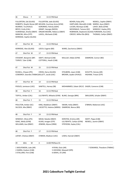| 46                                                                                                                                                                                                                                  | <b>Discus</b>                                                             | F | 12                                                 | 13:15 PM Heat                                                                                                                         |                                                                              |                                                                                                                              |                         |                                                                                                                                                                        |
|-------------------------------------------------------------------------------------------------------------------------------------------------------------------------------------------------------------------------------------|---------------------------------------------------------------------------|---|----------------------------------------------------|---------------------------------------------------------------------------------------------------------------------------------------|------------------------------------------------------------------------------|------------------------------------------------------------------------------------------------------------------------------|-------------------------|------------------------------------------------------------------------------------------------------------------------------------------------------------------------|
| FULLERTON, Zali (GLASS)<br>ROBERTS, Shaylin Renee (BP) WILSON, Courtney Anna (GYM)<br>MURRAY, Tia (HVALE)<br>BRYCE, Emily (CAL)<br>VUNIWAQA, Amelia (DBAY)<br>MANCINI, Allira (STP)<br>KERRIDGE, Sophie (GLASS)<br>Shot Put M<br>47 |                                                                           |   |                                                    | FULLERTON, Jade (GLASS)<br>KORORIKO, Felicity (GDH)<br>GRANT, Georgia (NOOS)<br>ORGAN-MOORE, Rebecca (DBAY)<br>LAVELL, Michaela (CAB) |                                                                              | BOHEN, Ruby (IPS)<br>HARTLAND, Meredith (CAB)<br>LUCIEN, Monique (CAB)<br>MCDONALD, Tamara (GC)<br>CREEDY, Millie-Ella (BEA) |                         | NEWELL, Sophie (DBAY)<br>MARSH, Ayva (DBAY)<br>LAHEY, Bella (GYM)<br>WINDOLF, Hayley (IPS)<br>ROBINSON, Stephanie (GLASS) FOREMAN, Ava (USC)<br>THOMAS, Caitlyn (DBAY) |
|                                                                                                                                                                                                                                     |                                                                           |   | 16                                                 | 13:15 PM Heat                                                                                                                         |                                                                              |                                                                                                                              |                         |                                                                                                                                                                        |
|                                                                                                                                                                                                                                     | KERRIDGE, Alex (GLASS)                                                    |   |                                                    | LEECH, Eugene (BD)                                                                                                                    |                                                                              | WARD, Zaccharius (DBAY)                                                                                                      |                         |                                                                                                                                                                        |
| 47                                                                                                                                                                                                                                  | Shot Put M                                                                |   | 17                                                 | 13:15 PM Heat                                                                                                                         |                                                                              |                                                                                                                              |                         |                                                                                                                                                                        |
| STEWART, Benjamin (BP)<br>TURVEY, Tyler (CAB)                                                                                                                                                                                       |                                                                           |   | SWIFT, Michael (CAB)<br>COTTERILL, Heath (CAB)     | MULLALY, Blake (GYM)                                                                                                                  |                                                                              |                                                                                                                              | DAMROW, Connor (BD)     |                                                                                                                                                                        |
| 47                                                                                                                                                                                                                                  | Shot Put M                                                                |   | 15                                                 | 13:15 PM Heat                                                                                                                         |                                                                              |                                                                                                                              |                         |                                                                                                                                                                        |
| RUSSELL, Chayse (IPS)<br>COWDROY, Geordie (TWBAC)KELLETT, Jacob (USC)                                                                                                                                                               |                                                                           |   |                                                    | CROSS, Darcy (GLASS)                                                                                                                  |                                                                              | STOLBERG, Jaxyn (CAB)<br>BROWN, Jayden (HVALE)                                                                               |                         | SCHUTTE, Harvey (AR)<br>HIGHAM, Tristan (STP)                                                                                                                          |
| 47                                                                                                                                                                                                                                  | Shot Put M                                                                |   | 14                                                 | 13:15 PM Heat                                                                                                                         |                                                                              |                                                                                                                              |                         |                                                                                                                                                                        |
|                                                                                                                                                                                                                                     | POOLES, Jamieson (USC)                                                    |   |                                                    | SAWTELL, Harvey (SB)                                                                                                                  |                                                                              | MOHAMMED, Zobair (RCLF) EAGER, Cameron (CAB)                                                                                 |                         |                                                                                                                                                                        |
| 48                                                                                                                                                                                                                                  | Shot Put F                                                                |   | 16                                                 | 13:15 PM Heat                                                                                                                         |                                                                              |                                                                                                                              |                         |                                                                                                                                                                        |
|                                                                                                                                                                                                                                     | TOFFUL, Amber (CAL)                                                       |   |                                                    | LILLYWHITE, Mikaela (GYM) BLAKE, Georgia (BRK)                                                                                        |                                                                              |                                                                                                                              |                         | SMULDERS, Schyler (DBAY)                                                                                                                                               |
| 48                                                                                                                                                                                                                                  | Shot Put F                                                                |   | 15                                                 | 13:15 PM Heat                                                                                                                         |                                                                              |                                                                                                                              |                         |                                                                                                                                                                        |
|                                                                                                                                                                                                                                     | POULTON, Amber (GC)<br>SILCOCK, Mia (RBAY)                                |   | KING, Maddison (DBAY)<br>LISCIOTTO, Helaina (WBDG) |                                                                                                                                       | SWAIN, Holly (DBAY)<br>DAMROW, Bianca (BD)                                   |                                                                                                                              | O'BRIEN, Makenzie (USC) |                                                                                                                                                                        |
| 48                                                                                                                                                                                                                                  | Shot Put F                                                                |   | 14                                                 | 13:15 PM Heat                                                                                                                         |                                                                              |                                                                                                                              |                         |                                                                                                                                                                        |
|                                                                                                                                                                                                                                     | WINDOLF, Olivia (IPS)<br>ISAAC, Molly (GYM)<br>WILLIAMS, Ava (DBAY)       |   |                                                    | MEAD, Natalie (DBAY)<br>KLAAS, Imogen (STP)<br>JENKINS, Alyssa (ORM)                                                                  | KERSTEN, Kristina (AR)<br>LILLYWHITE, Caitlyn (GYM)<br>STRYDOM, Zayley (CAL) |                                                                                                                              |                         | SWIFT, Pippa (CAB)<br>NEWELL, Jasmin (DBAY)                                                                                                                            |
| 48                                                                                                                                                                                                                                  | Shot Put F                                                                |   | 17                                                 | 13:15 PM Heat                                                                                                                         |                                                                              |                                                                                                                              |                         |                                                                                                                                                                        |
|                                                                                                                                                                                                                                     | LAFSKY, Chelsea (DBAY)                                                    |   |                                                    | O'BRIEN, Madison (USC)                                                                                                                |                                                                              | LEWIS, Hannah (DBAY)                                                                                                         |                         |                                                                                                                                                                        |
| 49                                                                                                                                                                                                                                  | 60 <sub>m</sub>                                                           | M | 4                                                  | 14:00 PM Race 01                                                                                                                      |                                                                              |                                                                                                                              |                         |                                                                                                                                                                        |
|                                                                                                                                                                                                                                     | 1 WOLFENDEN, Luke (AR)<br>2 DARRA, Hudson (CAB)<br>3 STALLARD, Finn (CAB) |   |                                                    | 4 RYAN, Oisín (AR)<br>5 HOCKING, Maxwell (SPR)<br>6 GRAHL, Eli (JIM)                                                                  |                                                                              |                                                                                                                              |                         | 7 EDWARDS, Theodore (TWBAC)                                                                                                                                            |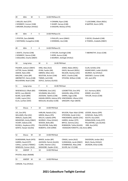| 49                                                                                                                                                                 | 60m                                                                                                        | м  | 5                                                                                                                                                                    |                                                                                                                   | 14:00 PM Race 01                                  |                                                                                                                                                                                              |                                                                                                                                          |
|--------------------------------------------------------------------------------------------------------------------------------------------------------------------|------------------------------------------------------------------------------------------------------------|----|----------------------------------------------------------------------------------------------------------------------------------------------------------------------|-------------------------------------------------------------------------------------------------------------------|---------------------------------------------------|----------------------------------------------------------------------------------------------------------------------------------------------------------------------------------------------|------------------------------------------------------------------------------------------------------------------------------------------|
|                                                                                                                                                                    | 1 MILLER, Axel (STP)<br>2 KENNEDY, Connor (CAB)<br>3 BROWN, Brooklyn (HVALE)                               |    | 4 CRAMM, Ryan (CAB)<br>5 SHARP, Harvey (CAB)<br>6 KAIGHIN, Mickey (STHS)                                                                                             |                                                                                                                   |                                                   |                                                                                                                                                                                              | 7 LUSCOMBE, Elliott (REDL)<br>8 NAPPER, Storm (SPR)                                                                                      |
| 49                                                                                                                                                                 | 60 <sub>m</sub>                                                                                            | F. | 5                                                                                                                                                                    |                                                                                                                   | 14:00 PM Race 01                                  |                                                                                                                                                                                              |                                                                                                                                          |
|                                                                                                                                                                    | 1 PFISTER, Zara (NAMB)<br>2 WHYMAN, Evangeline (CAB)                                                       |    |                                                                                                                                                                      |                                                                                                                   | 3 PHILLIPS, Jenni (DBAY)<br>4 DENNING, Isla (CAB) |                                                                                                                                                                                              | 5 GECKS, Elizabeth (CAB)<br>6 TOWEEL, Arabella (DBAY)                                                                                    |
| 49                                                                                                                                                                 | 14:00 PM Race 01<br>60m<br>F<br>4                                                                          |    |                                                                                                                                                                      |                                                                                                                   |                                                   |                                                                                                                                                                                              |                                                                                                                                          |
|                                                                                                                                                                    | 1 WAITE, Charlee (CAB)<br>2 KENNEDY, Sienna (CAB)<br>3 DEGUARA, Charlie (DBAY)                             |    |                                                                                                                                                                      |                                                                                                                   | 5 KERR, Aurora (CAB)                              | 4 TAYLOR, Everleigh (CAB)<br>6 MURRAY, Ashleigh (HVALE)                                                                                                                                      | 7 ABERNETHY, Grace (CAB)                                                                                                                 |
| 50                                                                                                                                                                 | Long Jump                                                                                                  |    | м                                                                                                                                                                    | 6                                                                                                                 | 14:00 PM Heat                                     |                                                                                                                                                                                              |                                                                                                                                          |
| PALMER, Jackson (DBAY)<br>LATTER, Xavier (WAM)<br>ASKEW, Nate (JIM)<br>MALONE, Calvin (BP)<br>ABERNETHY, Henry (CAB)<br>MULHERAN, Noah (CAB)                       |                                                                                                            |    | XING, Max (ALG)<br>RYAN, Faolán (AR)<br>OBRIEN, Dillon (GC)<br>MUSTON, Archer (CAB)<br>TIMMS, Jed (CAB)<br>DOYLE, Zachary (GLASS)                                    |                                                                                                                   |                                                   | JONES, Myles (REDL)<br>DAVIS, Bennett (REDL)<br>NELSON, Stanley (USC)<br>WEST, Charlie (CAB)<br>STEVENS, William (CAB)                                                                       | CLUN, Achilles (CN)<br>KWARCIANYI, Judah (GLASS)<br>MURRAY, Kai (HVALE)<br>SWEENEY, Connor (CAB)<br>LEE, Jack (IPS)                      |
| 51                                                                                                                                                                 | Long Jump                                                                                                  |    | F                                                                                                                                                                    | 6                                                                                                                 | 14:00 PM Heat                                     |                                                                                                                                                                                              |                                                                                                                                          |
| WISEWOULD, Ellkah (BD)<br>BOYD, Lucy (BALM)<br>BLAKE, Sarah (BRK)<br>CLARK, Layne (CAL)<br>ELLIS, Lachlan (ASH)                                                    |                                                                                                            |    | FOREMAN, Evie (USC)<br>VELDMAN, Mia (USC)<br>JACKSON, Tabitha (CAB)<br>HAGAN-GREEN, Aubrey (IPS) HINCKSMAN, Lilliana (USC)<br>MOULDS, Brooklyn (CAB)                 |                                                                                                                   |                                                   | LEADBETTER, Evie (IPS)<br>KAIGHIN, Ailbe (STHS)<br>DARRA, Sage (CAB)<br>GREGORY, Piper (BEEN)                                                                                                | SLY, Harmony (BEA)<br>KIRKBY, Aria (USC)<br>TAYLOR, Amara (CAB)                                                                          |
| 52                                                                                                                                                                 | <b>Discus</b>                                                                                              | F  | 10                                                                                                                                                                   | 14:00 PM Heat                                                                                                     |                                                   |                                                                                                                                                                                              |                                                                                                                                          |
| LEE, Zoe (IPS)<br>WILLIAMS, Ella (USC)<br>SMALES, Zaydia (AR)<br>MEADOWS, Amity (DBAY)<br>VICARY, Dakota (CN)<br>RUSSELL, Kaydence (IPS)<br>GERITZ, Harper (GLASS) |                                                                                                            |    | HARLAN, Natalia (CAL)<br>GREEN, Macie (IPS)<br>WELCH, Isabella (SPR)<br>MURRAY, Chloe (HVALE)<br>WOODS, Bella (BD)<br>PALLENTINE, Ruby (BD)<br>ROBERTS, Chilli (ORM) |                                                                                                                   |                                                   | WILSON, Piper Adair (GYM)<br>STRYDOM, Zandri (CAL)<br>HINCKSMAN, Sabelle (USC)<br>HARRIS, Amber (STP)<br>BRYCE, Gemma (CAL)<br>ROBINSON, Tahlia (GLASS)<br>HODGSON-FORSYTH, Lilly-Anne (BRK) | LEEDER, Aleena (SPR)<br>IVOSEVAC, Ruby (STP)<br>SOUTH, Koa (ASH)<br>DONALDSON, Emily (STP)<br>PALLENTINE, Lyla (GLASS)<br>ORR, Ava (HFD) |
| 52                                                                                                                                                                 | Discus                                                                                                     | M  | 10                                                                                                                                                                   | 14:00 PM Heat                                                                                                     |                                                   |                                                                                                                                                                                              |                                                                                                                                          |
| 54                                                                                                                                                                 | DUNEMANN, Noah (HFD)<br>HARRIS, David (STP)<br>CAHILL, Lachlan (TWBAC)<br>WINDUSS, Connor (ALG)<br>AWDSP F |    | 10                                                                                                                                                                   | BAKER, Jordan (BP)<br>JACKSON, Patrick (GLASS)<br>CLARK, Fletcher (CAL)<br>MASHOBE, Zayden (CAL)<br>14:00 PM Heat |                                                   | CRAGG, Jamie (ALG)<br>VUNIWAQA, Jacob (DBAY)<br>STANBRIDGE, Riley (JIM)<br>SILVER, Kal - El (CAB)                                                                                            | DAVIDSON, Jordan (BLI)<br>BALO, Rocky (HVALE)<br>JACKSON, Ethan (CAB)                                                                    |
|                                                                                                                                                                    | PFISTER, Aidan (NAMB)                                                                                      |    |                                                                                                                                                                      |                                                                                                                   |                                                   |                                                                                                                                                                                              |                                                                                                                                          |
| 55                                                                                                                                                                 | AWDSP                                                                                                      | M  | 14                                                                                                                                                                   | 14:00 PM Heat                                                                                                     |                                                   |                                                                                                                                                                                              |                                                                                                                                          |
|                                                                                                                                                                    | CARSON, Trey (HVALE)                                                                                       |    |                                                                                                                                                                      |                                                                                                                   |                                                   |                                                                                                                                                                                              |                                                                                                                                          |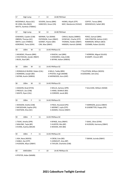| 57                                                                                          | High Jump                                                                        |   | F                                                                                     | 13 | 14:00 PM Heat                                                            |                                                                                                   |                                                                                                      |
|---------------------------------------------------------------------------------------------|----------------------------------------------------------------------------------|---|---------------------------------------------------------------------------------------|----|--------------------------------------------------------------------------|---------------------------------------------------------------------------------------------------|------------------------------------------------------------------------------------------------------|
| MCDONALD, Alyssa (GC)<br>DE JONG, Mia (NGO)<br>WATTS, Xanthee (TWBAC)                       |                                                                                  |   | VEIVERS, Sienna (BRK)<br>HANCOCK, Grace (CN)                                          |    | HIONIS, Aliyah (STP)<br>MAY, Mackenzie (HVALE)                           | COFFEY, Teresa (BRK)<br>WISEWOULD, Sailah (BD)                                                    |                                                                                                      |
| 57                                                                                          | High Jump                                                                        |   | M                                                                                     | 13 | 14:00 PM Heat                                                            |                                                                                                   |                                                                                                      |
| EDWARDS, Cayden (CAB)<br>OBRIEN, Thomas (GC)<br>SMITH, Leon (TWBAC)<br>KORORIKO, Tama (GDH) |                                                                                  |   | MERNIN, Tye (WAM)<br>PATERSON, Coen (DBAY)<br>GOSNEY, Payton (BD)<br>CINI, Max (DBAY) |    |                                                                          | CARIUS, Bayley (MBRO)<br>IVOSEVAC, Charlie (STP)<br>THOMAS, Haiden (DBAY)<br>HANSEN, Hamish (WAM) | PEREZ, Samuel (BRK)<br>VAN STRATEN, Ashton (USC)<br>ROBINSON, William (BEA)<br>COOMBS, Ruben (GLASS) |
| 58                                                                                          | 100m                                                                             | М | 11                                                                                    |    | 14:45 PM Race 01                                                         |                                                                                                   |                                                                                                      |
| 3 BUOL, Buol (BP)                                                                           | 1 MUNDAY, Phoenix (BRK)<br>2 HOLTHOUSE, Zander (RBAY)                            |   |                                                                                       |    | 4 RAJESH, Joel (BRK)                                                     | 5 EDWARDS, Coby (CAB)<br>6 WYNN, Kallam (WBDG)                                                    | 7 HERRERA, Miguel (GLASS)<br>8 KAMPF, Vincent (BP)                                                   |
| 58                                                                                          | 100m                                                                             | М | 11                                                                                    |    | 14:45 PM Race 02                                                         |                                                                                                   |                                                                                                      |
|                                                                                             | 1 RONQUILLO BUENO, Ruben (CAL)<br>2 NORMAN, Joseph (BD)<br>3 WYNN, Austin (WBDG) |   |                                                                                       |    | 4 MILLS, Teddy (BRK)<br>5 PFISTER, Hugh (NAMB)<br>6 SHERWOOD, Azra (ASP) |                                                                                                   | 7 TILLOTSON, William (NOOS)<br>8 GODDARD, Jett (CAL)                                                 |
| 58                                                                                          | 100m                                                                             | М | 11                                                                                    |    | 14:45 PM Race 03                                                         |                                                                                                   |                                                                                                      |
|                                                                                             | 1 KAIGHIN, Brad (STHS)<br>2 PRESLEY, Zac (CAB)<br>3 WHITE, Ryan (CAL)            |   |                                                                                       |    | 4 WILLIS, Zachary (SPR)<br>5 HAND, SEAMUS (BD)<br>6 CORDIER, Jacob (BD)  |                                                                                                   | 7 SULLIVAN, William (WAM)                                                                            |
| 59                                                                                          | 100m                                                                             | F | 11                                                                                    |    | 14:45 PM Race 01                                                         |                                                                                                   |                                                                                                      |
|                                                                                             | 1 WASSON, Estella (CAB)<br>2 MCGEEHAN, Sophie (IPS)<br>3 WATSON, Eliza (GC)      |   |                                                                                       |    | 4 PAEA, Houstand (IPS)<br>5 WERNET, Layla (STP)                          | 6 ADAMS, Cheree (DBAY)                                                                            | 7 HARRISON, jessica (DBAY)<br>8 LEADBETTER, Poppy (IPS)                                              |
| 59                                                                                          | 100m                                                                             |   | 11                                                                                    |    | 14:45 PM Race 02                                                         |                                                                                                   |                                                                                                      |
|                                                                                             | F<br>1 TIGHE, Amelia (SPR)<br>2 MALONE, Tayla (BP)<br>3 EVANS, Audrey (BALM)     |   |                                                                                       |    | 4 BYNGE, Amy (RBAY)<br>5 HUNTER, Mia (BP)<br>6 WOODS, KIKI (BD)          |                                                                                                   | 7 ISAAC, Olive (GYM)<br>8 HUDSON, Harmony (DBAY)                                                     |
| 59                                                                                          | 100m                                                                             | F | 11                                                                                    |    | 14:45 PM Race 03                                                         |                                                                                                   |                                                                                                      |
| 1 ASH, Neva (NOOS)<br>2 KABLE, Zoe (STP)<br>3 HUDSON, Allyce (DBAY)                         |                                                                                  |   |                                                                                       |    | 4 CREW, Evie (BD)<br>5 JURGELEIT, Amy (BP)                               | 6 TAYLOR, Charlotte (CAB)                                                                         | 7 SWAIN, lucinda (DBAY)                                                                              |
| 60                                                                                          | AWD100m                                                                          |   | F                                                                                     | 10 |                                                                          | 14:45 PM Race 01                                                                                  |                                                                                                      |

4 PFISTER, Aidan (NAMB)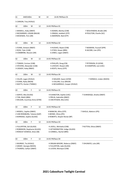| 61 | AWD100m                       |   | м  | 14                                                    | 14:45 PM Race 01               |                           |  |  |
|----|-------------------------------|---|----|-------------------------------------------------------|--------------------------------|---------------------------|--|--|
|    |                               |   |    |                                                       |                                |                           |  |  |
|    | 5 CARSON, Trey (HVALE)        |   |    |                                                       |                                |                           |  |  |
| 62 | 100m                          | M | 12 |                                                       | 14:45 PM Race 01               |                           |  |  |
|    | 1 MASKELL, Koby (DBAY)        |   |    |                                                       | 4 ADAMS, Marley (CAB)          | 7 WOLFENDEN, Brodie (AR)  |  |  |
|    | 2 MCDIARMID, LOGAN (BALM)     |   |    |                                                       | 5 ONAGA, Jedidiah (STP)        | 8 POULTON, Charlie (GC)   |  |  |
|    |                               |   |    |                                                       | 6 AMORSEN, Ned (STP)           |                           |  |  |
|    | 3 MCKENZIE, Finn (AR)         |   |    |                                                       |                                |                           |  |  |
| 62 | 100m                          | M | 12 |                                                       | 14:45 PM Race 02               |                           |  |  |
|    |                               |   |    |                                                       |                                |                           |  |  |
|    | 1 EVANS, Antwon (RBAY)        |   |    |                                                       | 4 HUGHES, Nayte (CAB)          | 7 NAAMAN, Youssef (SPR)   |  |  |
|    | 2 ROSS, Tyler (CAB)           |   |    |                                                       | 5 O'DEA, Keaan (BRK)           | 8 JACOBS, Lian (IPS)      |  |  |
|    | 3 COMBRINK, Reuven (AR)       |   |    |                                                       | 6 JONES, Logan (DBAY)          |                           |  |  |
| 62 | 100m                          | М | 12 |                                                       | 14:45 PM Race 03               |                           |  |  |
|    | 1 TOMASI, Cormac (CAB)        |   |    |                                                       | 4 PHILLIPS, Doug (CN)          | 7 PETERSON, Eli (GYM)     |  |  |
|    | 2 STEVENS, Alexander (CAB)    |   |    |                                                       | 5 LOVEJOY, Rowan (AR)          | 8 CHAMPION, Levi (USC)    |  |  |
|    | 3 CASSIDY, Koby (RBAY)        |   |    |                                                       | 6 KEATS, Henry (STP)           |                           |  |  |
|    |                               |   |    |                                                       |                                |                           |  |  |
| 62 | 100m                          | M | 12 |                                                       | 14:45 PM Race 04               |                           |  |  |
|    | 1 VILLER, Logan (HVALE)       |   |    |                                                       | 4 WALKER, Saxon (GYM)          | 7 HERMUS, Linden (NOOS)   |  |  |
|    | 2 EVANS, Ryley (BEEN)         |   |    |                                                       | 5 COLLINS, Cruz (BALM)         |                           |  |  |
|    | 3 WATTS, Hunter (TWBAC)       |   |    |                                                       | 6 MCGARRIGLE, Cooper (HVALE)   |                           |  |  |
|    |                               |   |    |                                                       |                                |                           |  |  |
| 63 | 100m                          | F | 12 |                                                       | 14:45 PM Race 01               |                           |  |  |
|    | 1 GERITZ, Mia (GLASS)         |   |    |                                                       | 4 ELKINGTON, Sophie (USC)      | 7 VUNIWAQA, Amelia (DBAY) |  |  |
|    | 2 TJIN, Mahli (BRK)           |   |    |                                                       | 5 PRILJA, Gabrielle (DBAY)     |                           |  |  |
|    | 3 WILSON, Courtney Anna (GYM) |   |    |                                                       | 6 VAN RYSSEN, Mia (USC)        |                           |  |  |
|    |                               |   |    |                                                       |                                |                           |  |  |
| 63 | 100m                          | F | 12 |                                                       | 14:45 PM Race 02               |                           |  |  |
|    | 1 NEWELL, Sophie (DBAY)       |   |    |                                                       | 4 MANCINI, Allira (STP)        | 7 ISHOLA, Adetoro (IPS)   |  |  |
|    | 2 VAN RENSBURG, Tatiana (GAP) |   |    |                                                       | 5 BIENKE, Olivia (IPS)         |                           |  |  |
|    | 3 KERRIDGE, Sophie (GLASS)    |   |    |                                                       | 6 ROBERTS, Shaylin Renee (BP)  |                           |  |  |
| 63 | 100m                          | F | 12 |                                                       | 14:45 PM Race 03               |                           |  |  |
|    |                               |   |    |                                                       |                                |                           |  |  |
|    | 1 FULLERTON, Zali (GLASS)     |   |    |                                                       | 4 LAVELL, Michaela (CAB)       | 7 RUTTEN, Olivia (DBAY)   |  |  |
|    | 2 ROBINSON, Stephanie (GLASS) |   |    |                                                       | 5 HETHERINGTON, Indigo (GLASS) |                           |  |  |
|    | 3 RENOUF-DOWDLE, Bree (SB)    |   |    |                                                       | 6 CONNELL, Rachel (BRK)        |                           |  |  |
|    |                               |   |    |                                                       |                                |                           |  |  |
| 63 | 100m                          | F | 12 |                                                       | 14:45 PM Race 04               |                           |  |  |
|    | 1 MURRAY, Tia (HVALE)         |   |    | 4 ORGAN-MOORE, Rebecca (DBAY)<br>7 OHUNAYO, Lola (AR) |                                |                           |  |  |
|    | 2 GRANT, Georgia (NOOS)       |   |    | 5 FULLERTON, Jade (GLASS)                             |                                |                           |  |  |
|    | 3 THOMAS, Caitlyn (DBAY)      |   |    |                                                       | 6 LUCIEN, Monique (CAB)        |                           |  |  |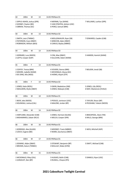| 64                                                 | 100m                                                                           | м | 13 | 14:45 PM Race 01                                                                                      |                                                    |  |
|----------------------------------------------------|--------------------------------------------------------------------------------|---|----|-------------------------------------------------------------------------------------------------------|----------------------------------------------------|--|
|                                                    | 1 SIPPLE-ASHER, Joshua (SPR)<br>2 GOSNEY, Payton (BD)<br>3 OBRIEN, Thomas (GC) |   |    | 4 MERNIN, Tye (WAM)<br>5 VAN STRATEN, Ashton (USC)<br>6 PEREZ, Samuel (BRK)                           | 7 WILLIAMS, Lachlan (SPR)                          |  |
| 64                                                 | 100m                                                                           | М | 13 | 14:45 PM Race 02                                                                                      |                                                    |  |
|                                                    | 1 SMITH, Leon (TWBAC)<br>2 PATERSON, Coen (DBAY)<br>3 ROBINSON, William (BEA)  |   |    | 4 MOLLENHAUER, Ryan (SB)<br>5 MINCHIN, Aden (DBAY)<br>6 CARIUS, Bayley (MBRO)                         | 7 EDWARDS, Cayden (CAB)                            |  |
| 64                                                 | 100m                                                                           | м | 13 | 14:45 PM Race 03                                                                                      |                                                    |  |
|                                                    | 1 GERRARD, Luca (NOOS)<br>2 LOFTS, Cooper (GAP)                                |   |    | 3 CINI, Max (DBAY)<br>5 HANSEN, Hamish (WAM)<br>4 SULLIVAN, Adam (WAM)                                |                                                    |  |
| 65                                                 | 100m                                                                           | F | 13 | 14:45 PM Race 01                                                                                      |                                                    |  |
|                                                    | 1 COFFEY, Teresa (BRK)<br>2 MOORE, Isabelle (WAM)<br>3 DE JONG, Mia (NGO)      |   |    | 4 VEIVERS, Sienna (BRK)<br>7 BOLDEN, Jenali (SB)<br>5 MCDONALD, Alyssa (GC)<br>6 HIONIS, Aliyah (STP) |                                                    |  |
| 65                                                 | 100m                                                                           | F | 13 | 14:45 PM Race 02                                                                                      |                                                    |  |
| 1 JONES, Katie (REDL)<br>2 SMULDERS, Brylie (DBAY) |                                                                                |   |    | 3 GWIN, Madeleine (JIM)<br>4 JONES, Makayla (CAB)                                                     | 5 JONES, Lilly (REDL)<br>6 MAY, Mackenzie (HVALE)  |  |
| 66                                                 | 100m                                                                           | м | 14 | 14:45 PM Race 01                                                                                      |                                                    |  |
|                                                    | 1 BEER, Jake (NOOS)<br>2 KOLINISAU, Joshua (CAL)                               |   |    | 3 POOLES, Jamieson (USC)<br>4 MALONE, Jordan (BP)                                                     | 5 TAYLOR, Shaun (BP)<br>6 PECKHAM, Taliesin (NOOS) |  |
| 66                                                 | 100m                                                                           | м | 14 | 14:45 PM Race 02                                                                                      |                                                    |  |
|                                                    | 1 HARTLAND, Alexander (CAB)<br>2 MOHAMMED, Zobair (RCLF)                       |   |    | 3 JONES, Harrison (GLASS)<br>4 WELCH, Cooper (SPR)                                                    | 5 BRACKPOOL, Dean (TM)<br>6 MILLS, George (BRK)    |  |
| 66                                                 | 100m                                                                           | M | 16 | 14:45 PM Race 01                                                                                      |                                                    |  |
|                                                    | 1 KERRIDGE, Alex (GLASS)<br>2 LEECH, Eugene (BD)                               |   |    | 3 MOONEY, Travis (MBRO)<br>4 WARD, Zaccharius (DBAY)                                                  | 5 WEIS, Mitchell (ASP)                             |  |
| 66                                                 | 100m                                                                           | м | 17 | 14:45 PM Race 01                                                                                      |                                                    |  |
|                                                    | 1 DOWNIE, Aidan (DBAY)<br>2 BROWN, Kalum (TWBAC)                               |   |    | 3 STEWART, Benjamin (BP)<br>4 MULLALY, Blake (GYM)                                                    | 5 SWIFT, Michael (CAB)                             |  |
| 66                                                 | 100m                                                                           | м | 15 | 14:45 PM Race 01                                                                                      |                                                    |  |
|                                                    | 1 MCDONALD, Riley (CAL)<br>2 JURGELEIT, Ben (BP)                               |   |    | 3 HUGHES, Bailin (CAB)<br>5 DANIELS, Ryan (USC)<br>4 RUSSELL, Chayse (IPS)                            |                                                    |  |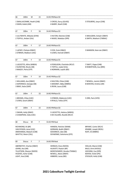| 66                                                                         | 100m                                                                                            | M                           | 15 | 14:45 PM Race 02                                                                                                                                                        |                                                                                                                 |  |  |
|----------------------------------------------------------------------------|-------------------------------------------------------------------------------------------------|-----------------------------|----|-------------------------------------------------------------------------------------------------------------------------------------------------------------------------|-----------------------------------------------------------------------------------------------------------------|--|--|
|                                                                            | 2 GWIN, Kaleb (JIM)                                                                             | 1 SMALLACOMBE, Heath (CAB)  |    | 3 CROSS, Darcy (GLASS)<br>4 BARRY, Noah (CAB)                                                                                                                           | 5 STOLBERG, Jaxyn (CAB)                                                                                         |  |  |
| 67                                                                         | 100m                                                                                            | F                           | 16 | 14:45 PM Race 01                                                                                                                                                        |                                                                                                                 |  |  |
|                                                                            | 2 TOFFUL, Amber (CAL)                                                                           | 1 LILLYWHITE, Mikaela (GYM) |    | 3 HILTON, Eboniee (CAB)<br>5 SMULDERS, Schyler (DBAY)<br>4 WADE, Madalyn (SPR)<br>6 SMITH, Madison (TWBAC)                                                              |                                                                                                                 |  |  |
| 67                                                                         | 100m                                                                                            | F                           | 17 | 14:45 PM Race 01                                                                                                                                                        |                                                                                                                 |  |  |
|                                                                            | 1 LAFSKY, Chelsea (DBAY)<br>2 O'BRIEN, Madison (USC)                                            |                             |    | 3 COX, Essie (DBAY)<br>5 MANSON, Kaia-Lee (DBAY)<br>4 LEWIS, Hannah (DBAY)                                                                                              |                                                                                                                 |  |  |
| 67                                                                         | 100m                                                                                            | F                           | 14 | 14:45 PM Race 01                                                                                                                                                        |                                                                                                                 |  |  |
|                                                                            | 1 LISCIOTTO, Allira (WBDG)<br>2 GUNSTON, Nicole (SB)<br>3 MAIZEY, Perla (STP)                   |                             |    | 4 FERGUSON, Charlotte (RCLF)<br>7 SWIFT, Pippa (CAB)<br>5 TOFFUL, Isabel (CAL)<br>8 ROBERTSON, Ava (BRK)<br>6 NORMAN, Laylah (BD)                                       |                                                                                                                 |  |  |
| 67                                                                         | 100m                                                                                            | F                           | 14 | 14:45 PM Race 02                                                                                                                                                        |                                                                                                                 |  |  |
| 1 WILLIAMS, Ava (DBAY)<br>2 KAPERNICK, Georgia (SB)<br>3 BRAY, Katie (GAP) |                                                                                                 |                             |    | 4 SHILTON, Chloe (CAB)<br>7 NEWELL, Jasmin (DBAY)<br>5 MOONEY, Abby (MBRO)<br>8 KERSTEN, Kristina (AR)<br>6 IRVIN, Laura (CAB)                                          |                                                                                                                 |  |  |
| 67                                                                         | 100m                                                                                            | F                           | 15 | 14:45 PM Race 01                                                                                                                                                        |                                                                                                                 |  |  |
|                                                                            | 1 BROWN, Chloe (USC)<br>2 LEWIS, Sarah (DBAY)                                                   |                             |    | 3 O'BRIEN, Makenzie (USC)<br>4 RYALLS, Teikia (STP)                                                                                                                     | 5 ORR, Paris (HFD)                                                                                              |  |  |
| 67                                                                         | 100m                                                                                            | F                           | 15 | 14:45 PM Race 02                                                                                                                                                        |                                                                                                                 |  |  |
|                                                                            | 1 SWAIN, Holly (DBAY)<br>2 CHAMPION, India (USC)                                                |                             |    | 3 LISCIOTTO, Helaina (WBDG)<br>4 DE VILLIERS, Rozelle (RCLF)                                                                                                            |                                                                                                                 |  |  |
| 68                                                                         | Discus                                                                                          | M                           | 7  | 14:45 PM Heat                                                                                                                                                           |                                                                                                                 |  |  |
|                                                                            | RICHMOND, RJ (BP)<br>VAN RYSSEN, Jesse (USC)<br>AMOHANGA, Malachi (CAB)<br>WHITTLE, Nixon (CAL) |                             |    | HANSEN, Fletcher (WAM)<br>BRYANT, Carter (RCLF)<br>KRABBE, Joseph (REDL)<br>GORMAN, Bodhi (DBAY)<br>GOODRICH, Jake (SB)<br>RUFF, Eli (MBRO)<br>SCHWENKE, Solomona (STP) |                                                                                                                 |  |  |
| 69                                                                         | <b>Discus</b>                                                                                   | F                           | 7  | 14:45 PM Heat                                                                                                                                                           |                                                                                                                 |  |  |
| JOHNS, Ava (AR)<br>LIGHT, Ava (CAB)                                        | TILLOTSON, Eleanor (NOOS)<br>HUGHES, Asher (CAB)                                                | ABERNETHY, Charlee (DBAY)   |    | HERMUS, Clara (NOOS)<br>HLAVATY, Peyton (BP)<br>MONTGOMERY, Brooke (TWBAC)<br>NEWELL, Alexis (DBAY)<br>HIBBERD, Lacey (BD)                                              | HOLLAS, Macie (CAB)<br>BALO, Armi (HVALE)<br>HOCKING, Eva (SPR)<br>BOHEN, Violet (IPS)<br>STICKLER, Holly (CAB) |  |  |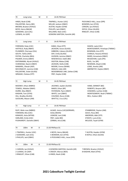| 70 | Long Jump                                         |   | M | 8 | 14:45 PM Heat                                |                                                  |
|----|---------------------------------------------------|---|---|---|----------------------------------------------|--------------------------------------------------|
|    | HINDS, Noah (CAB)                                 |   |   |   | TRAPNELL, Hunter (USC)                       | PICKVANCE-HALL, Jesse (SPR)                      |
|    | PALLENTINE, Henry (BD)                            |   |   |   | MILLAR, Jackson (DBAY)                       | BOWDEN, ken (STHS)                               |
|    | BROWN, Braxton (HVALE)                            |   |   |   | AUSTIN, Hayden (GYM)                         | CARSON, Jye (HVALE)                              |
|    | BOYD, Henry (BALM)                                |   |   |   | PHILLIPS, Jack (DBAY)                        | DOYLE, Ethan (GLASS)                             |
|    | GODDARD, Jack (CAL)                               |   |   |   | WILLIAMS, Nate (USC)                         | RINGUET, Ethan (CAB)                             |
|    | LUDWIG, Ari (ASP)                                 |   |   |   | GOWDRA SANTOSH, Kanishk (AR)                 |                                                  |
| 71 | Long Jump                                         |   | F | 8 | 14:45 PM Heat                                |                                                  |
|    | FOREMAN, Ruby (USC)                               |   |   |   | KABLE, Elyza (STP)                           | HAGEN, Layla (CAL)                               |
|    | HATFIELD, Ruby (RBAY)                             |   |   |   | JACKSON, Grace (GLASS)                       | MONTGOMERY, Penelope (TWBAC)                     |
|    | PLUMMER, Chernaya (CAL)                           |   |   |   | GIBBONS, Caleece (GLASS)                     | BOWMAN, Aria (STP)                               |
|    | SOUTH, Tahlia (ASH)                               |   |   |   | DAY, Emily (GLASS)                           | CHARLES, Havana (HVALE)                          |
|    | PATON, Charlotte (BEA)                            |   |   |   | HUDSON, Jemima (DBAY)                        | WARD, Annastasia (DBAY)                          |
|    | PALMER, Emma (DBAY)                               |   |   |   | WISEWOULD, Oaklii (BD)                       | MCGEEHAN, Layla (IPS)                            |
|    | ENTERMANN, Alyrah (HVALE)                         |   |   |   | OGSTON, Malea (CAB)                          | BUOL, Yar (BP)                                   |
|    | VUNIWAQA, Naomi (DBAY)                            |   |   |   | JACKSON, Stella (CAB)                        | NEWMAN, Aliyah (CAB)                             |
|    | MAMARIL, Olexah (ASP)                             |   |   |   | MOORE, Emma (WAM)                            | LOWE, Amelia (JIM)                               |
|    | MCCONACHY, Jasmine (CAB)                          |   |   |   | SMALES, Indie (AR)                           | ABERNETHY, Haylee (DBAY)                         |
|    | PALLENTINE, Violet (GLASS)                        |   |   |   | WOODBRIDGE LINK, Zahlee (CAB)                |                                                  |
|    | WRAGGE, Chelsea (STP)                             |   |   |   | FREY, Kaylee (CAB)                           |                                                  |
| 72 | High Jump                                         |   | M | 9 | 14:45 PM Heat                                |                                                  |
|    |                                                   |   |   |   |                                              |                                                  |
|    | MOONEY, Ethan (MBRO)                              |   |   |   | JACENKO, Jayden (GLASS)                      | HAND, DERMOT (BD)                                |
|    | TOWEEL, Malakai (DBAY)                            |   |   |   | BAKER, Ethan (BP)                            | ROBERTS, Brayson (BP)                            |
|    | DURRE, Max (RBAY)                                 |   |   |   | PATERSON, Flynn (DBAY)                       | EDWARDS, Lachlan (CAB)                           |
|    | KAIGHIN, Tom (STHS)                               |   |   |   | WHITE, Levi (DBAY)                           | MONTGOMERY, Noah (TWBAC)                         |
|    | HILL, Bradley (GLASS)<br>SUCKLING, Mason (JIM)    |   |   |   | COLENSO, Rocco (CAB)<br>WHITTLE, Cruz (CAL)  | BELL, Hudson (BD)                                |
| 73 | High Jump                                         |   | F | 9 | 14:45 PM Heat                                |                                                  |
|    | RUFF, Miah-rose (MBRO)                            |   |   |   | ALSAEE, Amira (USC)GERRARD,                  | STANBRIDGE, Peyton (JIM)                         |
|    | FOREMAN, Mia (USC)                                |   |   |   | Anika (NOOS)                                 | GAUCI, Rosa (BD)                                 |
|    | KANAGES, Asha (MTGR)                              |   |   |   | LIGNOW, Lexi (CAB)                           | AMORSEN, Abbi (STP)                              |
|    | HARLAND, Emily (USC)                              |   |   |   | FREY, Jaide (BD)                             | O'KEEFE, Lucia (CAL)                             |
|    | PUSHKAREFF, Danielle (DBAY)                       |   |   |   | ZORBAS, Aria (CAB)                           | MCLEOD, Tayah (GYM)                              |
| 74 | 100m                                              | M | 8 |   | 15:30 PM Race 01                             |                                                  |
|    |                                                   |   |   |   |                                              |                                                  |
|    | 1 TRAPNELL, Hunter (USC)<br>2 GODDARD, Jack (CAL) |   |   |   | 4 BOYD, Henry (BALM)<br>5 BOWDEN, ken (STHS) | 7 AUSTIN, Hayden (GYM)<br>8 DOYLE, Ethan (GLASS) |
|    | 3 PHILLIPS, Jack (DBAY)                           |   |   |   | 6 PICKVANCE-HALL, Jesse (SPR)                |                                                  |
| 74 | 100m                                              | M | 8 |   | 15:30 PM Race 02                             |                                                  |
|    | 1 CARSON, Jye (HVALE)                             |   |   |   | 4 GOWDRA SANTOSH, Kanishk (AR)               | 7 BROWN, Braxton (HVALE)                         |
|    | 2 LUDWIG, Ari (ASP)                               |   |   |   | 5 CREEDY, Marcas (BEA)                       | 8 KAIGHIN, Matt (STHS)                           |
|    | 3 RINGUET, Ethan (CAB)                            |   |   |   | 6 HINDS, Noah (CAB)                          |                                                  |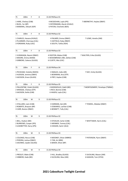| 75                                                                                 | 100m                                                                              | F | 8 | 15:30 PM Race 01                                                                                            |                                                  |  |
|------------------------------------------------------------------------------------|-----------------------------------------------------------------------------------|---|---|-------------------------------------------------------------------------------------------------------------|--------------------------------------------------|--|
|                                                                                    | 1 HARE, Chelsey (CAB)<br>2 BUOL, Yar (BP)<br>3 MAMARIL, Olexah (ASP)              |   |   | 4 MCGEEHAN, Layla (IPS)<br>5 ENTERMANN, Alyrah (HVALE)<br>6 PATON, Charlotte (BEA)                          | 7 ABERNETHY, Haylee (DBAY)                       |  |
| 75                                                                                 | 100m                                                                              | F | 8 | 15:30 PM Race 02                                                                                            |                                                  |  |
|                                                                                    | 1 CHARLES, Havana (HVALE)<br>2 PLUMMER, Chernaya (CAL)<br>3 FOREMAN, Ruby (USC)   |   |   | 4 PALMER, Emma (DBAY)<br>5 HATFIELD, Ruby (RBAY)<br>6 SOUTH, Tahlia (ASH)                                   | 7 LOWE, Amelia (JIM)                             |  |
| 75                                                                                 | 100m                                                                              | F | 8 | 15:30 PM Race 03                                                                                            |                                                  |  |
|                                                                                    | 1 VUNIWAQA, Naomi (DBAY)<br>2 MOORE, Emma (WAM)<br>3 GIBBONS, Caleece (GLASS)     |   |   | 4 OGSTON, Malea (CAB)<br>7 WALTERS, Erika (GLASS)<br>5 WOODBRIDGE LINK, Zahlee (CAB)<br>6 CLOETE, Mia (USC) |                                                  |  |
| 75                                                                                 | 100 <sub>m</sub>                                                                  | F | 8 | 15:30 PM Race 04                                                                                            |                                                  |  |
|                                                                                    | 1 PECKHAM, Violette (NOOS)<br>2 HUDSON, Jemima (DBAY)<br>3 JACKSON, Grace (GLASS) |   |   | 4 SMALES, Indie (AR)<br>5 BOWMAN, Aria (STP)<br>6 FREY, Kaylee (CAB)                                        | 7 DAY, Emily (GLASS)                             |  |
| 75                                                                                 | 100 <sub>m</sub>                                                                  | F | 8 | 15:30 PM Race 05                                                                                            |                                                  |  |
| 1 PALLENTINE, Violet (GLASS)<br>2 WRAGGE, Chelsea (STP)<br>3 JACKSON, Stella (CAB) |                                                                                   |   |   | 4 WISEWOULD, Oaklii (BD)<br>5 RICH, Bonnie (CAB)<br>6 HAGEN, Layla (CAL)                                    | 7 MONTGOMERY, Penelope (TWBAC)                   |  |
| 76                                                                                 | 100m                                                                              | М | 9 | 15:30 PM Race 01                                                                                            |                                                  |  |
|                                                                                    | 1 STALLARD, Liam (CAB)<br>2 ROBERTS, Brayson (BP)<br>3 CARR, Boston (RBAY)        |   |   | 4 HARMAN, Zak (AR)<br>5 EDWARDS, Lachlan (CAB)<br>6 BENNETT, Tully (CAL)                                    | 7 TOWEEL, Malakai (DBAY)                         |  |
| 76                                                                                 | 100m                                                                              | М | 9 | 15:30 PM Race 02                                                                                            |                                                  |  |
|                                                                                    | 1 BELL, Hudson (BD)<br>2 BURROWS, Cooper (IPS)<br>3 LEADBETTER, Darcy (IPS)       |   |   | 4 STICKLER, Carter (CAB)<br>5 MENNER, Tommy (CAL)<br>6 HASSAN, Samir (ALG)                                  | 7 WHITTAKER, Harris (CAL)                        |  |
| 76                                                                                 | 100m                                                                              | М | 9 | 15:30 PM Race 03                                                                                            |                                                  |  |
| 1 COLENSO, Rocco (CAB)<br>2 PEREIRA, Joshua (DBAY)<br>3 JACENKO, Jayden (GLASS)    |                                                                                   |   |   | 4 MOONEY, Ethan (MBRO)<br>5 TJIN, Ari (BRK)<br>6 BAKER, Ethan (BP)                                          | 7 PATERSON, Flynn (DBAY)                         |  |
| 76                                                                                 | 100 <sub>m</sub>                                                                  | М | 9 | 15:30 PM Race 04                                                                                            |                                                  |  |
|                                                                                    | 1 PRESLEY, Blake (CAB)<br>2 HIBBERD, Kade (BD)                                    |   |   | 3 HILL, Bradley (GLASS)<br>4 SUCKLING, Max (JIM)                                                            | 5 SUCKLING, Mason (JIM)<br>6 KAIGHIN, Tom (STHS) |  |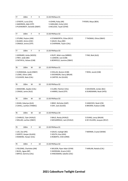| 77                                                                      | 100m                                                                             | F  | 9  | 15:30 PM Race 01                                                                      |                                                        |
|-------------------------------------------------------------------------|----------------------------------------------------------------------------------|----|----|---------------------------------------------------------------------------------------|--------------------------------------------------------|
|                                                                         | 1 O'KEEFE, Lucia (CAL)<br>2 AMORSEN, Abbi (STP)<br>3 PUSHKAREFF, Danielle (DBAY) |    |    | 4 JOHNS, Ruby (AR)<br>5 HARLAND, Emily (USC)<br>6 MCLEOD, Tayah (GYM)                 | 7 RYDER, Maya (BEA)                                    |
| 77                                                                      | 100m                                                                             | F. | 9  | 15:30 PM Race 02                                                                      |                                                        |
| 1 STURM, Peyton (JIM)<br>2 ALSAEE, Amira (USC)<br>3 ONAGA, Jonina (STP) |                                                                                  |    |    | 4 STANWORTH, Chloe (RCLF)<br>5 GAUCI, Rosa (BD)<br>6 CHAPMAN, Taylor (CAL)            | 7 THOMAS, Olivia (DBAY)                                |
| 77                                                                      | 100m                                                                             | F  | 9  | 15:30 PM Race 03                                                                      |                                                        |
|                                                                         | 1 GERRARD, Anika (NOOS)<br>2 FREY, Jaide (BD)<br>3 FAITHFUL, Kelsee (CAB)        |    |    | 4 RUFF, Miah-rose (MBRO)<br>5 LIGNOW, Lexi (CAB)<br>6 BONFIELD, Jasmine (DBAY)        | 7 PAR, Biak (ALG)                                      |
| 78                                                                      | 100 <sub>m</sub>                                                                 | м  | 10 | 15:30 PM Race 01                                                                      |                                                        |
|                                                                         | 1 VUNIWAQA, Jacob (DBAY)<br>2 LOWE, Oliver (JIM)<br>3 CLEAVER, Nate (CAL)        |    |    | 4 HOLLAS, Boston (CAB)<br>5 DICKINSON, Darcy (BALM)<br>6 CARTER, Kai (GLASS)          | 7 ROSS, Jacob (CAB)                                    |
| 78                                                                      | 100m                                                                             | м  | 10 | 15:30 PM Race 02                                                                      |                                                        |
| 1 MASHOBE, Zayden (CAL)<br>2 CRAGG, Jamie (ALG)                         |                                                                                  |    |    | 3 CLARK, Fletcher (CAL)<br>4 HARRIS, David (STP)                                      | 5 DAVIDSON, Jordan (BLI)<br>6 DUNEMANN, Noah (HFD)     |
| 78                                                                      | 100m                                                                             | М  | 10 | 15:30 PM Race 03                                                                      |                                                        |
|                                                                         | 1 KHAN, Zakariya (ALG)<br>2 CAHILL, Lachlan (TWBAC)                              |    |    | 3 BRAY, Nicholas (GAP)<br>4 DAY, Jack (GLASS)                                         | 5 HANCOCK, Noah (CN)<br>6 BROWN, Hudson (CAB)          |
| 78                                                                      | 100m                                                                             | M  | 10 | 15:30 PM Race 04                                                                      |                                                        |
|                                                                         | 1 CHARLES, Tyler (HVALE)<br>2 MILLAR, Lachlan (DBAY)                             |    |    | 3 BALO, Rocky (HVALE)<br>4 MCGARRIGLE, Jack (HVALE)                                   | 5 EVANS, Leroy (BALM)<br>6 DE VILLIERS, Jacques (RCLF) |
| 79                                                                      | 100m                                                                             | F  | 10 | 15:30 PM Race 01                                                                      |                                                        |
| 1 LEE, Zoe (IPS)<br>2 GERITZ, Harper (GLASS)<br>3 RANKINE, Harper (CAL) |                                                                                  |    |    | 4 GAUCI, Ivyleigh (BD)<br>5 SOUTH, Koa (ASH)<br>6 ROBERTS, Chilli (ORM)               | 7 MERNIN, Crystal (WAM)                                |
| 79                                                                      | 100m                                                                             | F  | 10 | 15:30 PM Race 02                                                                      |                                                        |
|                                                                         | 1 FIELDING, Charlotte (JIM)<br>2 BUOL, Agaw (BP)<br>3 BRYCE, Gemma (CAL)         |    |    | 4 WILSON, Piper Adair (GYM)<br>5 SHERIDAN, Gracie (USC)<br>6 HINCKSMAN, Sabelle (USC) | 7 HARLAN, Natalia (CAL)                                |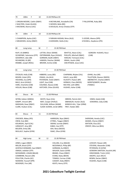| 79                                                                                                                                       | 100m                                                                                                                                                                                                                              | F  | 10 | 15:30 PM Race 03                                                                                                                                                                                              |                                                                                                                                          |                                                                                                                                                                                                         |  |  |
|------------------------------------------------------------------------------------------------------------------------------------------|-----------------------------------------------------------------------------------------------------------------------------------------------------------------------------------------------------------------------------------|----|----|---------------------------------------------------------------------------------------------------------------------------------------------------------------------------------------------------------------|------------------------------------------------------------------------------------------------------------------------------------------|---------------------------------------------------------------------------------------------------------------------------------------------------------------------------------------------------------|--|--|
|                                                                                                                                          | 1 ORGAN-MOORE, Caitlin (DBAY)<br>2 WALTERS, Violet (GLASS)<br>3 MCEWAN, Sharna (USC)                                                                                                                                              |    |    | 4 MCFARLANE, Annabelle (CN)<br>7 PALLENTINE, Ruby (BD)<br>5 WOODS, Bella (BD)<br>6 DOUGLAS, Kirsty Chiedza (STP)                                                                                              |                                                                                                                                          |                                                                                                                                                                                                         |  |  |
| 79                                                                                                                                       | 100 <sub>m</sub>                                                                                                                                                                                                                  | F. | 10 | 15:30 PM Race 04                                                                                                                                                                                              |                                                                                                                                          |                                                                                                                                                                                                         |  |  |
|                                                                                                                                          | 1 CHAMPION, Aysha (USC)<br>2 MEADOWS, Amity (DBAY)                                                                                                                                                                                |    |    | 3 FARHAN HASSAN, Nimo (ALG)<br>4 GODDARD, Stella (CAL)                                                                                                                                                        |                                                                                                                                          | 5 LEEDER, Aleena (SPR)<br>6 RUSSELL, Kaydence (IPS)                                                                                                                                                     |  |  |
| 80                                                                                                                                       | Long Jump                                                                                                                                                                                                                         |    | м  | 7<br>15:30 PM Heat                                                                                                                                                                                            |                                                                                                                                          |                                                                                                                                                                                                         |  |  |
| RUFF, Eli (MBRO)<br>SCHWENKE, Solomona (STP)<br>GOODRICH, Jake (SB)<br>RICHMOND, RJ (BP)<br>KRABBE, Joseph (REDL)                        |                                                                                                                                                                                                                                   |    |    | LATTER, Oliver (WAM)<br>ENTERMANN, Ryan (HVALE)<br>GORMAN, Bodhi (DBAY)<br>HANSEN, Fletcher (WAM)<br>BROWN, Archie (CAB)                                                                                      | WHITTLE, Nixon (CAL)<br>PHILLIPS, Mitchell (DBAY)<br>HARLAN, Tremayne (CAL)<br>GRAHL, Austin (JIM)<br>VAN RYSSEN, Jesse (USC)            | <b>GORDON-HUGHES, Rocci</b><br>(CAB)                                                                                                                                                                    |  |  |
| 81                                                                                                                                       | Long Jump                                                                                                                                                                                                                         |    | F  | 15:30 PM Heat<br>7                                                                                                                                                                                            |                                                                                                                                          |                                                                                                                                                                                                         |  |  |
| STICKLER, Holly (CAB)<br>BOHEN, Violet (IPS)<br>HOCKING, Eva (SPR)<br>BALO, Armi (HVALE)<br>HARE, Charlotte (CAB)<br>HOLLAS, Macie (CAB) |                                                                                                                                                                                                                                   |    |    | HIBBERD, Lacey (BD)<br>CRAGG, Lila (ALG)<br>PATERSON, Violet (DBAY)<br>LIGHT, Ava (CAB)<br>COLENSO, Alyssia (CAB)<br>HATCHER, Chloe (GLASS)                                                                   | CHAPMAN, Rhylee (CAL)<br>GAUCI, Jorja (BD)<br>HLAVATY, Peyton (BP)<br>HERMUS, Clara (NOOS)<br>MILTON, Leith (BRK)<br>HUGHES, Asher (CAB) | JOHNS, Ava (AR)<br>TILLOTSON, Eleanor (NOOS)<br>ABERNETHY, Charlee (DBAY)<br>MONTGOMERY, Brooke<br>(TWBAC)                                                                                              |  |  |
| 82                                                                                                                                       | Discus                                                                                                                                                                                                                            | м  | 11 | 15:30 PM Heat                                                                                                                                                                                                 |                                                                                                                                          |                                                                                                                                                                                                         |  |  |
|                                                                                                                                          | WYNN, Kallam (WBDG)<br>KAMPF, Vincent (BP)<br>MADIGAN, Dewi (DBAY)<br>CLARK, Hudson (CAL)                                                                                                                                         |    |    | WHITE, Ryan (CAL)<br>MAY, Cooper (HVALE)<br>SULLIVAN, William (WAM)<br>SLADE-SUEMAI, Jeriah (BRK)                                                                                                             | OBRIEN, Patrick (GC)<br>SIBENALER, Hunter (ALG)<br>WINDUS-HILL, Tylar (ORM)<br>FREY, Haidan (BD)                                         | HINDS, Kaleb (CAB)<br>EDWARDS, Coby (CAB)                                                                                                                                                               |  |  |
| 83                                                                                                                                       | Discus                                                                                                                                                                                                                            | F  | 11 | 15:30 PM Heat                                                                                                                                                                                                 |                                                                                                                                          |                                                                                                                                                                                                         |  |  |
| CROCKER, Abbey (IPS)<br>CREW, Evie (BD)<br>KOLINISAU, April (CAL)<br>JURGELEIT, Amy (BP)<br>BOLDEN, Emily (SB)<br>MULLALY, Sophie (GYM)  |                                                                                                                                                                                                                                   |    |    | HARRISON, Skye (DBAY)<br>O'FRIEL, Teagan (DBAY)<br>SWAIN, lucinda (DBAY)<br>KABLE, Zoe (STP)<br>ASH, Neva (NOOS)<br>ISAAC, Olive (GYM)                                                                        |                                                                                                                                          | SHERIDAN, Amelia (USC)<br>ADAMS, Cheree (DBAY)<br>WATSON, Eliza (GC)<br>CREEDY, Miia-Lea (BEA)                                                                                                          |  |  |
| 84                                                                                                                                       | High Jump                                                                                                                                                                                                                         |    | M  | 15:30 PM Heat<br>12                                                                                                                                                                                           |                                                                                                                                          |                                                                                                                                                                                                         |  |  |
|                                                                                                                                          | JONES, Logan (DBAY)<br>MILLER, Brock (STP)<br>ACKFIELD KENNARD, Saul (DBAY)<br>ONAGA, Jedidiah (STP)<br>MCDIARMID, LOGAN (BALM)<br>COMBRINK, Reuven (AR)<br>POULTON, Charlie (GC)<br>NAAMAN, Youssef (SPR)<br>MCKENZIE, Finn (AR) |    |    | COLLINS, Cruz (BALM)<br>MCDONALD, Philip (BP)<br>GORMAN, Ky (DBAY)<br>WALKER, Saxon (GYM)<br>BRAND, Chase (DBAY)<br>EVANS, Ryley (BEEN)<br>TOMASI, Cormac (CAB)<br>CASSIDY, Koby (RBAY)<br>KEATS, Henry (STP) |                                                                                                                                          | LOVEJOY, Rowan (AR)<br>STEVENS, Alexander (CAB)<br>PETERSON, Eli (GYM)<br>GOWDRA SANTOSH, Kaushik (AR)<br>HINCKSMAN, Tristin (USC)<br>IAKOPO, Zyon (RCLF)<br>BOWN, Declan (DBAY)<br>HUGHES, Nayte (CAB) |  |  |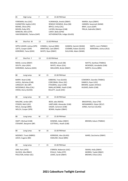| 85                                                                                                                  | High Jump                                                                                                                                          | F                                                                                                                                                        | 12                                                                                                                          | 15:30 PM Heat                                                          |                                                                       |                                                                                                  |  |
|---------------------------------------------------------------------------------------------------------------------|----------------------------------------------------------------------------------------------------------------------------------------------------|----------------------------------------------------------------------------------------------------------------------------------------------------------|-----------------------------------------------------------------------------------------------------------------------------|------------------------------------------------------------------------|-----------------------------------------------------------------------|--------------------------------------------------------------------------------------------------|--|
|                                                                                                                     | FOREMAN, Ava (USC)<br>ELKINGTON, Sophie (USC)<br>BIENKE, Olivia (IPS)<br>BOHEN, Ruby (IPS)<br>MANCINI, Allira (STP)<br>VAN RENSBURG, Tatiana (GAP) | VUNIWAQA, Amelia (DBAY)<br>RENOUF-DOWDLE, Bree (SB)<br>BRYCE, Emily (CAL)<br>LUCIEN, Monique (CAB)<br>LAHEY, Bella (GYM)<br>HETHERINGTON, Indigo (GLASS) |                                                                                                                             |                                                                        |                                                                       | MARSH, Ayva (DBAY)<br>HANSEN, Savannah (WAM)<br>BRAY, Laura (GAP)<br>PRILJA, Gabrielle (DBAY)    |  |
| 86                                                                                                                  | Shot Put M                                                                                                                                         | 13                                                                                                                                                       | 15:30 PM Heat                                                                                                               |                                                                        |                                                                       |                                                                                                  |  |
| SIPPLE-ASHER, Joshua (SPR)<br>LOFTS, Cooper (GAP)<br>KORORIKO, Tama (GDH)                                           |                                                                                                                                                    | CONNELL, Samuel (BRK)<br>ARMITAGE, Cael (DBAY)<br>WHITE, Ryan (DBAY)                                                                                     |                                                                                                                             |                                                                        | HANSEN, Hamish (WAM)<br>COOMBS, Ruben (GLASS)<br>SULLIVAN, Adam (WAM) | SMITH, Leon (TWBAC)<br>NORONHA, Joshua (ALG)                                                     |  |
| 87                                                                                                                  | Shot Put F                                                                                                                                         | 13                                                                                                                                                       | 15:30 PM Heat                                                                                                               |                                                                        |                                                                       |                                                                                                  |  |
| MEAD, Livinia (DBAY)<br>SOUTH, Jalyn (ASH)<br>KORORIKO, Awhena (GDH)                                                |                                                                                                                                                    |                                                                                                                                                          | BOLDEN, Jenali (SB)<br>WHITE, Alison (CAL)<br>SMULDERS, Brylie (DBAY)                                                       |                                                                        |                                                                       | WATTS, Xanthee (TWBAC)<br>MCKENZIE, Annabella (CAB)<br>NORTH, Emma (BRK)                         |  |
| 88                                                                                                                  | Long Jump                                                                                                                                          | M                                                                                                                                                        | 15                                                                                                                          | 15:30 PM Heat                                                          |                                                                       |                                                                                                  |  |
| BARRY, Noah (CAB)<br>LAVELL, Nicholas (CAB)<br>JURGELEIT, Ben (BP)<br>MCDONALD, Riley (CAL)<br>CROSS, Darcy (GLASS) |                                                                                                                                                    |                                                                                                                                                          | GIBBONS, Trae (GLASS)<br>CORCORAN, Oliver (GC)<br>STOLBERG, Jaxyn (CAB)<br>SMALLACOMBE, Heath (CAB)<br>KELLETT, Jacob (USC) |                                                                        |                                                                       | COWDROY, Geordie (TWBAC)<br>DANIELS, Ryan (USC)<br>BROWN, Jayden (HVALE)<br>HUGHES, Bailin (CAB) |  |
| 88                                                                                                                  | Long Jump                                                                                                                                          | M                                                                                                                                                        | 14                                                                                                                          | 15:30 PM Heat                                                          |                                                                       |                                                                                                  |  |
|                                                                                                                     | MALONE, Jordan (BP)<br>STOKER, Mali (USC)<br>MILLS, George (BRK)<br>WELCH, Cooper (SPR)                                                            |                                                                                                                                                          | BEER, Jake (NOOS)<br>HARTLAND, Alexander (CAB)<br>EAGER, Cameron (CAB)<br>BOWN, Hayden (DBAY)                               |                                                                        |                                                                       | BRACKPOOL, Dean (TM)<br>MOHAMMED, Zobair (RCLF)<br>JONES, Harrison (GLASS)                       |  |
| 88                                                                                                                  | Long Jump                                                                                                                                          | M                                                                                                                                                        | 17                                                                                                                          | 15:30 PM Heat                                                          |                                                                       |                                                                                                  |  |
|                                                                                                                     | SWIFT, Michael (CAB)<br>STEWART, Benjamin (BP)                                                                                                     |                                                                                                                                                          |                                                                                                                             | DOWNIE, Aidan (DBAY)<br>COTTERILL, Heath (CAB)                         |                                                                       | BROWN, Kalum (TWBAC)                                                                             |  |
| 88                                                                                                                  | Long Jump                                                                                                                                          | M                                                                                                                                                        | 16                                                                                                                          | 15:30 PM Heat                                                          |                                                                       |                                                                                                  |  |
|                                                                                                                     | MOONEY, Travis (MBRO)<br>LEECH, Eugene (BD)                                                                                                        |                                                                                                                                                          |                                                                                                                             | <b>KERRIDGE, Alex (GLASS)</b><br>HADLOW, Diesel (BRK)                  |                                                                       | WARD, Zaccharius (DBAY)                                                                          |  |
| 89                                                                                                                  | Long Jump                                                                                                                                          | F                                                                                                                                                        | 15                                                                                                                          | 15:30 PM Heat                                                          |                                                                       |                                                                                                  |  |
| ORR, Paris (HFD)                                                                                                    | SILCOCK, Mia (RBAY)<br>POULTON, Amber (GC)                                                                                                         |                                                                                                                                                          |                                                                                                                             | O'BRIEN, Makenzie (USC)<br>RYALLS, Teikia (STP)<br>LEWIS, Sarah (DBAY) |                                                                       | SWAIN, Holly (DBAY)<br>MORRIS, Taylah (RBAY)<br>BROWN, Chloe (USC)                               |  |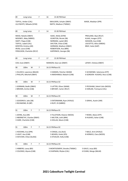| 89                                                                     | Long Jump                                                                                  |   | F              | 16 | 15:30 PM Heat                                                                                 |                                                                    |
|------------------------------------------------------------------------|--------------------------------------------------------------------------------------------|---|----------------|----|-----------------------------------------------------------------------------------------------|--------------------------------------------------------------------|
|                                                                        | TOFFUL, Amber (CAL)<br>LILLYWHITE, Mikaela (GYM)                                           |   |                |    | SMULDERS, Schyler (DBAY)<br>SMITH, Madison (TWBAC)                                            | WADE, Madalyn (SPR)                                                |
| 89                                                                     | Long Jump                                                                                  |   | F              | 14 | 15:30 PM Heat                                                                                 |                                                                    |
|                                                                        | MEAD, Natalie (DBAY)<br>MOONEY, Abby (MBRO)                                                |   |                |    | ISAAC, Molly (GYM)<br>GUNSTON, Nicole (SB)                                                    | PRESLAND, Skye (RCLF)<br>KLAAS, Imogen (STP)                       |
|                                                                        | SWIFT, Pippa (CAB)<br>TOFFUL, Isabel (CAL)<br>KERSTEN, Kristina (AR)<br>IRVIN, Laura (CAB) |   |                |    | NORMAN, Laylah (BD)<br>SHILTON, Chloe (CAB)<br>GORMAN, Madison (DBAY)<br>ROBERTSON, Ava (BRK) | WASSON, Ava (CAB)<br>LISCIOTTO, Allira (WBDG)<br>BRAY, Katie (GAP) |
|                                                                        | FERGUSON, Charlotte (RCLF)                                                                 |   |                |    | KAPERNICK, Georgia (SB)                                                                       |                                                                    |
| 89                                                                     | Long Jump                                                                                  |   | F              | 17 | 15:30 PM Heat                                                                                 |                                                                    |
|                                                                        | COX, Essie (DBAY)                                                                          |   |                |    | MANSON, Kaia-Lee (DBAY)                                                                       | LAFSKY, Chelsea (DBAY)                                             |
| 90                                                                     | 100 <sub>m</sub>                                                                           | м | 7              |    | 16:15 PM Race 01                                                                              |                                                                    |
|                                                                        | 1 OLUOCH, Lawrence (BALM)<br>2 PHILLIPS, Mitchell (DBAY)                                   |   |                |    | 3 HANSEN, Fletcher (WAM)<br>4 AMOHANGA, Malachi (CAB)                                         | 5 SCHWENKE, Solomona (STP)<br>6 GORDON- HUGHES, Rocci (CAB)        |
| 90                                                                     | 100 <sub>m</sub>                                                                           | м | 7              |    | 16:15 PM Race 02                                                                              |                                                                    |
|                                                                        | 1 GORMAN, Bodhi (DBAY)<br>2 BROWN, Archie (CAB)                                            |   |                |    | 3 LATTER, Oliver (WAM)<br>4 BRYANT, Carter (RCLF)                                             | 5 PECKHAM, Zekiel Colin (NOOS)<br>6 HARLAN, Tremayne (CAL)         |
| 90                                                                     | 100m                                                                                       | м | $\overline{7}$ |    | 16:15 PM Race 03                                                                              |                                                                    |
|                                                                        | 1 GOODRICH, Jake (SB)<br>2 RICHMOND, RJ (BP)                                               |   |                |    | 3 ENTERMANN, Ryan (HVALE)<br>4 RUFF, Eli (MBRO)                                               | 5 GRAHL, Austin (JIM)                                              |
| 91                                                                     | 100m                                                                                       | F | 7              |    | 16:15 PM Race 01                                                                              |                                                                    |
|                                                                        | 1 JOHNS, Ava (AR)<br>2 ABERNETHY, Charlee (DBAY)<br>3 HARE, Charlotte (CAB)                |   |                |    | 4 TILLOTSON, Eleanor (NOOS)<br>5 MILTON, Leith (BRK)<br>6 HOLLAS, Macie (CAB)                 | 7 ROWE, Alexis (STP)<br>8 HUGHES, Asher (CAB)                      |
| 91                                                                     | 100m                                                                                       | F | 7              |    | 16:15 PM Race 02                                                                              |                                                                    |
| 1 HOCKING, Eva (SPR)<br>2 LIGHT, Ava (CAB)<br>3 HATCHER, Chloe (GLASS) |                                                                                            |   |                |    | 4 CRAGG, Lila (ALG)<br>5 BOHEN, Violet (IPS)<br>6 STICKLER, Holly (CAB)                       | 7 BALO, Armi (HVALE)<br>8 HERMUS, Clara (NOOS)                     |
| 91                                                                     | 100m                                                                                       | F | 7              |    | 16:15 PM Race 03                                                                              |                                                                    |
|                                                                        | 1 HIBBERD, Lacey (BD)<br>2 COLENSO, Alyssia (CAB)                                          |   |                |    | 3 MONTGOMERY, Brooke (TWBAC)<br>4 CHAPMAN, Rhylee (CAL)                                       | 5 GAUCI, Jorja (BD)<br>6 EVANS, Margo (BALM)                       |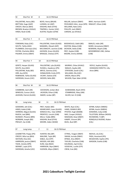| 92                                                                                                                                                               | Shot Put M                                                                                                                                                                  | 8                                                                                                                                                                         | 16:15 PM Heat                                                                                                                                       |                                                                                                                                                                         |                                                                                                                                                        |
|------------------------------------------------------------------------------------------------------------------------------------------------------------------|-----------------------------------------------------------------------------------------------------------------------------------------------------------------------------|---------------------------------------------------------------------------------------------------------------------------------------------------------------------------|-----------------------------------------------------------------------------------------------------------------------------------------------------|-------------------------------------------------------------------------------------------------------------------------------------------------------------------------|--------------------------------------------------------------------------------------------------------------------------------------------------------|
| PALLENTINE, Henry (BD)<br>BRITTAIN, Hugo (GAP)<br>CREEDY, Marcas (BEA)<br>BROWN, Braxton (HVALE)<br>HINDS, Noah (CAB)                                            |                                                                                                                                                                             | BOYD, Henry (BALM)<br>LUDWIG, Ari (ASP)<br>KAIGHIN, Matt (STHS)<br>TRAPNELL, Hunter (USC)<br>AUSTIN, Hayden (GYM)                                                         |                                                                                                                                                     | MILLAR, Jackson (DBAY)<br>PICKVANCE-HALL, Jesse (SPR)<br>WILLIAMS, Nate (USC)<br>PHILLIPS, Jack (DBAY)<br>CARSON, Jye (HVALE)                                           | BRAY, Harrison (GAP)<br>RINGUET, Ethan (CAB)                                                                                                           |
| 93                                                                                                                                                               | Shot Put F                                                                                                                                                                  | 8                                                                                                                                                                         | 16:15 PM Heat                                                                                                                                       |                                                                                                                                                                         |                                                                                                                                                        |
| FOREMAN, Ruby (USC)<br>SOUTH, Tahlia (ASH)<br>PLUMMER, Chernaya (CAL)<br>PATON, Charlotte (BEA)<br>PALMER, Emma (DBAY)                                           |                                                                                                                                                                             | PALLENTINE, Violet (GLASS)<br>MAMARIL, Olexah (ASP)<br>MCCONACHY, Jasmine (CAB)<br>JACKSON, Grace (GLASS)<br>WRAGGE, Chelsea (STP)                                        |                                                                                                                                                     | WISEWOULD, Oaklii (BD)<br>OGSTON, Malea (CAB)<br>JACKSON, Stella (CAB)<br>FREY, Kaylee (CAB)<br>MOORE, Emma (WAM)                                                       | SMALES, Indie (AR)<br>WARD, Annastasia (DBAY)<br>NEWMAN, Aliyah (CAB)<br>WOODBRIDGE LINK, Zahlee<br>(CAB)                                              |
| 94                                                                                                                                                               | Shot Put F                                                                                                                                                                  | 10                                                                                                                                                                        | 16:15 PM Heat                                                                                                                                       |                                                                                                                                                                         |                                                                                                                                                        |
| GERITZ, Harper (GLASS)<br>SOUTH, Koa (ASH)<br>PALLENTINE, Ruby (BD)<br>ORR, Ava (HFD)<br>ROBINSON, Tahlia (GLASS)<br>SHERIDAN, Gracie (USC)                      |                                                                                                                                                                             | PALLENTINE, Lyla (GLASS)<br>RUSSELL, Kaydence (IPS)<br>BRYCE, Gemma (CAL)<br>DONALDSON, Emily (STP)<br>VICARY, Dakota (CN)<br>WOODS, Bella (BD)                           |                                                                                                                                                     | MURRAY, Chloe (HVALE)<br>SMALES, Zaydia (AR)<br>STRYDOM, Zandri (CAL)<br>WILLIAMS, Ella (USC)<br>GREEN, Macie (IPS)<br>WILSON, Piper Adair (GYM)                        | DOYLE, Sophie (GLASS)<br>HODGSON-FORSYTH, Lilly-<br>Anne (BRK)                                                                                         |
| 94                                                                                                                                                               | Shot Put M                                                                                                                                                                  | 10                                                                                                                                                                        | 16:15 PM Heat                                                                                                                                       |                                                                                                                                                                         |                                                                                                                                                        |
|                                                                                                                                                                  | COMBRINK, Zach (AR)<br>WINDUSS, Connor (ALG)<br>JACKSON, Patrick (GLASS)                                                                                                    | DAVIDSON, Jordan (BLI)<br>JACKSON, Ethan (CAB)<br>BAKER, Jordan (BP)                                                                                                      |                                                                                                                                                     | DUNEMANN, Noah (HFD)<br>STANBRIDGE, Riley (JIM)<br>SILVER, Kal -El (CAB)                                                                                                |                                                                                                                                                        |
| 96                                                                                                                                                               | Long Jump                                                                                                                                                                   | M                                                                                                                                                                         | 16:15 PM Heat<br>11                                                                                                                                 |                                                                                                                                                                         |                                                                                                                                                        |
| GODDARD, Jett (CAL)<br>HINDS, Kaleb (CAB)<br>HERRERA, Miguel (GLASS)<br>RAJESH, Joel (BRK)<br>MUNDAY, Phoenix (BRK)<br>NORMAN, Joseph (BD)<br>PRESLEY, Zac (CAB) |                                                                                                                                                                             | FREY, Haidan (BD)<br>KWARCIANYI, Izaac (GLASS)<br>WINDUS-HILL, Tylar (ORM)<br>PRENTICE, Lincoln (CAB)<br>MILLS, Teddy (BRK)<br>KAIGHIN, Brad (STHS)<br>MOORE, Aiden (WAM) |                                                                                                                                                     | WHITE, Ryan (CAL)<br>HAND, SEAMUS (BD)<br>PFISTER, Hugh (NAMB)<br>MAY, Cooper (HVALE)<br>MADIGAN, Dewi (DBAY)<br>KAMPF, Vincent (BP)<br>BUOL, Buol (BP)                 | WYNN, Kallam (WBDG)<br>WYNN, Austin (WBDG)<br>EDWARDS, Coby (CAB)<br>TILLOTSON, William (NOOS)<br>RICHMOND, TJ (BP)<br>RONQUILLO BUENO, Ruben<br>(CAL) |
| 97                                                                                                                                                               | Long Jump                                                                                                                                                                   | F                                                                                                                                                                         | 16:15 PM Heat<br>11                                                                                                                                 |                                                                                                                                                                         |                                                                                                                                                        |
|                                                                                                                                                                  | LEADBETTER, Poppy (IPS)<br>CREEDY, Miia-Lea (BEA)<br>WATSON, Eliza (GC)<br>HARRISON, jessica (DBAY)<br>TIGHE, Amelia (SPR)<br>WERNET, Layla (STP)<br>SHERIDAN, Amelia (USC) |                                                                                                                                                                           | HUNTER, Mia (BP)<br>MALONE, Tayla (BP)<br>KABLE, Zoe (STP)<br>WOODS, KIKI (BD)<br>KURZ, Ada (NGO)<br>HARRISON, Skye (DBAY)<br>HUDSON, Allyce (DBAY) | O'FRIEL, Teagan (DBAY)<br>SWAIN, lucinda (DBAY)<br>BYNGE, Amy (RBAY)<br>TAYLOR, Charlotte (CAB)<br>KOLINISAU, April (CAL)<br>IVOSEVAC, Lucille (STP)<br>CREW, Evie (BD) | NIEHUS, Lily (CAL)<br>PAEA, Houstand (IPS)<br>MCGEEHAN, Sophie (IPS)<br>WASSON, Estella (CAB)                                                          |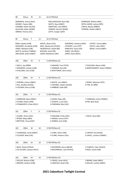| 98                                                                                                                   | <b>Discus</b><br>м                                                                                                          | 13 | 16:15 PM Heat                                                                                                           |                                                                                                                    |                                                                                                         |                                                                    |  |
|----------------------------------------------------------------------------------------------------------------------|-----------------------------------------------------------------------------------------------------------------------------|----|-------------------------------------------------------------------------------------------------------------------------|--------------------------------------------------------------------------------------------------------------------|---------------------------------------------------------------------------------------------------------|--------------------------------------------------------------------|--|
| NORONHA, Joshua (ALG)<br>GOSNEY, Payton (BD)<br>COOMBS, Ruben (GLASS)<br>SULLIVAN, Adam (WAM)<br>OBRIEN, Thomas (GC) |                                                                                                                             |    | MOLLENHAUER, Ryan (SB)<br>WHITE, Ryan (DBAY)<br>ARMITAGE, Cael (DBAY)<br>HANSEN, Hamish (WAM)<br>LOFTS, Cooper (GAP)    |                                                                                                                    | ROBINSON, William (BEA)<br>SIPPLE-ASHER, Joshua (SPR)<br>CARIUS, Bayley (MBRO)<br>THOMAS, Haiden (DBAY) |                                                                    |  |
| 99                                                                                                                   | F<br><b>Discus</b>                                                                                                          | 13 | 16:15 PM Heat                                                                                                           |                                                                                                                    |                                                                                                         |                                                                    |  |
|                                                                                                                      | BOW, Hayden (CAB)<br>MCKENZIE, Annabella (CAB)<br>JONES, Makayla (CAB)<br>WATTS, Xanthee (TWBAC)<br>SMULDERS, Brylie (DBAY) |    | WHITE, Alison (CAL)<br>MAY, Mackenzie (HVALE)<br>WISEWOULD, Sailah (BD)<br>BOLDEN, Jenali (SB)<br>GWIN, Madeleine (JIM) | KORORIKO, Awhena (GDH)<br>STEWART, Lucy (STP)<br>HANCOCK, Grace (CN)<br>JONES, Lilly (REDL)<br>JONES, Katie (REDL) |                                                                                                         | COFFEY, Teresa (BRK)<br>SOUTH, Jalyn (ASH)<br>MEAD, Livinia (DBAY) |  |
| 100                                                                                                                  | 200m<br>м                                                                                                                   | 9  | 17:00 PM Race 01                                                                                                        |                                                                                                                    |                                                                                                         |                                                                    |  |
|                                                                                                                      | 1 DALLY, Jay (ORM)<br>2 EDWARDS, Lachlan (CAB)<br>3 STALLARD, Liam (CAB)                                                    |    | 4 KAIGHIN, Tom (STHS)<br>5 HARMAN, Zak (AR)<br>6 WHITTAKER, Harris (CAL)                                                |                                                                                                                    |                                                                                                         | 7 SUCKLING, Mason (JIM)<br>8 MONTGOMERY, Noah (TWBAC)              |  |
| 100                                                                                                                  | 200 <sub>m</sub><br>М                                                                                                       | 9  | 17:00 PM Race 02                                                                                                        |                                                                                                                    |                                                                                                         |                                                                    |  |
|                                                                                                                      | 1 PEREIRA, Joshua (DBAY)<br>2 HILL, Bradley (GLASS)<br>3 COLENSO, Rocco (CAB)                                               |    | 4 WHITE, Levi (DBAY)<br>5 JACENKO, Jayden (GLASS)<br>6 HIBBERD, Kade (BD)                                               |                                                                                                                    |                                                                                                         | 7 ROWE, Sebastian (STP)<br>8 TJIN, Ari (BRK)                       |  |
| 101                                                                                                                  | 200m<br>F                                                                                                                   | 9  | 17:00 PM Race 01                                                                                                        |                                                                                                                    |                                                                                                         |                                                                    |  |
|                                                                                                                      | 1 HARRISON, Myra (DBAY)<br>2 STURM, Peyton (JIM)<br>3 STANWORTH, Chloe (RCLF)                                               |    | 4 JOHNS, Ruby (AR)<br>5 O'KEEFE, Lucia (CAL)<br>6 FOREMAN, Mia (USC)                                                    |                                                                                                                    |                                                                                                         | 7 CARRIGAN, Emily (TWBAC)<br>8 PAR, Biak (ALG)                     |  |
| 101                                                                                                                  | 200 <sub>m</sub><br>F.                                                                                                      | 9  | 17:00 PM Race 02                                                                                                        |                                                                                                                    |                                                                                                         |                                                                    |  |
|                                                                                                                      | 1 ALSAEE, Amira (USC)<br>2 RYDER, Maya (BEA)<br>3 BRITTAIN, Tessa (GAP)                                                     |    | 4 HARLAND, Emily (USC)<br>5 ONAGA, Jonina (STP)<br>6 ZORBAS, Aria (CAB)                                                 |                                                                                                                    |                                                                                                         | 7 GAUCI, Rosa (BD)                                                 |  |
| 102                                                                                                                  | 200m<br>М                                                                                                                   | 10 | 17:00 PM Race 01                                                                                                        |                                                                                                                    |                                                                                                         |                                                                    |  |
|                                                                                                                      | 1 VUNIWAQA, Jacob (DBAY)<br>2 CLEAVER, Nate (CAL)                                                                           |    | 3 LOWE, Oliver (JIM)<br>4 CLARK, Fletcher (CAL)                                                                         |                                                                                                                    |                                                                                                         | 5 CARTER, Kai (GLASS)<br>6 CAHILL, Lachlan (TWBAC)                 |  |
| 102                                                                                                                  | 200m<br>м                                                                                                                   | 10 | 17:00 PM Race 02                                                                                                        |                                                                                                                    |                                                                                                         |                                                                    |  |
|                                                                                                                      | 1 BALO, Rocky (HVALE)<br>2 DE VILLIERS, Jacques (RCLF)                                                                      |    | 3 DICKINSON, Darcy (BALM)<br>4 MCGARRIGLE, Jack (HVALE)                                                                 |                                                                                                                    |                                                                                                         | 5 CHARLES, Tyler (HVALE)<br>6 ROSS, Jacob (CAB)                    |  |
| 102                                                                                                                  | 200m<br>м                                                                                                                   | 10 | 17:00 PM Race 03                                                                                                        |                                                                                                                    |                                                                                                         |                                                                    |  |
|                                                                                                                      | 1 HOLLAS, Boston (CAB)<br>2 BROWN, Hudson (CAB)                                                                             |    | 3 CRAGG, Jamie (ALG)<br>4 HANCOCK, Noah (CN)                                                                            |                                                                                                                    |                                                                                                         | 5 BRAND, Kade (DBAY)<br>6 MILLAR, Lachlan (DBAY)                   |  |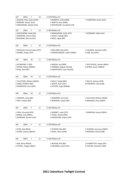| 103 | 200m                                        | F | 10 | 17:00 PM Race 01                           |                                                     |  |  |  |
|-----|---------------------------------------------|---|----|--------------------------------------------|-----------------------------------------------------|--|--|--|
|     | 1 WILSON, Piper Adair (GYM)                 |   |    | 4 ROBERTS, Chilli (ORM)                    | 7 CHAMPION, Aysha (USC)                             |  |  |  |
|     | 2 RANKINE, Harper (CAL)                     |   |    | 5 BENITO, Nina (MAR)                       |                                                     |  |  |  |
|     | 3 HINCKSMAN, Sabelle (USC)                  |   |    | 6 MCFARLANE, Annabelle (CN)                |                                                     |  |  |  |
|     |                                             |   |    |                                            |                                                     |  |  |  |
| 103 | 200 <sub>m</sub>                            | F | 10 | 17:00 PM Race 02                           |                                                     |  |  |  |
|     | 1 WOLFENDEN, Heidi (AR)                     |   |    | 4 DONALDSON, Emily (STP)                   | 7 GODDARD, Stella (CAL)                             |  |  |  |
|     | 2 SHERIDAN, Gracie (USC)                    |   |    | 5 GAUCI, Ivyleigh (BD)                     |                                                     |  |  |  |
|     | 3 MCEWAN, Sharna (USC)                      |   |    | 6 BUOL, Agaw (BP)                          |                                                     |  |  |  |
|     |                                             |   |    |                                            |                                                     |  |  |  |
| 103 | 200m                                        | F | 10 | 17:00 PM Race 03                           |                                                     |  |  |  |
|     |                                             |   |    |                                            |                                                     |  |  |  |
|     | 1 DOUGLAS, Kirsty Chiedza (STP)             |   |    | 3 WILLIAMS, Ella (USC)                     | 5 FIELDING, Charlotte (JIM)                         |  |  |  |
|     | 2 HARRIS, Amber (STP)                       |   |    | 4 ORGAN-MOORE, Caitlin (DBAY)              | 6 ORR, Ava (HFD)                                    |  |  |  |
|     |                                             |   |    |                                            |                                                     |  |  |  |
| 104 | 200m                                        | М | 11 | 17:00 PM Race 01                           |                                                     |  |  |  |
|     |                                             |   |    |                                            |                                                     |  |  |  |
|     | 1 RICHMOND, TJ (BP)                         |   |    | 4 RAJESH, Joel (BRK)                       | 7 HOLTHOUSE, Zander (RBAY)                          |  |  |  |
|     | 2 WYNN, Kallam (WBDG)                       |   |    | 5 HERRERA, Miguel (GLASS)                  | 8 WYNN, Austin (WBDG)                               |  |  |  |
|     | 3 BUOL, Buol (BP)                           |   |    | 6 KWARCIANYI, Izaac (GLASS)                |                                                     |  |  |  |
|     |                                             |   |    |                                            |                                                     |  |  |  |
| 104 | 200m                                        | М | 11 | 17:00 PM Race 02                           |                                                     |  |  |  |
|     |                                             |   |    |                                            |                                                     |  |  |  |
|     | 1 TILLOTSON, William (NOOS)                 |   |    | 4 MILLS, Teddy (BRK)                       | 7 WILLIS, Zachary (SPR)                             |  |  |  |
|     | 2 HAND, SEAMUS (BD)                         |   |    | 5 WHITE, Ryan (CAL)                        | 8 EDWARDS, Coby (CAB)                               |  |  |  |
|     | 3 SHERWOOD, Azra (ASP)                      |   |    | 6 PFISTER, Hugh (NAMB)                     |                                                     |  |  |  |
|     |                                             |   |    |                                            |                                                     |  |  |  |
| 104 | 200 <sub>m</sub>                            | М | 11 | 17:00 PM Race 03                           |                                                     |  |  |  |
|     |                                             |   |    |                                            |                                                     |  |  |  |
|     | 1 CORDIER, Jacob (BD)                       |   |    | 3 GODDARD, Jett (CAL)                      | 5 SULLIVAN, William (WAM)                           |  |  |  |
|     | 2 FREY, Haidan (BD)                         |   |    | 4 NORMAN, Joseph (BD)                      | 6 MADIGAN, Dewi (DBAY)                              |  |  |  |
|     |                                             |   |    |                                            |                                                     |  |  |  |
| 105 | 200m                                        | F | 11 | 17:00 PM Race 01                           |                                                     |  |  |  |
|     | 1 PAEA, Houstand (IPS)                      |   |    | 4 WERNET, Layla (STP)                      | 7 HARRISON, jessica (DBAY)                          |  |  |  |
|     | 2 BYNGE, Amy (RBAY)                         |   |    | 5 TIGHE, Amelia (SPR)                      |                                                     |  |  |  |
|     | 3 SHERIDAN, Amelia (USC)                    |   |    | 6 MCGEEHAN, Sophie (IPS)                   |                                                     |  |  |  |
|     |                                             |   |    |                                            |                                                     |  |  |  |
| 105 | 200m                                        | F | 11 | 17:00 PM Race 02                           |                                                     |  |  |  |
|     |                                             |   |    |                                            |                                                     |  |  |  |
|     | 1 KURZ, Ada (NGO)<br>2 EVANS, Audrey (BALM) |   |    | 3 HUNTER, Mia (BP)<br>4 ISAAC, Olive (GYM) | 5 HUDSON, Harmony (DBAY)<br>6 WASSON, Estella (CAB) |  |  |  |
|     |                                             |   |    |                                            |                                                     |  |  |  |
| 105 | 200m                                        | F | 11 | 17:00 PM Race 03                           |                                                     |  |  |  |
|     |                                             |   |    |                                            |                                                     |  |  |  |
|     | 1 ASH, Neva (NOOS)                          |   |    | 3 WOODS, KIKI (BD)                         | 5 LEADBETTER, Poppy (IPS)                           |  |  |  |
|     | 2 O'FRIEL, Teagan (DBAY)                    |   |    | 4 KOLINISAU, April (CAL)                   | 6 TAYLOR, Charlotte (CAB)                           |  |  |  |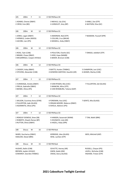| 105                                                                               | 200m                                                                                     | F | 11 | 17:00 PM Race 04                                                                                                 |                                                                          |  |  |
|-----------------------------------------------------------------------------------|------------------------------------------------------------------------------------------|---|----|------------------------------------------------------------------------------------------------------------------|--------------------------------------------------------------------------|--|--|
|                                                                                   | 1 ADAMS, Cheree (DBAY)<br>2 CREW, Evie (BD)                                              |   |    | 3 NIEHUS, Lily (CAL)<br>4 JURGELEIT, Amy (BP)                                                                    | 5 KABLE, Zoe (STP)<br>6 WATSON, Eliza (GC)                               |  |  |
| 106                                                                               | 200 <sub>m</sub>                                                                         | м | 12 | 17:00 PM Race 01                                                                                                 |                                                                          |  |  |
|                                                                                   | 1 JONES, Logan (DBAY)<br>2 HERMUS, Linden (NOOS)<br>3 JACOBS, Lian (IPS)                 |   |    | 4 AMORSEN, Ned (STP)<br>5 COLLINS, Cruz (BALM)<br>6 MASKELL, Koby (DBAY)                                         | 7 NAAMAN, Youssef (SPR)                                                  |  |  |
| 106                                                                               | 200m                                                                                     | м | 12 | 17:00 PM Race 02                                                                                                 |                                                                          |  |  |
|                                                                                   | 1 ROSS, Tyler (CAB)<br>2 BRAND, Chase (DBAY)<br>3 MCGARRIGLE, Cooper (HVALE)             |   |    | 4 POULTON, Charlie (GC)<br>5 KIDD, Kupa (NAMB)<br>6 BAKER, Bronson (CAB)                                         | 7 ONAGA, Jedidiah (STP)                                                  |  |  |
| 106                                                                               | 200 <sub>m</sub>                                                                         | м | 12 | 17:00 PM Race 03                                                                                                 |                                                                          |  |  |
|                                                                                   | 1 CASSIDY, Koby (RBAY)<br>2 STEVENS, Alexander (CAB)                                     |   |    | 3 WATTS, Hunter (TWBAC)<br>5 CHAMPION, Levi (USC)<br>4 GOWDRA SANTOSH, Kaushik (AR)<br>6 ADAMS, Marley (CAB)     |                                                                          |  |  |
| 107                                                                               | 200m                                                                                     | F | 12 | 17:00 PM Race 01                                                                                                 |                                                                          |  |  |
| 1 VUNIWAQA, Amelia (DBAY)<br>2 PRILJA, Gabrielle (DBAY)<br>3 BIENKE, Olivia (IPS) |                                                                                          |   |    | 4 VAN RYSSEN, Mia (USC)<br>7 FULLERTON, Zali (GLASS)<br>5 MANCINI, Allira (STP)<br>6 VAN RENSBURG, Tatiana (GAP) |                                                                          |  |  |
| 107                                                                               | 200m                                                                                     | F | 12 | 17:00 PM Race 02                                                                                                 |                                                                          |  |  |
|                                                                                   | 1 WILSON, Courtney Anna (GYM)<br>2 FULLERTON, Jade (GLASS)<br>3 AGIANNITIS, Olivia (IPS) |   |    | 4 FOREMAN, Ava (USC)<br>5 ORGAN-MOORE, Rebecca (DBAY)<br>6 ISHOLA, Adetoro (IPS)                                 | 7 GERITZ, Mia (GLASS)                                                    |  |  |
| 107                                                                               | 200m                                                                                     | F | 12 | 17:00 PM Race 03                                                                                                 |                                                                          |  |  |
|                                                                                   | 1 RENOUF-DOWDLE, Bree (SB)<br>2 ROBERTS, Shaylin Renee (BP)<br>3 RUTTEN, Olivia (DBAY)   |   |    | 4 HANSEN, Savannah (WAM)<br>5 OHUNAYO, Lola (AR)<br>6 HAZELL, Ruby (SPR)                                         | 7 TJIN, Mahli (BRK)                                                      |  |  |
| 108                                                                               | <b>Discus</b>                                                                            | M | 16 | 17:00 PM Heat                                                                                                    |                                                                          |  |  |
|                                                                                   | WARD, Zaccharius (DBAY)<br>HADLOW, Diesel (BRK)                                          |   |    | KERRIDGE, Alex (GLASS)<br>WISE, Lachlan (STP)                                                                    | WEIS, Mitchell (ASP)                                                     |  |  |
| 108                                                                               | <b>Discus</b>                                                                            | м | 15 | 17:00 PM Heat                                                                                                    |                                                                          |  |  |
|                                                                                   | HUGHES, Bailin (CAB)<br>BROWN, Jayden (HVALE)<br>COWDROY, Geordie (TWBAC)                |   |    | SCHUTTE, Harvey (AR)<br>GWIN, Kaleb (JIM)<br>CROSS, Darcy (GLASS)                                                | RUSSELL, Chayse (IPS)<br>LAVELL, Nicholas (CAB)<br>HIGHAM, Tristan (STP) |  |  |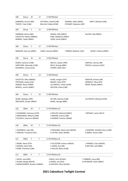| 108 | Discus                                                                                              | М                                                                                    | 17 | 17:00 PM Heat                                                                                   |                                                |                                                                         |
|-----|-----------------------------------------------------------------------------------------------------|--------------------------------------------------------------------------------------|----|-------------------------------------------------------------------------------------------------|------------------------------------------------|-------------------------------------------------------------------------|
|     | DAMROW, Connor (BD)<br>TURVEY, Tyler (CAB)                                                          |                                                                                      |    | COTTERILL, Heath (CAB)<br>MULLALY, Blake (GYM)                                                  | DOWNIE, Aidan (DBAY)<br>STEWART, Benjamin (BP) | SWIFT, Michael (CAB)                                                    |
| 109 | <b>Discus</b>                                                                                       | F                                                                                    | 15 | 17:00 PM Heat                                                                                   |                                                |                                                                         |
|     | DAMROW, Bianca (BD)<br>LISCIOTTO, Helaina (WBDG)<br>MORRIS, Taylah (RBAY)                           |                                                                                      |    | SWAIN, Holly (DBAY)<br>KING, Maddison (DBAY)<br>LEWIS, Sarah (DBAY)                             |                                                | SILCOCK, Mia (RBAY)                                                     |
| 109 | Discus                                                                                              | F                                                                                    | 17 | 17:00 PM Heat                                                                                   |                                                |                                                                         |
|     | MANSON, Kaia-Lee (DBAY)                                                                             |                                                                                      |    | LEWIS, Hannah (DBAY)                                                                            | O'BRIEN, Madison (USC)                         | LAFSKY, Chelsea (DBAY)                                                  |
| 109 | <b>Discus</b>                                                                                       | М                                                                                    | 14 | 17:00 PM Heat                                                                                   |                                                |                                                                         |
|     | EAGER, Cameron (CAB)<br>KOLINISAU, Joshua (CAL)                                                     | HARTLAND, Alexander (CAB)                                                            |    | WELCH, Cooper (SPR)<br>MILLS, George (BRK)<br>STOKER, Mali (USC)                                |                                                | SAWTELL, Harvey (SB)<br>POOLES, Jamieson (USC)                          |
| 109 | <b>Discus</b>                                                                                       | F                                                                                    | 14 | 17:00 PM Heat                                                                                   |                                                |                                                                         |
|     | LISCIOTTO, Allira (WBDG)<br>STRYDOM, Zayley (CAL)<br>JENKINS, Alyssa (ORM)<br>NEWELL, Jasmin (DBAY) |                                                                                      |    | KLAAS, Imogen (STP)<br>MAIZEY, Perla (STP)<br>LILLYWHITE, Caitlyn (GYM)<br>SHILTON, Chloe (CAB) |                                                | KERSTEN, Kristina (AR)<br>WINDOLF, Olivia (IPS)<br>MEAD, Natalie (DBAY) |
| 109 | Discus                                                                                              | F                                                                                    | 16 | 17:00 PM Heat                                                                                   |                                                |                                                                         |
|     | WADE, Madalyn (SPR)<br>SMULDERS, Schyler (DBAY)                                                     |                                                                                      |    | HILTON, Eboniee (CAB)<br>BLAKE, Georgia (BRK)                                                   |                                                | LILLYWHITE, Mikaela (GYM)                                               |
| 110 | 200m                                                                                                | M                                                                                    | 7  | 17:45 PM Race 01                                                                                |                                                |                                                                         |
|     |                                                                                                     | 1 SCHWENKE, Solomona (STP)<br>2 AMOHANGA, Malachi (CAB)<br>3 OLUOCH, Lawrence (BALM) |    | 4 PHILLIPS, Mitchell (DBAY)<br>5 BROWN, Archie (CAB)<br>6 HANSEN, Fletcher (WAM)                |                                                | 7 BRYANT, Carter (RCLF)                                                 |
| 110 | 200m                                                                                                | М                                                                                    | 7  | 17:45 PM Race 02                                                                                |                                                |                                                                         |
|     | 1 GOODRICH, Jake (SB)<br>2 HARLAN, Tremayne (CAL)                                                   |                                                                                      |    | 3 PECKHAM, Zekiel Colin (NOOS)<br>4 LATTER, Oliver (WAM)                                        |                                                | 5 GORDON- HUGHES, Rocci (CAB)<br>6 GRAHL, Austin (JIM)                  |
| 111 | 200m                                                                                                | F                                                                                    | 7  | 17:45 PM Race 01                                                                                |                                                |                                                                         |
|     | 1 ROWE, Alexis (STP)<br>2 BOHEN, Violet (IPS)<br>3 HARE, Charlotte (CAB)                            |                                                                                      |    | 4 TILLOTSON, Eleanor (NOOS)<br>5 JOHNS, Ava (AR)<br>6 HOLLAS, Macie (CAB)                       |                                                | 7 HERMUS, Clara (NOOS)<br>8 MILTON, Leith (BRK)                         |
| 111 | 200m                                                                                                | F                                                                                    | 7  | 17:45 PM Race 02                                                                                |                                                |                                                                         |
|     | 1 GAUCI, Jorja (BD)<br>2 EVANS, Margo (BALM)                                                        | 3 MONTGOMERY, Brooke (TWBAC)                                                         |    | 4 BALO, Armi (HVALE)<br>5 CRAGG, Lila (ALG)<br>6 HATCHER, Chloe (GLASS)                         |                                                | 7 HIBBERD, Lacey (BD)<br>8 PATERSON, Violet (DBAY)                      |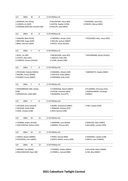| 112   | 200 <sub>m</sub>                                                              | M | 8  | 17:45 PM Race 01                                                               |                                                                |  |  |
|-------|-------------------------------------------------------------------------------|---|----|--------------------------------------------------------------------------------|----------------------------------------------------------------|--|--|
|       | 1 BOWDEN, Ken (STHS)<br>2 LUDWIG, Ari (ASP)<br>3 GOWDRA SANTOSH, Kanishk (AR) |   |    | 4 PALLENTINE, Henry (BD)<br>5 AUSTIN, Hayden (GYM)<br>6 PHILLIPS, Jack (DBAY)  | 7 GODDARD, Jack (CAL)<br>8 CREEDY, Marcas (BEA)                |  |  |
| 112   | 200 <sub>m</sub>                                                              | M | 8  | 17:45 PM Race 02                                                               |                                                                |  |  |
|       | 1 KAIGHIN, Matt (STHS)<br>2 BRITTAIN, Hugo (GAP)<br>3 BRAY, Harrison (GAP)    |   |    | 4 TRAPNELL, Hunter (USC)<br>5 MILLAR, Jackson (DBAY)<br>6 DOYLE, Ethan (GLASS) | 7 PICKVANCE-HALL, Jesse (SPR)                                  |  |  |
| 113   | 200m                                                                          | F | 8  | 17:45 PM Race 01                                                               |                                                                |  |  |
|       | 1 BUOL, Yar (BP)<br>2 CLOETE, Mia (USC)<br>3 CHARLES, Havana (HVALE)          |   |    | 4 MCGEEHAN, Layla (IPS)<br>5 SMALES, Indie (AR)<br>6 LOWE, Amelia (JIM)        | 7 ENTERMANN, Alyrah (HVALE)                                    |  |  |
| 113   | 200m                                                                          | F | 8  | 17:45 PM Race 02                                                               |                                                                |  |  |
|       | 1 PECKHAM, Violette (NOOS)<br>2 MOORE, Emma (WAM)<br>3 PALMER, Emma (DBAY)    |   |    | 4 MAMARIL, Olexah (ASP)<br>5 HATFIELD, Ruby (RBAY)<br>6 FOREMAN, Ruby (USC)    | 7 ABERNETHY, Haylee (DBAY)                                     |  |  |
| 113   | 200 <sub>m</sub>                                                              | F | 8  | 17:45 PM Race 03                                                               |                                                                |  |  |
| (CAB) | 1 WOODBRIDGE LINK, Zahlee<br>2 WISEWOULD, Oaklii (BD)                         |   |    | 3 VUNIWAQA, Naomi (DBAY)<br>4 PATON, Charlotte (BEA)<br>5 BOWMAN, Aria (STP)   | 6 PLUMMER, Chernaya (CAL)<br>7 MONTGOMERY, Penelope<br>(TWBAC) |  |  |
| 113   | 200 <sub>m</sub>                                                              | F | 8  | 17:45 PM Race 04                                                               |                                                                |  |  |
|       | 1 JACKSON, Grace (GLASS)<br>2 JACKSON, Stella (CAB)<br>3 HARE, Chelsey (CAB)  |   |    | 4 WARD, Annastasia (DBAY)<br>5 WRAGGE, Chelsea (STP)<br>6 RICH, Bonnie (CAB)   | 7 FREY, Kaylee (CAB)                                           |  |  |
| 114   | 200m                                                                          | М | 13 | 17:45 PM Race 01                                                               |                                                                |  |  |
|       | 1 COOMBS, Ruben (GLASS)<br>2 VAN STRATEN, Ashton (USC)                        |   |    | 3 GERRARD, Luca (NOOS)<br>4 OBRIEN, Thomas (GC)                                | 5 MINCHIN, Aden (DBAY)<br>6 WILLIAMS, Lachlan (SPR)            |  |  |
| 114   | 200m                                                                          | м | 13 | 17:45 PM Race 02                                                               |                                                                |  |  |
|       | 1 CARIUS, Bayley (MBRO)<br>2 PATERSON, Coen (DBAY)                            |   |    | 3 PEREZ, Samuel (BRK)<br>4 SIPPLE-ASHER, Joshua (SPR)                          | 5 EDWARDS, Cayden (CAB)<br>6 SMITH, Leon (TWBAC)               |  |  |
| 114   | 200m                                                                          | М | 13 | 17:45 PM Race 03                                                               |                                                                |  |  |
|       | 1 MERNIN, Tye (WAM)<br>2 MOLLENHAUER, Ryan (SB)                               |   |    | 3 THOMAS, Haiden (DBAY)<br>4 CONNELL, Samuel (BRK)                             | 5 SULLIVAN, Adam (WAM)<br>6 CINI, Max (DBAY)                   |  |  |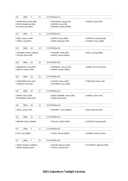| 115                                                                         | 200m                                               | F | 13 | 17:45 PM Race 01                                                            |                                                      |
|-----------------------------------------------------------------------------|----------------------------------------------------|---|----|-----------------------------------------------------------------------------|------------------------------------------------------|
| 1 WISEWOULD, Sailah (BD)<br>2 GWIN, Madeleine (JIM)<br>3 DE JONG, Mia (NGO) |                                                    |   |    | 4 MCDONALD, Alyssa (GC)<br>5 BOLDEN, Jenali (SB)<br>6 MOORE, Isabelle (WAM) | 7 HIONIS, Aliyah (STP)                               |
| 115                                                                         | 200 <sub>m</sub>                                   | F | 13 | 17:45 PM Race 02                                                            |                                                      |
|                                                                             | 1 BOW, Hayden (CAB)<br>2 JONES, Lilly (REDL)       |   |    | 3 NORTH, Emma (BRK)<br>4 JONES, Makayla (CAB)                               | 5 PRENTICE, Kassidy (CAB)<br>6 VEIVERS, Sienna (BRK) |
| 116                                                                         | 200m                                               | М | 14 | 17:45 PM Race 01                                                            |                                                      |
|                                                                             | 1 PECKHAM, Taliesin (NOOS)<br>2 TAYLOR, Shaun (BP) |   |    | 3 MALONE, Jordan (BP)<br>4 WHITE, Samuel (DBAY)                             | 5 MILLS, George (BRK)                                |
| 116                                                                         | 200m                                               | М | 14 | 17:45 PM Race 02                                                            |                                                      |
| 1 BRACKPOOL, Dean (TM)<br>2 WELCH, Cooper (SPR)                             |                                                    |   |    | 3 KOLINISAU, Joshua (CAL)<br>4 BOWN, Hayden (DBAY)                          | 5 JONES, Harrison (GLASS)                            |
| 116                                                                         | 200 <sub>m</sub>                                   | м | 15 | 17:45 PM Race 01                                                            |                                                      |
| 1 CORCORAN, Oliver (GC)<br>2 JURGELEIT, Ben (BP)                            |                                                    |   |    | 3 HUGHES, Bailin (CAB)<br>4 STOLBERG, Jaxyn (CAB)                           | 5 TABUTEAU, Xavier (AR)                              |
| 116                                                                         | 200m                                               | M | 15 | 17:45 PM Race 02                                                            |                                                      |
|                                                                             | 1 BARRY, Noah (CAB)<br>2 MCDONALD, Riley (CAL)     |   |    | 3 SMALLACOMBE, Heath (CAB)<br>4 GWIN, Kaleb (JIM)                           | 5 DANIELS, Ryan (USC)                                |
| 116                                                                         | 200m                                               | М | 16 | 17:45 PM Race 01                                                            |                                                      |
|                                                                             | 1 WISE, Lachlan (STP)                              |   |    | 2 MOONEY, Travis (MBRO)                                                     | 3 WEIS, Mitchell (ASP)                               |
| 116                                                                         | 200m                                               | М | 17 | 17:45 PM Race 01                                                            |                                                      |
|                                                                             | 4 BROWN, Kalum (TWBAC)                             |   |    | 5 MULLALY, Blake (GYM)                                                      | 6 STEWART, Benjamin (BP)                             |
| 117                                                                         | 200m                                               | F | 17 | 17:45 PM Race 01                                                            |                                                      |
|                                                                             | 6 COX, Essie (DBAY)                                |   |    | 7 LEWIS, Hannah (DBAY)                                                      | 8 O'BRIEN, Madison (USC)                             |
| 117                                                                         | 200m                                               | F | 16 | 17:45 PM Race 01                                                            |                                                      |
|                                                                             | 1 SMITH, Madison (TWBAC)<br>2 WADE, Madalyn (SPR)  |   |    | 3 HILTON, Eboniee (CAB)<br>4 TOFFUL, Amber (CAL)                            | 5 LILLYWHITE, Mikaela (GYM)                          |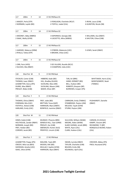| 117                                                                                                                    | 200m                                                                                              | F                                                                                                                             | 14                                                                                                               | 17:45 PM Race 01                                                                                                        |                                                                                                             |                                                               |  |
|------------------------------------------------------------------------------------------------------------------------|---------------------------------------------------------------------------------------------------|-------------------------------------------------------------------------------------------------------------------------------|------------------------------------------------------------------------------------------------------------------|-------------------------------------------------------------------------------------------------------------------------|-------------------------------------------------------------------------------------------------------------|---------------------------------------------------------------|--|
|                                                                                                                        | 1 MAIZEY, Perla (STP)<br>2 NORMAN, Laylah (BD)                                                    |                                                                                                                               |                                                                                                                  | 3 FERGUSON, Charlotte (RCLF)<br>4 TOFFUL, Isabel (CAL)                                                                  |                                                                                                             | 5 IRVIN, Laura (CAB)<br>6 GUNSTON, Nicole (SB)                |  |
| 117                                                                                                                    | 200 <sub>m</sub>                                                                                  | F                                                                                                                             | 14                                                                                                               | 17:45 PM Race 02                                                                                                        |                                                                                                             |                                                               |  |
| 1 MOONEY, Abby (MBRO)<br>2 ISAAC, Molly (GYM)                                                                          |                                                                                                   |                                                                                                                               |                                                                                                                  | 3 KAPERNICK, Georgia (SB)<br>4 LISCIOTTO, Allira (WBDG)                                                                 |                                                                                                             | 5 WILLIAMS, Ava (DBAY)<br>6 SHILTON, Chloe (CAB)              |  |
| 117                                                                                                                    | 200 <sub>m</sub>                                                                                  | F                                                                                                                             | 15                                                                                                               | 17:45 PM Race 01                                                                                                        |                                                                                                             |                                                               |  |
|                                                                                                                        | 1 GARSIDE, Rebecca (ORM)<br>2 RYALLS, Teikia (STP)                                                |                                                                                                                               |                                                                                                                  | 3 O'BRIEN, Makenzie (USC)<br>4 BROWN, Chloe (USC)                                                                       |                                                                                                             | 5 LEWIS, Sarah (DBAY)                                         |  |
| 117                                                                                                                    | 200 <sub>m</sub>                                                                                  | F                                                                                                                             | 15                                                                                                               | 17:45 PM Race 02                                                                                                        |                                                                                                             |                                                               |  |
| 1 ORR, Paris (HFD)<br>2 SILCOCK, Mia (RBAY)                                                                            |                                                                                                   |                                                                                                                               |                                                                                                                  | 3 DE VILLIERS, Rozelle (RCLF)<br>4 CHAMPION, India (USC)                                                                |                                                                                                             |                                                               |  |
| 118                                                                                                                    | Shot Put M                                                                                        |                                                                                                                               | 9                                                                                                                | 17:45 PM Heat                                                                                                           |                                                                                                             |                                                               |  |
| STICKLER, Carter (CAB)<br>THOMAS, Isaac (DBAY)<br>LEADBETTER, Darcy (IPS)<br>DURRE, Max (RBAY)<br>PRESLEY, Blake (CAB) |                                                                                                   |                                                                                                                               | HIBBERD, Kade (BD)<br>HILL, Bradley (GLASS)<br>SUCKLING, Max (JIM)<br>SUCKLING, Mason (JIM)<br>BAKER, Ethan (BP) |                                                                                                                         | TJIN, Ari (BRK)<br>HAND, DERMOT (BD)<br>BELL, Hudson (BD)<br>ROBERTS, Brayson (BP)<br>BURROWS, Cooper (IPS) | <b>WHITTAKER, Harris (CAL)</b><br>MONTGOMERY, Noah<br>(TWBAC) |  |
| 119                                                                                                                    | Shot Put F                                                                                        |                                                                                                                               | 9                                                                                                                | 17:45 PM Heat                                                                                                           |                                                                                                             |                                                               |  |
|                                                                                                                        | THOMAS, Olivia (DBAY)<br>FOREMAN, Mia (USC)<br>FAITHFUL, Kelsee (CAB)<br>HARLAND, Emily (USC)     |                                                                                                                               | FREY, Jaide (BD)<br><b>BRITTAIN, Tessa (GAP)</b><br>HARRISON, Myra (DBAY)<br>BONFIELD, Jasmine (DBAY)            |                                                                                                                         | CARRIGAN, Emily (TWBAC)<br>STANBRIDGE, Peyton (JIM)<br>MCLEOD, Tayah (GYM)<br>STURM, Peyton (JIM)           | PUSHKAREFF, Danielle<br>(DBAY)                                |  |
| 120                                                                                                                    | Shot Put M                                                                                        |                                                                                                                               | 11                                                                                                               | 17:45 PM Heat                                                                                                           |                                                                                                             |                                                               |  |
| HINDS, Kaleb (CAB)<br>HOLTHOUSE, Zander (RBAY)<br>NORMAN, Joseph (BD)<br>FREY, Haidan (BD)<br>CORDIER, Jacob (BD)      |                                                                                                   | MUNDAY, Phoenix (BRK)<br>WINDUS-HILL, Tylar (ORM)<br>PRESLEY, Zac (CAB)<br>SIBENALER, Hunter (ALG)<br>PRENTICE, Lincoln (CAB) |                                                                                                                  | SULLIVAN, William (WAM)<br>MOORE, Aiden (WAM)<br>SLADE-SUEMAI, Jeriah (BRK)<br>WHITE, Ryan (CAL)<br>CLARK, Hudson (CAL) | CARSON, Eli (HVALE)<br>KAMPF, Vincent (BP)<br>RICHMOND, TJ (BP)<br>RONQUILLO BUENO, Ruben<br>(CAL)          |                                                               |  |
| 121                                                                                                                    | Shot Put F                                                                                        |                                                                                                                               | 11                                                                                                               | 17:45 PM Heat                                                                                                           |                                                                                                             |                                                               |  |
|                                                                                                                        | LEADBETTER, Poppy (IPS)<br>CREEDY, Miia-Lea (BEA)<br>SHERIDAN, Amelia (USC)<br>ISAAC, Olive (GYM) |                                                                                                                               |                                                                                                                  | MALONE, Tayla (BP)<br>WOODS, KIKI (BD)<br>MULLALY, Sophie (GYM)<br>HARRISON, Skye (DBAY)                                | SWAIN, lucinda (DBAY)<br>TAYLOR, Charlotte (CAB)<br>BOLDEN, Emily (SB)<br>KOLINISAU, April (CAL)            | CROCKER, Abbey (IPS)<br>PAEA, Houstand (IPS)                  |  |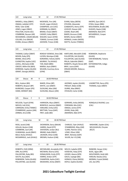| 122                                                                                                                                                                                                                                                                                            | Long Jump                                                                                                                                                                                                  | M     | 12                                                                                                                                                                                                                | 17:45 PM Heat                                           |                                                                                                                                                                                                                  |                                                                                                                                                   |
|------------------------------------------------------------------------------------------------------------------------------------------------------------------------------------------------------------------------------------------------------------------------------------------------|------------------------------------------------------------------------------------------------------------------------------------------------------------------------------------------------------------|-------|-------------------------------------------------------------------------------------------------------------------------------------------------------------------------------------------------------------------|---------------------------------------------------------|------------------------------------------------------------------------------------------------------------------------------------------------------------------------------------------------------------------|---------------------------------------------------------------------------------------------------------------------------------------------------|
| ROSS, Tyler (CAB)                                                                                                                                                                                                                                                                              | MASKELL, Koby (DBAY)<br>ONAGA, Jedidiah (STP)<br>JONES, Logan (DBAY)<br>POULTON, Charlie (GC)<br>COMBRINK, Reuven (AR)<br>MCDIARMID, LOGAN (BALM)<br>COLLINS, Cruz (BALM)<br>EVANS, Antwon (RBAY)          |       | MCKENZIE, Finn (AR)<br>VILLER, Logan (HVALE)<br>CHAMPION, Levi (USC)<br>GORMAN, Ky (DBAY)<br>BRAND, Chase (DBAY)<br>CASSIDY, Koby (RBAY)<br>WALKER, Saxon (GYM)<br>TOMASI, Cormac (CAB)<br>JACKSON, Tristan (CAB) |                                                         | EVANS, Ryley (BEEN)<br>STEVENS, Alexander<br>(CAB)KEATS, Henry (STP)<br>LOVEJOY, Rowan (AR)<br>COOKE, Noah (AR)<br>BAKER, Bronson (CAB)<br>BOWN, Declan (DBAY)<br>HERMUS, Linden (NOOS)<br>WATTS, Hunter (TWBAC) | IAKOPO, Zyon (RCLF)<br>O'DEA, Keaan (BRK)<br>WOLFENDEN, Brodie (AR)<br>HUGHES, Nayte (CAB)<br>AMORSEN, Ned (STP)<br>MCGARRIGLE, Cooper<br>(HVALE) |
| 123                                                                                                                                                                                                                                                                                            | Long Jump                                                                                                                                                                                                  | F.    | 12                                                                                                                                                                                                                | 17:45 PM Heat                                           |                                                                                                                                                                                                                  |                                                                                                                                                   |
|                                                                                                                                                                                                                                                                                                | THOMAS, Caitlyn (DBAY)<br>BOHEN, Ruby (IPS)<br>BIENKE, Olivia (IPS)<br>ELKINGTON, Sophie (USC)<br>LAVELL, Michaela (CAB)<br>CREEDY, Millie-Ella (BEA)<br>KERRIDGE, Sophie (GLASS)<br>GRANT, Georgia (NOOS) | (GYM) | LUCIEN, Monique (CAB)<br>KORORIKO, Felicity (GDH)<br>MURRAY, Tia (HVALE)<br>TJIN, Mahli (BRK)<br>MARSH, Ayva (DBAY)<br>WILSON, Courtney Anna                                                                      | RENOUF-DOWDLE, Bree (SB)                                | HARTLAND, Meredith (CAB)<br>FULLERTON, Zali (GLASS)<br>FULLERTON, Jade (GLASS)<br>PRILJA, Gabrielle (DBAY)<br>ROBERTS, Shaylin Renee (BP)<br>BRAY, Laura (GAP)<br>ORGAN-MOORE, Rebecca<br>(DBAY)                 | ROBINSON, Stephanie<br>(GLASS)<br>VAN RENSBURG, Tatiana<br>(GAP)<br>HETHERINGTON, Indigo<br>(GLASS)                                               |
| 124                                                                                                                                                                                                                                                                                            | Discus<br>М                                                                                                                                                                                                | 9     | 18:30 PM Heat                                                                                                                                                                                                     |                                                         |                                                                                                                                                                                                                  |                                                                                                                                                   |
| BELL, Hudson (BD)                                                                                                                                                                                                                                                                              | ROBERTS, Brayson (BP)<br>BURROWS, Cooper (IPS)<br>HAND, DERMOT (BD)                                                                                                                                        |       | BAKER, Ethan (BP)<br>WHITE, Levi (DBAY)<br>SUCKLING, Max (JIM)<br>SUCKLING, Mason (JIM)                                                                                                                           |                                                         | JACENKO, Jayden (GLASS)<br>PRESLEY, Blake (CAB)<br>DURRE, Max (RBAY)<br>STICKLER, Carter (CAB)                                                                                                                   | LEADBETTER, Darcy (IPS)<br>THOMAS, Isaac (DBAY)                                                                                                   |
| 125                                                                                                                                                                                                                                                                                            | F<br>Discus                                                                                                                                                                                                | 9     | 18:30 PM Heat                                                                                                                                                                                                     |                                                         |                                                                                                                                                                                                                  |                                                                                                                                                   |
| NIEHUS, Indi (CAL)                                                                                                                                                                                                                                                                             | MCLEOD, Tayah (GYM)<br>CARRIGAN, Emily (TWBAC)<br>STANBRIDGE, peyton (JIM)<br>ZORBAS, Aria (CAB)                                                                                                           |       | HARRISON, Myra (DBAY)<br>BONFIELD, Jasmine (DBAY)<br>HARLAND, Emily (USC)<br>BRITTAIN, Tessa (GAP)<br>FREY, Jaide (BD)                                                                                            |                                                         | GERRARD, Anika (NOOS)<br>FOREMAN, Mia (USC)<br>ONAGA, Jonina (STP)<br>JOHNS, Ruby (AR)<br>AMORSEN, Abbi (STP)                                                                                                    | RONQUILLO BUENO, Lara<br>(CAL)                                                                                                                    |
| 126                                                                                                                                                                                                                                                                                            | Long Jump                                                                                                                                                                                                  | M     | 10                                                                                                                                                                                                                | 18:30 PM Heat                                           |                                                                                                                                                                                                                  |                                                                                                                                                   |
| ROSS, Jacob (CAB)<br>DICKINSON, Darcy (BALM)<br>HOLLAS, Boston (CAB)<br>HARRIS, David (STP)<br>COMBRINK, Zach (AR)<br>DAVIDSON, Jordan (BLI)<br>VUNIWAQA, Jacob (DBAY)<br>BRAND, Kade (DBAY)<br>BALO, Rocky (HVALE)<br>JACKSON, Ethan (CAB)<br>MCGARRIGLE, Jack (HVALE)<br>BROWN, Hudson (CAB) |                                                                                                                                                                                                            |       | CHARLES, Tyler (HVALE)<br>STANBRIDGE, Riley (JIM)<br>CLARK, Fletcher (CAL)<br>LOWE, Oliver (JIM)<br>BRAY, Nicholas (GAP)<br>SILVER, Kal -El (CAB)                                                                 | MASHOBE, Zayden (CAL)<br>MCLOUGHLIN, Chrysler<br>(RCLF) |                                                                                                                                                                                                                  |                                                                                                                                                   |
| 127                                                                                                                                                                                                                                                                                            | Long Jump                                                                                                                                                                                                  | F     | 10                                                                                                                                                                                                                | 18:30 PM Heat                                           |                                                                                                                                                                                                                  |                                                                                                                                                   |
| ORR, Ava (HFD)<br>SOUTH, Koa (ASH)                                                                                                                                                                                                                                                             | ROBERTS, Chilli (ORM)<br>PALLENTINE, Ruby (BD)<br>ROBINSON, Tahlia (GLASS)<br>PALLENTINE, Lyla (GLASS)                                                                                                     |       | MCEWAN, Sharna (USC)<br>DONALDSON, Emily (STP)<br>HARRIS, Amber (STP)<br>CHAMPION, Aysha (USC)<br>MEADOWS, Amity (DBAY)                                                                                           | MCFARLANE, Annabelle (CN)                               | WELCH, Isabella (SPR)<br>IVOSEVAC, Ruby (STP)<br>LEEDER, Aleena (SPR)<br>GAUCI, Ivyleigh (BD)<br>HERMUS, Eliana (NOOS)<br>DOYLE, Sophie (GLASS)                                                                  | RANKINE, Harper (CAL)<br>BUOL, Agaw (BP)<br>WOLFENDEN, Heidi (AR)<br>HARLAN, Natalia (CAL)<br>MERNIN, Crystal (WAM)<br>LEE, Zoe (IPS)             |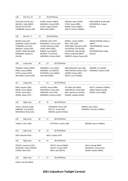| 128                                                                                                                                                         | Shot Put M                                                               | 12                                                                                                                                                                     | 18:30 PM Heat                                                          |                                                                                                                                                                                         |                                                                                                 |                                                                                                     |                                                                       |
|-------------------------------------------------------------------------------------------------------------------------------------------------------------|--------------------------------------------------------------------------|------------------------------------------------------------------------------------------------------------------------------------------------------------------------|------------------------------------------------------------------------|-----------------------------------------------------------------------------------------------------------------------------------------------------------------------------------------|-------------------------------------------------------------------------------------------------|-----------------------------------------------------------------------------------------------------|-----------------------------------------------------------------------|
| POULTON, Charlie (GC)<br>MASKELL, Koby (DBAY)<br>MILLER, Brock (STP)<br>COMBRINK, Reuven (AR)                                                               |                                                                          | EVANS, Antwon (RBAY)<br>NAAMAN, Youssef (SPR)<br>VILLER, Logan (HVALE)<br>KING, Riley (DBAY)                                                                           |                                                                        |                                                                                                                                                                                         | WALKER, Saxon (GYM)<br>O'DEA, Keaan (BRK)<br>BOWN, Declan (DBAY)<br>WATTS, Hunter (TWBAC)       |                                                                                                     | WOLFENDEN, Brodie (AR)<br>MCGARRIGLE, Cooper<br>(HVALE)               |
| 129                                                                                                                                                         | Shot Put F                                                               | 12                                                                                                                                                                     | 18:30 PM Heat                                                          |                                                                                                                                                                                         |                                                                                                 |                                                                                                     |                                                                       |
| BOHEN, Ruby (IPS)<br>KERRIDGE, Sophie (GLASS)<br>FOREMAN, Ava (USC)<br>WINDOLF, Hayley (IPS)<br>CREEDY, Millie-Ella (BEA)<br>ROBINSON, Stephanie<br>(GLASS) |                                                                          | MANCINI, Allira (STP)<br>MCDONALD, Tamara (GC)<br>LUCIEN, Monique (CAB)<br>LAHEY, Bella (GYM)<br>MARSH, Ayva (DBAY)<br>MURRAY, Tia (HVALE)<br>KORORIKO, Felicity (GDH) |                                                                        | NEWELL, Sophie (DBAY)<br>RICH, Lilah (CAB)<br>HARTLAND, Meredith (CAB)<br>FULLERTON, Zali (GLASS)<br>FULLERTON, Jade (GLASS)<br>PRILJA, Gabrielle (DBAY)<br>ROBERTS, Shaylin Renee (BP) |                                                                                                 | ORGAN-MOORE, Rebecca<br>(DBAY)<br>VAN RENSBURG, Tatiana<br>(GAP)<br>HETHERINGTON, Indigo<br>(GLASS) |                                                                       |
| 130                                                                                                                                                         | Long Jump                                                                | M                                                                                                                                                                      | 13                                                                     | 18:30 PM Heat                                                                                                                                                                           |                                                                                                 |                                                                                                     |                                                                       |
| THOMAS, Haiden (DBAY)<br>PEREZ, Samuel (BRK)<br>LOFTS, Cooper (GAP)<br>WILLIAMS, Lachlan (SPR)                                                              |                                                                          | KORORIKO, Tama (GDH)<br>GERRARD, Luca (NOOS)<br>PATERSON, Coen (DBAY)<br>CINI, Max (DBAY)                                                                              |                                                                        | MOLLENHAUER, Ryan (SB)<br>VAN STRATEN, Ashton (USC)<br>GOSNEY, Payton (BD)<br>SMITH, Leon (TWBAC)                                                                                       |                                                                                                 | MERNIN, Tye (WAM)<br>EDWARDS, Cayden (CAB)                                                          |                                                                       |
| 131                                                                                                                                                         | Long Jump                                                                | F                                                                                                                                                                      | 13                                                                     | 18:30 PM Heat                                                                                                                                                                           |                                                                                                 |                                                                                                     |                                                                       |
| BOW, Hayden (CAB)<br>MEAD, Livinia (DBAY)<br>SOUTH, Jalyn (ASH)<br>HIONIS, Aliyah (STP)                                                                     |                                                                          | VEIVERS, Sienna (BRK)<br>MCDONALD, Alyssa (GC)<br>HANCOCK, Grace (CN)<br>KORORIKO, Awhena (GDH)                                                                        |                                                                        |                                                                                                                                                                                         | DE JONG, Mia (NGO)<br>WISEWOULD, Sailah (BD)<br>MAY, Mackenzie (HVALE)<br>MOORE, Isabelle (WAM) |                                                                                                     | WATTS, Xanthee (TWBAC)<br>JONES, Makayla (CAB)<br>NORTH, Emma (BRK)   |
| 132                                                                                                                                                         | High Jump                                                                | M                                                                                                                                                                      | 15                                                                     | 18:30 PM Heat                                                                                                                                                                           |                                                                                                 |                                                                                                     |                                                                       |
|                                                                                                                                                             | LAVELL, Nicholas (CAB)<br>GIBBONS, Trae (GLASS)<br>MCDONALD, Riley (CAL) |                                                                                                                                                                        | CORCORAN, Oliver (GC)<br>KELLETT, Jacob (USC)<br>BROWN, Jayden (HVALE) |                                                                                                                                                                                         |                                                                                                 |                                                                                                     | DANIELS, Ryan (USC)<br>COWDROY, Geordie (TWBAC)                       |
| 132                                                                                                                                                         | High Jump                                                                | M                                                                                                                                                                      | 17                                                                     | 18:30 PM Heat                                                                                                                                                                           |                                                                                                 |                                                                                                     |                                                                       |
|                                                                                                                                                             | TURVEY, Tyler (CAB)                                                      |                                                                                                                                                                        |                                                                        | COTTERILL, Heath (CAB)                                                                                                                                                                  |                                                                                                 |                                                                                                     | BROWN, Kalum (TWBAC)                                                  |
| 132                                                                                                                                                         | High Jump                                                                | M                                                                                                                                                                      | 16                                                                     | 18:30 PM Heat                                                                                                                                                                           |                                                                                                 |                                                                                                     |                                                                       |
|                                                                                                                                                             | WEIS, Mitchell (ASP)                                                     |                                                                                                                                                                        |                                                                        | WISE, Lachlan (STP)                                                                                                                                                                     |                                                                                                 |                                                                                                     |                                                                       |
| 132                                                                                                                                                         | High Jump                                                                | М                                                                                                                                                                      | 14                                                                     | 18:30 PM Heat                                                                                                                                                                           |                                                                                                 |                                                                                                     |                                                                       |
|                                                                                                                                                             | POOLES, Jamieson (USC)<br>PECKHAM, Taliesin (NOOS)<br>STOKER, Mali (USC) |                                                                                                                                                                        |                                                                        | WHITE, Samuel (DBAY)<br>WELCH, Cooper (SPR)<br>BEER, Jake (NOOS)                                                                                                                        |                                                                                                 |                                                                                                     | MILLS, George (BRK)<br>KOLINISAU, Joshua (CAL)<br>BOWN, Hayden (DBAY) |
| 133                                                                                                                                                         | High Jump                                                                | F                                                                                                                                                                      | 17                                                                     | 18:30 PM Heat                                                                                                                                                                           |                                                                                                 |                                                                                                     |                                                                       |
|                                                                                                                                                             |                                                                          |                                                                                                                                                                        |                                                                        |                                                                                                                                                                                         |                                                                                                 |                                                                                                     |                                                                       |

LEWIS, Hannah (DBAY)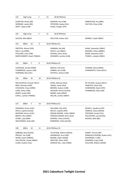| 133                                                                                                                                                 | High Jump                                                                                                             |   | F  | 14 | 18:30 PM Heat                                                                                                                                                                                                                                                                                |                                                                                                                            |  |  |
|-----------------------------------------------------------------------------------------------------------------------------------------------------|-----------------------------------------------------------------------------------------------------------------------|---|----|----|----------------------------------------------------------------------------------------------------------------------------------------------------------------------------------------------------------------------------------------------------------------------------------------------|----------------------------------------------------------------------------------------------------------------------------|--|--|
| GUNSTON, Nicole (SB)<br>NORMAN, Laylah (BD)<br>SWIFT, Pippa (CAB)                                                                                   |                                                                                                                       |   |    |    | WASSON, Ava (CAB)<br>STRYDOM, Zayley (CAL)<br>KLAAS, Imogen (STP)                                                                                                                                                                                                                            | ROBERTSON, Ava (BRK)<br>SHILTON, Chloe (CAB)                                                                               |  |  |
| 133<br>High Jump<br>F                                                                                                                               |                                                                                                                       |   |    | 15 | 18:30 PM Heat                                                                                                                                                                                                                                                                                |                                                                                                                            |  |  |
|                                                                                                                                                     | SILCOCK, Mia (RBAY)                                                                                                   |   |    |    | POULTON, Amber (GC)<br>MORRIS, Taylah (RBAY)                                                                                                                                                                                                                                                 |                                                                                                                            |  |  |
| 134                                                                                                                                                 | 800m                                                                                                                  | м | 9  |    | 18:45 PM Race 01                                                                                                                                                                                                                                                                             |                                                                                                                            |  |  |
| PRESTON, Alistair (SPR)<br>DALLY, Jay (ORM)<br>STALLARD, Liam (CAB)<br>MONTGOMERY, Noah (TWBAC)                                                     |                                                                                                                       |   |    |    | HARMAN, Zak (AR)<br>WHITE, Levi (DBAY)<br>HASSAN, Samir (ALG)<br>EDWARDS, Lachlan (CAB)                                                                                                                                                                                                      | BLAKE, Alexander (DBAY)<br>MOONEY, Ethan (MBRO)<br>ROWE, Sebastian (STP)<br>TOWEEL, malakai (DBAY)                         |  |  |
| 135                                                                                                                                                 | 800m                                                                                                                  | F | 9  |    | 18:45 PM Race 01                                                                                                                                                                                                                                                                             |                                                                                                                            |  |  |
| CHISHOLM, Amelia (ORM)<br>STANBRIDGE, peyton (JIM)<br>FOREMAN, Mia (USC)                                                                            |                                                                                                                       |   |    |    | NIEHUS, Indi (CAL)<br>THOMAS, Olivia (DBAY)<br>ZORBAS, Aria (CAB)<br>STANWORTH, Chloe (RCLF)<br>FAITHFUL, Kelsee (CAB)                                                                                                                                                                       |                                                                                                                            |  |  |
| 136                                                                                                                                                 | 800m                                                                                                                  | M | 10 |    | 18:45 PM Race 01                                                                                                                                                                                                                                                                             |                                                                                                                            |  |  |
| MCLOUGHLIN, Chrysler (RCLF)<br>BRAY, Nicholas (GAP)<br>CHISHOLM, Chase (ORM)<br>LOWE, Oliver (JIM)<br>BAKER, Jordan (BP)<br>CAHILL, Lachlan (TWBAC) |                                                                                                                       |   |    |    | KHAN, Zakariya (ALG)<br>CRAGG, Jamie (ALG)<br>BROWN, Hudson (CAB)<br>JACKSON, Patrick (GLASS)<br>BRAND, Kade (DBAY)<br>MILLAR, Lachlan (DBAY)                                                                                                                                                | DE VILLIERS, Jacques (RCLF)<br>HANCOCK, Noah (CN)<br>DUNEMANN, Noah (HFD)<br>STANBRIDGE, Riley (JIM)                       |  |  |
| 137                                                                                                                                                 | 800m                                                                                                                  | F | 10 |    | 18:45 PM Race 01                                                                                                                                                                                                                                                                             |                                                                                                                            |  |  |
| SHERIDAN, Gracie (USC)<br>DOYLE, Sophie (GLASS)<br>MCEWAN, Sharna (USC)<br>BENITO, Nina (MAR)<br>STONE, Layla (BRK)<br>WOLFENDEN, Heidi (AR)        |                                                                                                                       |   |    |    | WILLIAMS, Ella (USC)<br>RUSSELL, Kaydence (IPS)<br>WELCH, Isabella (SPR)<br>HERMUS, Eliana (NOOS)<br>ORGAN-MOORE, Caitlin (DBAY)<br>STRYDOM, Zandri (CAL)<br>FARHAN HASSAN, Nimo (ALG)<br>PALLENTINE, Lyla (GLASS)<br>MURRAY, Chloe (HVALE)<br>WOODS, Bella (BD)<br>ROBINSON, Tahlia (GLASS) |                                                                                                                            |  |  |
| 138                                                                                                                                                 | 800m                                                                                                                  | M | 11 |    | 18:45 PM Race 01                                                                                                                                                                                                                                                                             |                                                                                                                            |  |  |
|                                                                                                                                                     | GIBBONS, Brax (GLASS)<br>PRESLEY, Zac (CAB)<br>WYNN, Austin (WBDG)<br>HOLTHOUSE, Zander (RBAY)<br>CLARK, Hudson (CAL) |   |    |    | TILLOTSON, William (NOOS)<br>SHERWOOD, Azra (ASP)<br>MOORE, Aiden (WAM)<br>PRESTON, Oliver (SPR)<br>WINDUS-HILL, Tylar (ORM)                                                                                                                                                                 | KAMPF, Vincent (BP)<br>RONQUILLO BUENO, Ruben (CAL)<br>RICHMOND, TJ (BP)<br>EDWARDS, Coby (CAB)<br>SULLIVAN, William (WAM) |  |  |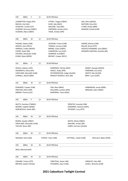| 139                                                                                                    | 800m                                                                                                                                       | F                         | 11 | 18:45 PM Heat                                                                                                                               |                        |                                                                                         |                                                               |  |
|--------------------------------------------------------------------------------------------------------|--------------------------------------------------------------------------------------------------------------------------------------------|---------------------------|----|---------------------------------------------------------------------------------------------------------------------------------------------|------------------------|-----------------------------------------------------------------------------------------|---------------------------------------------------------------|--|
|                                                                                                        | LEADBETTER, Poppy (IPS)<br>NIEHUS, Lily (CAL)<br>IVOSEVAC, Lucille (STP)<br>HUDSON, Harmony (DBAY)<br>HUDSON, Allyce (DBAY)                |                           |    | O'FRIEL, Teagan (DBAY)<br>KURZ, Ada (NGO)<br>MALONE, Tayla (BP)<br>SHERIDAN, Amelia (USC)<br>TIGHE, Amelia (SPR)                            |                        | ASH, Neva (NOOS)<br>WATSON, Eliza (GC)<br>FLYNN, Harlee (BRK)<br>WASSON, Estella (CAB)  |                                                               |  |
| 140                                                                                                    | 800m                                                                                                                                       | М                         | 12 | 18:45 PM Heat                                                                                                                               |                        |                                                                                         |                                                               |  |
|                                                                                                        | HUGHES, Nayte (CAB)<br>IAKOPO, Zyon (RCLF)<br>HERMUS, Linden (NOOS)<br>COOKE, Noah (AR)<br>STEVENS, Alexander (CAB)<br>EVANS, Ryley (BEEN) |                           |    | JACKSON, Tristan (CAB)<br>TOMASI, Cormac (CAB)<br>BRAND, Chase (DBAY)<br>CHAMPION, Levi (USC)<br>GORMAN, Ky (DBAY)<br>BRYANT, Cooper (RCLF) |                        | ADAMS, Marley (CAB)<br>MILLER, Brock (STP)                                              | ACKFIELD KENNARD, Saul (DBAY)<br>GOWDRA SANTOSH, Kaushik (AR) |  |
| 141                                                                                                    | 800 <sub>m</sub>                                                                                                                           | F                         | 12 | 18:30 PM Heat                                                                                                                               |                        |                                                                                         |                                                               |  |
| ISHOLA, Adetoro (IPS)<br>AGIANNITIS, Olivia (IPS)<br>HARTLAND, Meredith (CAB)<br>CONNELL, Rachel (BRK) |                                                                                                                                            |                           |    | KORORIKO, Felicity (GDH)<br>HAZELL, Ruby (SPR)<br>HETHERINGTON, Indigo (GLASS)<br>RENOUF-DOWDLE, Bree (SB)                                  |                        | GRANT, Georgia (NOOS)<br>FOREMAN, Ava (USC)<br>GERITZ, Mia (GLASS)<br>BRAY, Laura (GAP) |                                                               |  |
| 142                                                                                                    | 800m                                                                                                                                       | м                         | 13 | 18:45 PM Heat                                                                                                                               |                        |                                                                                         |                                                               |  |
|                                                                                                        | EDWARDS, Cayden (CAB)<br>PRESTON, Elliot (SPR)<br>OBRIEN, Thomas (GC)                                                                      |                           |    | CINI, Max (DBAY)<br>WILLIAMS, Lachlan (SPR)<br>KORORIKO, Tama (GDH)                                                                         |                        | HANKINSON, Jacob (ORM)<br>MINCHIN, Aden (DBAY)                                          |                                                               |  |
| 143                                                                                                    | 800m                                                                                                                                       | F                         | 13 | 18:45 PM Heat                                                                                                                               |                        |                                                                                         |                                                               |  |
|                                                                                                        | WATTS, Xanthee (TWBAC)<br>MOORE, Isabelle (WAM)<br>WISEWOULD, Sailah (BD)                                                                  |                           |    | PRENTICE, Kassidy (CAB)<br>KORORIKO, Awhena (GDH)<br>STEWART, Lucy (STP)                                                                    |                        |                                                                                         |                                                               |  |
| 144                                                                                                    | 800m                                                                                                                                       | M                         | 14 | 18:45 PM Heat                                                                                                                               |                        |                                                                                         |                                                               |  |
|                                                                                                        | BOWN, Hayden (DBAY)<br>TAYLOR, Shaun (BP)                                                                                                  | HARTLAND, Alexander (CAB) |    | WHITE, Micah (DBAY)<br>MALONE, Jordan (BP)<br>JONES, Harrison (GLASS)                                                                       |                        |                                                                                         |                                                               |  |
| 144                                                                                                    | 800m                                                                                                                                       | M                         | 17 | 18:45 PM Heat                                                                                                                               |                        |                                                                                         |                                                               |  |
|                                                                                                        | WASSON, Seth (CAB)                                                                                                                         |                           |    | TURVEY, Tyler (CAB)                                                                                                                         | COTTERILL, Heath (CAB) |                                                                                         | MULLALY, Blake (GYM)                                          |  |
| 144                                                                                                    | 800m                                                                                                                                       | M                         | 16 | 18:45 PM Heat                                                                                                                               |                        |                                                                                         |                                                               |  |
|                                                                                                        | WEIS, Mitchell (ASP)                                                                                                                       |                           |    |                                                                                                                                             |                        |                                                                                         |                                                               |  |
| 144                                                                                                    | 800m                                                                                                                                       | M                         | 15 | 18:45 PM Heat                                                                                                                               |                        |                                                                                         |                                                               |  |
| HIGHAM, Tristan (STP)<br>BROWN, Jayden (HVALE)                                                         |                                                                                                                                            |                           |    | TABUTEAU, Xavier (AR)<br>STOLBERG, Jaxyn (CAB)                                                                                              |                        | JURGELEIT, Ben (BP)<br>LAVELL, Nicholas (CAB)                                           |                                                               |  |